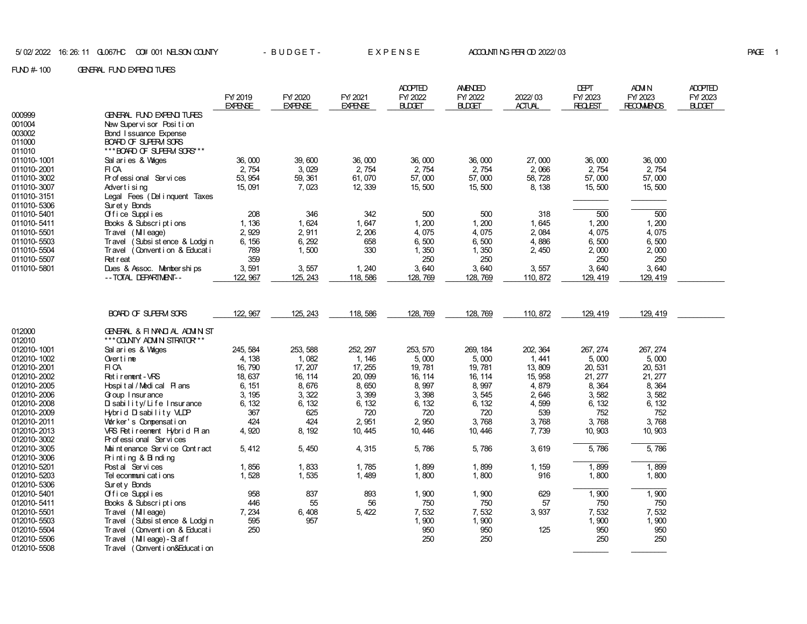|             |                                            |                |                |                | <b>ADOPTED</b> | <b>AMENDED</b> |               | <b>DEPT</b>    | <b>ADM N</b>      | <b>ADOPTED</b> |
|-------------|--------------------------------------------|----------------|----------------|----------------|----------------|----------------|---------------|----------------|-------------------|----------------|
|             |                                            | FY/2019        | FY/2020        | FY/2021        | FY/2022        | FY/2022        | 2022/03       | FY/2023        | FY 2023           | FY/2023        |
|             |                                            | <b>EXPENSE</b> | <b>EXPENSE</b> | <b>EXPENSE</b> | <b>BLDGET</b>  | <b>BLDGET</b>  | <b>ACTUAL</b> | <b>REQLEST</b> | <b>RECOMMENDS</b> | <b>BLDGET</b>  |
| 000999      | GENERAL FUND EXPENDITURES                  |                |                |                |                |                |               |                |                   |                |
| 001004      | New Supervisor Position                    |                |                |                |                |                |               |                |                   |                |
| 003002      | <b>Bond Issuance Expense</b>               |                |                |                |                |                |               |                |                   |                |
| 011000      | BOARD OF SUPERM SORS                       |                |                |                |                |                |               |                |                   |                |
| 011010      | *** BOARD OF SUPERM SORS***                |                |                |                |                |                |               |                |                   |                |
| 011010-1001 | Sal aries & Vages                          | 36,000         | 39,600         | 36,000         | 36,000         | 36,000         | 27,000        | 36,000         | 36,000            |                |
| 011010-2001 | FI CA                                      | 2,754          | 3,029          | 2,754          | 2,754          | 2,754          | 2,066         | 2,754          | 2,754             |                |
| 011010-3002 | Professional Services                      | 53, 954        | 59, 361        | 61,070         | 57,000         | 57,000         | 58, 728       | 57,000         | 57,000            |                |
| 011010-3007 | Advertising                                | 15,091         | 7,023          | 12, 339        | 15,500         | 15,500         | 8, 138        | 15,500         | 15,500            |                |
| 011010-3151 | Legal Fees (Del i nquent Taxes             |                |                |                |                |                |               |                |                   |                |
| 011010-5306 | Sur et y Bonds                             |                |                |                |                |                |               |                |                   |                |
| 011010-5401 | Office Supplies                            | 208            | 346            | 342            | 500            | 500            | 318           | 500            | 500               |                |
| 011010-5411 | Books & Subscriptions                      | 1, 136         | 1,624          | 1,647          | 1,200          | 1,200          | 1,645         | 1,200          | 1,200             |                |
| 011010-5501 | Travel (Mileage)                           | 2,929          | 2,911          | 2, 206         | 4,075          | 4,075          | 2,084         | 4,075          | 4,075             |                |
| 011010-5503 | (Subsi st ence & Lodgi n<br>Travel         | 6, 156         | 6, 292         | 658            | 6,500          | 6,500          | 4,886         | 6,500          | 6,500             |                |
| 011010-5504 | (Convention & Educati<br><b>Travel</b>     | 789            | 1,500          | 330            | 1,350          | 1,350          | 2,450         | 2,000          | 2,000             |                |
| 011010-5507 | <b>Ret</b> reat                            | 359            |                |                | 250            | 250            |               | 250            | 250               |                |
| 011010-5801 | Dues & Assoc. Memberships                  | 3,591          | 3,557          | 1, 240         | 3,640          | 3,640          | 3,557         | 3,640          | 3,640             |                |
|             | -- TOTAL DEPARTMENT--                      | 122, 967       | 125, 243       | 118, 586       | 128, 769       | 128, 769       | 110, 872      | 129, 419       | 129, 419          |                |
|             |                                            |                |                |                |                |                |               |                |                   |                |
|             |                                            |                |                |                |                |                |               |                |                   |                |
|             | BOARD OF SUPERM SORS                       | 122, 967       | 125, 243       | 118, 586       | 128, 769       | 128, 769       | 110, 872      | 129, 419       | 129, 419          |                |
| 012000      | GENERAL & FINANCIAL ADMINIST               |                |                |                |                |                |               |                |                   |                |
| 012010      | *** COUNTY ADM N STRATOR**                 |                |                |                |                |                |               |                |                   |                |
| 012010-1001 | Sal aries & Vages                          | 245, 584       | 253, 588       | 252, 297       | 253, 570       | 269, 184       | 202, 364      | 267, 274       | 267, 274          |                |
| 012010-1002 | Overtime                                   | 4, 138         | 1,082          | 1, 146         | 5,000          | 5,000          | 1, 441        | 5,000          | 5,000             |                |
| 012010-2001 | FI CA                                      | 16, 790        | 17, 207        | 17, 255        | 19,781         | 19, 781        | 13, 809       | 20, 531        | 20, 531           |                |
| 012010-2002 | Ret i rement - VRS                         | 18, 637        | 16, 114        | 20,099         | 16, 114        | 16, 114        | 15, 958       | 21, 277        | 21, 277           |                |
| 012010-2005 | Hospital / Medical Plans                   | 6, 151         | 8,676          | 8,650          | 8,997          | 8,997          | 4,879         | 8,364          | 8,364             |                |
| 012010-2006 | Goup I nsur ance                           | 3, 195         | 3, 322         | 3,399          | 3,398          | 3,545          | 2,646         | 3,582          | 3.582             |                |
| 012010-2008 | Disability/Life Insurance                  | 6, 132         | 6, 132         | 6, 132         | 6, 132         | 6, 132         | 4,599         | 6, 132         | 6, 132            |                |
| 012010-2009 | Hybrid Disability VLDP                     | 367            | 625            | 720            | 720            | 720            | 539           | 752            | 752               |                |
| 012010-2011 | Worker's Compensation                      | 424            | 424            | 2,951          | 2,950          | 3.768          | 3,768         | 3,768          | 3,768             |                |
| 012010-2013 | VRS Retireement Hybrid Plan                | 4,920          | 8, 192         | 10, 445        | 10, 446        | 10, 446        | 7,739         | 10, 903        | 10, 903           |                |
| 012010-3002 | Professional Services                      |                |                |                |                |                |               |                |                   |                |
| 012010-3005 | Mai nt enance Ser vi ce Cont r act         | 5, 412         | 5,450          | 4,315          | 5,786          | 5,786          | 3,619         | 5,786          | 5,786             |                |
| 012010-3006 | Printing & Binding                         |                |                |                |                |                |               |                |                   |                |
| 012010-5201 | Post al Services                           | 1,856          | 1,833          | 1,785          | 1,899          | 1,899          | 1, 159        | 1,899          | 1,899             |                |
| 012010-5203 | Tel econmuni cat i ons                     | 1,528          | 1,535          | 1,489          | 1,800          | 1,800          | 916           | 1,800          | 1,800             |                |
| 012010-5306 | $Sur et y$ Bonds                           |                |                |                |                |                |               |                |                   |                |
| 012010-5401 | Office Supplies                            | 958            | 837            | 893            | 1,900          | 1,900          | 629           | 1,900          | 1,900             |                |
| 012010-5411 | Books & Subscriptions                      | 446            | 55             | 56             | 750            | 750            | 57            | 750            | 750               |                |
| 012010-5501 | Travel (Mileage)                           | 7,234          | 6,408          | 5, 422         | 7,532          | 7,532          | 3,937         | 7.532          | 7,532             |                |
| 012010-5503 | (Subsi st ence & Lodgi n<br><b>Travel</b>  | 595            | 957            |                | 1,900          | 1,900          |               | 1,900          | 1,900             |                |
| 012010-5504 | (Convention & Educati<br><b>Travel</b>     | 250            |                |                | 950            | 950            | 125           | 950            | 950               |                |
| 012010-5506 | (Mileage)-Staff<br><b>Travel</b>           |                |                |                | 250            | 250            |               | 250            | 250               |                |
| 012010-5508 | <b>Travel</b><br>(Convent i on&Educat i on |                |                |                |                |                |               |                |                   |                |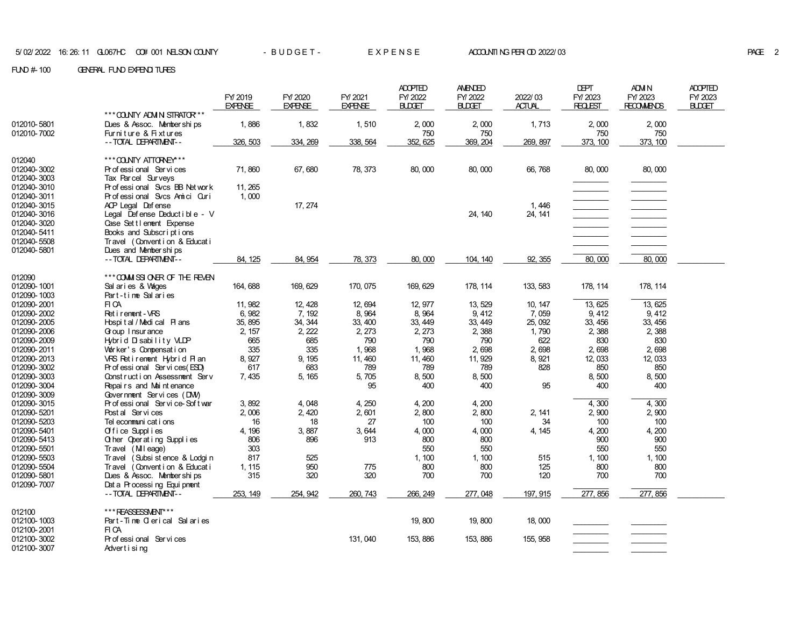|             |                                  |                |                |                | <b>ADOPTED</b> | <b>AMENDED</b> |               | <b>DEPT</b>                                  | <b>ADM N</b>      | <b>ADOPTED</b> |
|-------------|----------------------------------|----------------|----------------|----------------|----------------|----------------|---------------|----------------------------------------------|-------------------|----------------|
|             |                                  | FY/2019        | FY/2020        | FY/2021        | FY/2022        | FY/2022        | 2022/03       | FY/2023                                      | FY/2023           | FY/2023        |
|             |                                  | <b>EXPENSE</b> | <b>EXPENSE</b> | <b>EXPENSE</b> | <b>BLDGET</b>  | <b>BUDGET</b>  | <b>ACTUAL</b> | <b>REQLEST</b>                               | <b>RECOMMENDS</b> | <b>BLDGET</b>  |
|             | *** COUNTY ADM N STRATOR***      |                |                |                |                |                |               |                                              |                   |                |
| 012010-5801 | Dues & Assoc. Memberships        | 1,886          | 1,832          | 1,510          | 2,000          | 2,000          | 1,713         | 2,000                                        | 2,000             |                |
| 012010-7002 | Furniture & Fixtures             |                |                |                | 750            | 750            |               | 750                                          | 750               |                |
|             | -- TOTAL DEPARTMENT--            | 326, 503       | 334, 269       | 338, 564       | 352, 625       | 369, 204       | 269, 897      | 373, 100                                     | 373, 100          |                |
| 012040      | *** COUNTY ATTORNEY***           |                |                |                |                |                |               |                                              |                   |                |
| 012040-3002 | Professional Services            | 71,860         | 67,680         | 78, 373        | 80,000         | 80,000         | 66,768        | 80,000                                       | 80,000            |                |
| 012040-3003 | Tax Parcel Surveys               |                |                |                |                |                |               |                                              |                   |                |
| 012040-3010 | Professional Svcs BB Network     | 11, 265        |                |                |                |                |               |                                              |                   |                |
| 012040-3011 | Professional Svcs Amici Curi     | 1,000          |                |                |                |                |               |                                              |                   |                |
| 012040-3015 | ACP Legal Defense                |                | 17, 274        |                |                |                | 1,446         | $\begin{array}{c} \hline \hline \end{array}$ |                   |                |
| 012040-3016 | Legal Defense Deductible - V     |                |                |                |                | 24, 140        | 24, 141       |                                              |                   |                |
| 012040-3020 | Case Settlement Expense          |                |                |                |                |                |               |                                              |                   |                |
| 012040-5411 | Books and Subscriptions          |                |                |                |                |                |               |                                              |                   |                |
| 012040-5508 | Travel (Convention & Educati     |                |                |                |                |                |               |                                              |                   |                |
| 012040-5801 | Dues and Memberships             |                |                |                |                |                |               |                                              |                   |                |
|             | -- TOTAL DEPARTMENT--            | 84, 125        | 84, 954        | 78, 373        | 80,000         | 104, 140       | 92, 355       | 80,000                                       | 80,000            |                |
|             |                                  |                |                |                |                |                |               |                                              |                   |                |
| 012090      | *** COMMISSIONER OF THE REVEN    |                |                |                |                |                |               |                                              |                   |                |
| 012090-1001 | Sal aries & Vages                | 164, 688       | 169, 629       | 170, 075       | 169, 629       | 178, 114       | 133, 583      | 178, 114                                     | 178, 114          |                |
| 012090-1003 | Part-time Salaries               |                |                |                |                |                |               |                                              |                   |                |
| 012090-2001 | FI CA                            | 11, 982        | 12, 428        | 12, 694        | 12, 977        | 13, 529        | 10, 147       | 13, 625                                      | 13, 625           |                |
| 012090-2002 | Ret i rement - VRS               | 6,982          | 7, 192         | 8,964          | 8,964          | 9, 412         | 7,059         | 9, 412                                       | 9, 412            |                |
| 012090-2005 | Hospital / Medical Plans         | 35, 895        | 34, 344        | 33, 400        | 33, 449        | 33, 449        | 25, 092       | 33, 456                                      | 33, 456           |                |
| 012090-2006 | Goup I nsur ance                 | 2, 157         | 2, 222         | 2, 273         | 2, 273         | 2,388          | 1,790         | 2,388                                        | 2,388             |                |
| 012090-2009 | Hybrid Disability VLDP           | 665            | 685            | 790            | 790            | 790            | 622           | 830                                          | 830               |                |
| 012090-2011 | Worker's Compensation            | 335            | 335            | 1,968          | 1,968          | 2,698          | 2,698         | 2,698                                        | 2,698             |                |
| 012090-2013 | VRS Retirement Hybrid Plan       | 8, 927         | 9, 195         | 11, 460        | 11, 460        | 11, 929        | 8, 921        | 12, 033                                      | 12, 033           |                |
| 012090-3002 | Pr of essi onal Ser vi ces (ESD) | 617            | 683            | 789            | 789            | 789            | 828           | 850                                          | 850               |                |
| 012090-3003 | Construction Assessment Serv     | 7,435          | 5, 165         | 5,705          | 8,500          | 8,500          |               | 8,500                                        | 8,500             |                |
| 012090-3004 | Repairs and Maintenance          |                |                | 95             | 400            | 400            | 95            | 400                                          | 400               |                |
| 012090-3009 | Government Services (DNV)        |                |                |                |                |                |               |                                              |                   |                |
| 012090-3015 | Professional Service-Softwar     | 3,892          | 4,048          | 4, 250         | 4,200          | 4,200          |               | 4,300                                        | 4,300             |                |
| 012090-5201 | Post al Services                 | 2,006          | 2,420          | 2,601          | 2,800          | 2,800          | 2, 141        | 2,900                                        | 2,900             |                |
| 012090-5203 | Tel econmuni cat i ons           | 16             | 18             | 27             | 100            | 100            | 34            | 100                                          | 100               |                |
| 012090-5401 | Office Supplies                  | 4, 196         | 3,887          | 3,644          | 4,000          | 4,000          | 4, 145        | 4, 200                                       | 4,200             |                |
| 012090-5413 | Other Operating Supplies         | 806            | 896            | 913            | 800            | 800            |               | 900                                          | 900               |                |
| 012090-5501 | Travel (MIleage)                 | 303            |                |                | 550            | 550            |               | 550                                          | 550               |                |
| 012090-5503 | Travel (Subsi st ence & Lodgi n  | 817            | 525            |                | 1, 100         | 1, 100         | 515           | 1, 100                                       | 1, 100            |                |
| 012090-5504 | Travel (Convention & Educati     | 1, 115         | 950            | 775            | 800            | 800            | 125           | 800                                          | 800               |                |
| 012090-5801 | Dues & Assoc. Memberships        | 315            | 320            | 320            | 700            | 700            | 120           | 700                                          | 700               |                |
| 012090-7007 | Dat a Processing Equipment       |                |                |                |                |                |               |                                              | 277, 856          |                |
|             | -- TOTAL DEPARTMENT--            | 253, 149       | 254, 942       | 260, 743       | 266, 249       | 277,048        | 197, 915      | 277, 856                                     |                   |                |
| 012100      | ***REASSESSMENT***               |                |                |                |                |                |               |                                              |                   |                |
| 012100-1003 | Part-Time Clerical Salaries      |                |                |                | 19,800         | 19,800         | 18,000        |                                              |                   |                |
| 012100-2001 | FI CA                            |                |                |                |                |                |               |                                              |                   |                |
| 012100-3002 | Pr of essi onal Ser vi ces       |                |                | 131, 040       | 153, 886       | 153, 886       | 155, 958      |                                              |                   |                |
| 012100-3007 | Advertising                      |                |                |                |                |                |               |                                              |                   |                |
|             |                                  |                |                |                |                |                |               |                                              |                   |                |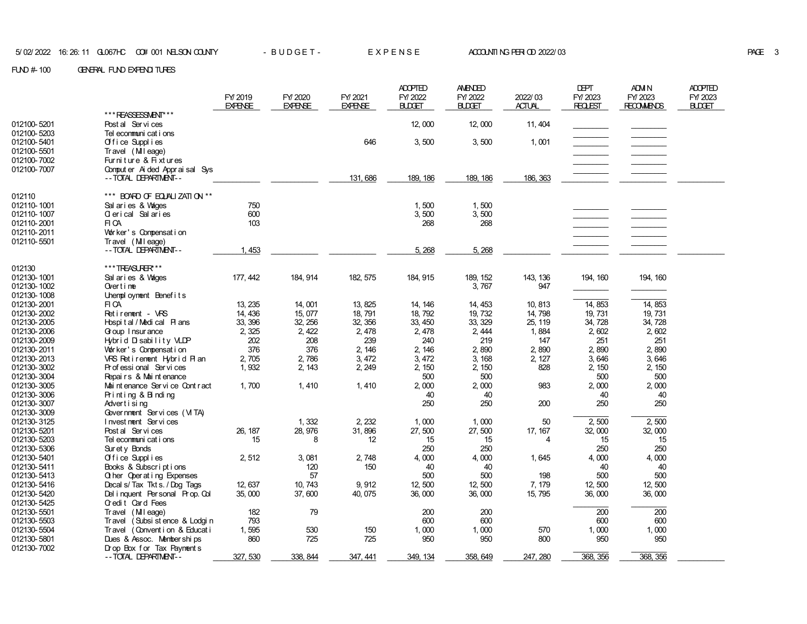|                            |                                           | FY/2019<br><b>EXPENSE</b> | FY/2020<br><b>EXPENSE</b> | FY/2021<br><b>EXPENSE</b> | <b>ADOPTED</b><br>FY/2022<br><b>BLDGET</b> | AMENDED<br>FY/2022<br><b>BLDGET</b> | 2022/03<br><b>ACTUAL</b> | <b>DEPT</b><br>FY/2023<br><b>REQLEST</b> | ADM N<br>FY/2023<br><b>RECOMMENDS</b> | <b>ADOPTED</b><br>FY/2023<br><b>BLDGET</b> |
|----------------------------|-------------------------------------------|---------------------------|---------------------------|---------------------------|--------------------------------------------|-------------------------------------|--------------------------|------------------------------------------|---------------------------------------|--------------------------------------------|
|                            | ***REASSESSMENT***                        |                           |                           |                           |                                            |                                     |                          |                                          |                                       |                                            |
| 012100-5201                | Post al Services                          |                           |                           |                           | 12,000                                     | 12,000                              | 11, 404                  |                                          |                                       |                                            |
| 012100-5203                | Tel ecommuni cat i ons                    |                           |                           |                           |                                            |                                     |                          |                                          |                                       |                                            |
| 012100-5401                | Office Supplies                           |                           |                           | 646                       | 3,500                                      | 3,500                               | 1,001                    |                                          |                                       |                                            |
| 012100-5501                | Travel (Mileage)                          |                           |                           |                           |                                            |                                     |                          |                                          |                                       |                                            |
| 012100-7002                | Furniture & Fixtures                      |                           |                           |                           |                                            |                                     |                          |                                          |                                       |                                            |
| 012100-7007                | Comput er Ai ded Apprai sal Sys           |                           |                           |                           |                                            |                                     |                          |                                          |                                       |                                            |
|                            | -- TOTAL DEPARTMENT--                     |                           |                           | 131, 686                  | 189, 186                                   | 189, 186                            | 186, 363                 |                                          |                                       |                                            |
| 012110                     | *** BOARD OF EQUALIZATION **              |                           |                           |                           |                                            |                                     |                          |                                          |                                       |                                            |
| 012110-1001                |                                           | 750                       |                           |                           | 1,500                                      |                                     |                          |                                          |                                       |                                            |
| 012110-1007                | Salaries & Wages                          | 600                       |                           |                           | 3,500                                      | 1,500<br>3,500                      |                          |                                          |                                       |                                            |
| 012110-2001                | Olerical Salaries<br>FI CA                | 103                       |                           |                           | 268                                        | 268                                 |                          |                                          |                                       |                                            |
| 012110-2011                | Worker's Compensation                     |                           |                           |                           |                                            |                                     |                          |                                          |                                       |                                            |
| 012110-5501                | Travel (Mileage)                          |                           |                           |                           |                                            |                                     |                          |                                          |                                       |                                            |
|                            | -- TOTAL DEPARTMENT--                     | 1,453                     |                           |                           | 5,268                                      | 5,268                               |                          |                                          |                                       |                                            |
|                            |                                           |                           |                           |                           |                                            |                                     |                          |                                          |                                       |                                            |
| 012130                     | ***TREASURER**                            |                           |                           |                           |                                            |                                     |                          |                                          |                                       |                                            |
| 012130-1001                | Sal aries & Wages                         | 177, 442                  | 184, 914                  | 182, 575                  | 184, 915                                   | 189, 152                            | 143, 136                 | 194, 160                                 | 194, 160                              |                                            |
| 012130-1002                | Overtime                                  |                           |                           |                           |                                            | 3,767                               | 947                      |                                          |                                       |                                            |
| 012130-1008                | Unemployment Benefits                     |                           |                           |                           |                                            |                                     |                          |                                          |                                       |                                            |
| 012130-2001                | FI CA                                     | 13, 235                   | 14,001                    | 13, 825                   | 14, 146                                    | 14, 453                             | 10, 813                  | 14, 853                                  | 14, 853                               |                                            |
| 012130-2002                | Retirement - VRS                          | 14, 436                   | 15, 077                   | 18, 791                   | 18, 792                                    | 19, 732                             | 14,798                   | 19, 731                                  | 19, 731                               |                                            |
| 012130-2005                | Hospital/Medical Plans                    | 33, 396                   | 32, 256                   | 32, 356                   | 33, 450                                    | 33, 329                             | 25, 119                  | 34, 728                                  | 34, 728                               |                                            |
| 012130-2006                | Goup I nsur ance                          | 2, 325                    | 2, 422                    | 2,478                     | 2,478                                      | 2, 444                              | 1,884                    | 2,602                                    | 2,602                                 |                                            |
| 012130-2009                | Hybrid Disability VLDP                    | 202                       | 208                       | 239                       | 240                                        | 219                                 | 147                      | 251                                      | 251                                   |                                            |
| 012130-2011                | Worker's Compensation                     | 376                       | 376                       | 2, 146                    | 2, 146                                     | 2,890                               | 2,890                    | 2,890                                    | 2,890                                 |                                            |
| 012130-2013                | VRS Retirement Hybrid Plan                | 2,705                     | 2,786                     | 3, 472                    | 3,472                                      | 3, 168                              | 2, 127                   | 3,646                                    | 3,646                                 |                                            |
| 012130-3002                | Professional Services                     | 1,932                     | 2, 143                    | 2, 249                    | 2, 150                                     | 2, 150                              | 828                      | 2, 150                                   | 2, 150                                |                                            |
| 012130-3004                | Repairs & Maintenance                     | 1,700                     | 1,410                     | 1,410                     | 500<br>2,000                               | 500<br>2,000                        | 983                      | 500<br>2,000                             | 500<br>2,000                          |                                            |
| 012130-3005<br>012130-3006 | Mai nt enance Ser vi ce Cont r act        |                           |                           |                           | 40                                         | 40                                  |                          | 40                                       | 40                                    |                                            |
| 012130-3007                | Printing & Binding<br>Advertising         |                           |                           |                           | 250                                        | 250                                 | 200                      | 250                                      | 250                                   |                                            |
| 012130-3009                | Government Services (VITA)                |                           |                           |                           |                                            |                                     |                          |                                          |                                       |                                            |
| 012130-3125                | Investment Services                       |                           | 1,332                     | 2, 232                    | 1,000                                      | 1,000                               | 50                       | 2,500                                    | 2,500                                 |                                            |
| 012130-5201                | Post al Services                          | 26, 187                   | 28, 976                   | 31,896                    | 27,500                                     | 27,500                              | 17, 167                  | 32,000                                   | 32,000                                |                                            |
| 012130-5203                | Tel ecommuni cat i ons                    | 15                        | 8                         | 12                        | 15                                         | 15                                  | 4                        | 15                                       | 15                                    |                                            |
| 012130-5306                | Surety Bonds                              |                           |                           |                           | 250                                        | 250                                 |                          | 250                                      | 250                                   |                                            |
| 012130-5401                | Office Supplies                           | 2,512                     | 3,081                     | 2,748                     | 4,000                                      | 4,000                               | 1,645                    | 4,000                                    | 4,000                                 |                                            |
| 012130-5411                | Books & Subscriptions                     |                           | 120                       | 150                       | 40                                         | 40                                  |                          | 40                                       | 40                                    |                                            |
| 012130-5413                | Q her Operating Expenses                  |                           | 57                        |                           | 500                                        | 500                                 | 198                      | 500                                      | 500                                   |                                            |
| 012130-5416                | Decal s/Tax Tkt s. / Dog Tags             | 12, 637                   | 10.743                    | 9,912                     | 12.500                                     | 12,500                              | 7, 179                   | 12, 500                                  | 12,500                                |                                            |
| 012130-5420                | Del inquent Personal Prop. Col            | 35,000                    | 37,600                    | 40, 075                   | 36,000                                     | 36,000                              | 15, 795                  | 36,000                                   | 36,000                                |                                            |
| 012130-5425                | Credit Card Fees                          |                           |                           |                           |                                            |                                     |                          |                                          |                                       |                                            |
| 012130-5501                | Travel (Mileage)                          | 182                       | 79                        |                           | 200                                        | 200                                 |                          | 200                                      | 200                                   |                                            |
| 012130-5503                | (Subsi st ence & Lodgi n<br><b>Travel</b> | 793                       |                           |                           | 600                                        | 600                                 |                          | 600                                      | 600                                   |                                            |
| 012130-5504                | (Convention & Educati<br><b>Travel</b>    | 1,595                     | 530                       | 150                       | 1,000                                      | 1,000                               | 570                      | 1,000                                    | 1,000                                 |                                            |
| 012130-5801                | Dues & Assoc. Memberships                 | 860                       | 725                       | 725                       | 950                                        | 950                                 | 800                      | 950                                      | 950                                   |                                            |
| 012130-7002                | Drop Box for Tax Payments                 |                           |                           |                           |                                            |                                     |                          |                                          |                                       |                                            |
|                            | -- TOTAL DEPARTMENT--                     | 327, 530                  | 338, 844                  | 347, 441                  | 349, 134                                   | 358, 649                            | 247, 280                 | 368, 356                                 | 368, 356                              |                                            |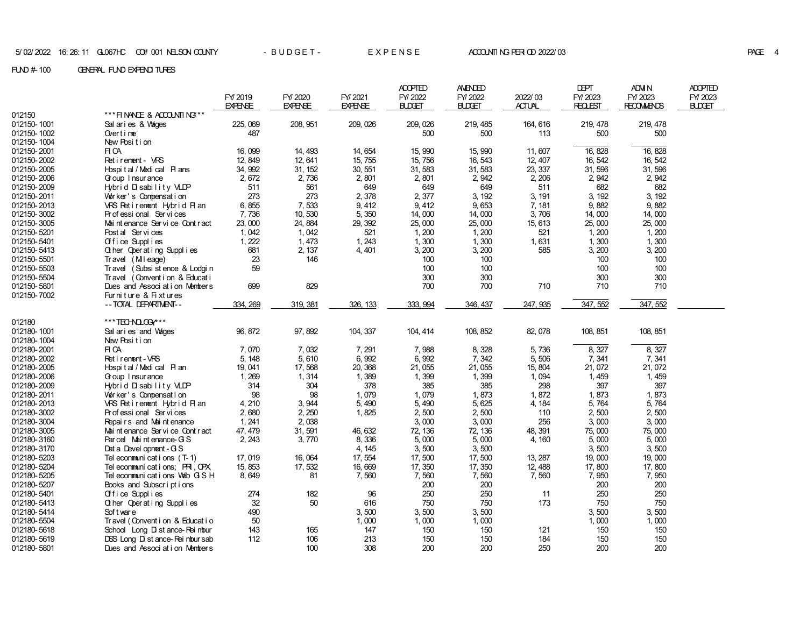|             |                                               |                           |                           |                           | <b>ADOPTED</b>           | <b>AMENDED</b>           |                          | DEPT                      | ADM N                        | <b>ADOPTED</b>          |
|-------------|-----------------------------------------------|---------------------------|---------------------------|---------------------------|--------------------------|--------------------------|--------------------------|---------------------------|------------------------------|-------------------------|
|             |                                               | FY 2019<br><b>EXPENSE</b> | FY/2020<br><b>EXPENSE</b> | FY/2021<br><b>EXPENSE</b> | FY/2022<br><b>BLDGET</b> | FY/2022<br><b>BLDGET</b> | 2022/03<br><b>ACTUAL</b> | FY/2023<br><b>REQLEST</b> | FY/2023<br><b>RECOMMENDS</b> | FY/2023<br><b>BUDET</b> |
| 012150      | *** FINANCE & ACCOUNTING**                    |                           |                           |                           |                          |                          |                          |                           |                              |                         |
| 012150-1001 | Sal aries & Wages                             | 225, 069                  | 208, 951                  | 209, 026                  | 209, 026                 | 219, 485                 | 164, 616                 | 219, 478                  | 219, 478                     |                         |
| 012150-1002 | Over $t$ ime                                  | 487                       |                           |                           | 500                      | 500                      | 113                      | 500                       | 500                          |                         |
| 012150-1004 | New Position                                  |                           |                           |                           |                          |                          |                          |                           |                              |                         |
| 012150-2001 | FI CA                                         | 16.099                    | 14.493                    | 14, 654                   | 15.990                   | 15, 990                  | 11,607                   | 16, 828                   | 16.828                       |                         |
| 012150-2002 | Retirement - VRS                              | 12, 849                   | 12, 641                   | 15, 755                   | 15,756                   | 16, 543                  | 12, 407                  | 16, 542                   | 16, 542                      |                         |
| 012150-2005 | Hospital / Medical Plans                      | 34, 992                   | 31, 152                   | 30, 551                   | 31, 583                  | 31,583                   | 23, 337                  | 31,596                    | 31,596                       |                         |
| 012150-2006 | G oup I nsur ance                             | 2,672                     | 2,736                     | 2,801                     | 2,801                    | 2, 942                   | 2, 206                   | 2,942                     | 2, 942                       |                         |
| 012150-2009 | Hybrid Disability VLDP                        | 511                       | 561                       | 649                       | 649                      | 649                      | 511                      | 682                       | 682                          |                         |
| 012150-2011 | Worker's Compensation                         | 273                       | 273                       | 2,378                     | 2,377                    | 3, 192                   | 3, 191                   | 3, 192                    | 3, 192                       |                         |
| 012150-2013 | VRS Retirement Hybrid Plan                    | 6,855                     | 7,533                     | 9, 412                    | 9,412                    | 9,653                    | 7, 181                   | 9,882                     | 9,882                        |                         |
| 012150-3002 | Professional Services                         | 7,736                     | 10,530                    | 5,350                     | 14,000                   | 14,000                   | 3,706                    | 14,000                    | 14,000                       |                         |
| 012150-3005 | Mai nt enance Servi ce Cont r act             | 23,000                    | 24, 884                   | 29, 392                   | 25,000                   | 25,000                   | 15, 613                  | 25,000                    | 25,000                       |                         |
| 012150-5201 | Post al Services                              | 1,042                     | 1,042                     | 521                       | 1,200                    | 1,200                    | 521                      | 1,200                     | 1,200                        |                         |
| 012150-5401 | Office Supplies                               | 1, 222                    | 1,473                     | 1, 243                    | 1,300                    | 1,300                    | 1,631                    | 1,300                     | 1,300                        |                         |
| 012150-5413 | Q her Operating Supplies                      | 681                       | 2, 137                    | 4, 401                    | 3, 200                   | 3,200                    | 585                      | 3, 200                    | 3, 200                       |                         |
| 012150-5501 | Travel (Mileage)                              | 23<br>59                  | 146                       |                           | 100                      | 100                      |                          | 100                       | 100                          |                         |
| 012150-5503 | (Subsi st ence & Lodgi n<br><b>Travel</b>     |                           |                           |                           | 100                      | 100                      |                          | 100                       | 100                          |                         |
| 012150-5504 | Travel (Convention & Educati                  | 699                       | 829                       |                           | 300<br>700               | 300<br>700               |                          | 300<br>710                | 300<br>710                   |                         |
| 012150-5801 | Dues and Association Members                  |                           |                           |                           |                          |                          | 710                      |                           |                              |                         |
| 012150-7002 | Furniture & Fixtures<br>-- TOTAL DEPARTMENT-- | 334, 269                  | 319, 381                  | 326, 133                  | 333, 994                 | 346, 437                 | 247, 935                 | 347, 552                  | 347, 552                     |                         |
|             |                                               |                           |                           |                           |                          |                          |                          |                           |                              |                         |
| 012180      | ***TECHNOLOGY***                              |                           |                           |                           |                          |                          |                          |                           |                              |                         |
| 012180-1001 | Sal aries and Vages                           | 96, 872                   | 97, 892                   | 104, 337                  | 104, 414                 | 108, 852                 | 82, 078                  | 108, 851                  | 108, 851                     |                         |
| 012180-1004 | New Position                                  |                           |                           |                           |                          |                          |                          |                           |                              |                         |
| 012180-2001 | FI CA                                         | 7,070                     | 7,032                     | 7, 291                    | 7,988                    | 8,328                    | 5,736                    | 8,327                     | 8,327                        |                         |
| 012180-2002 | Ret i rement - VRS                            | 5, 148                    | 5,610                     | 6,992                     | 6,992                    | 7,342                    | 5,506                    | 7,341                     | 7,341                        |                         |
| 012180-2005 | Hospital/Medical Plan                         | 19, 041                   | 17,568                    | 20, 368                   | 21,055                   | 21,055                   | 15, 804                  | 21,072                    | 21,072                       |                         |
| 012180-2006 | Goup I nsur ance                              | 1, 269                    | 1,314                     | 1,389                     | 1,399                    | 1,399                    | 1,094                    | 1, 459                    | 1,459                        |                         |
| 012180-2009 | Hybrid Disability VLDP                        | 314                       | 304                       | 378                       | 385                      | 385                      | 298                      | 397                       | 397                          |                         |
| 012180-2011 | Worker's Compensation                         | 98                        | 98                        | 1,079                     | 1,079                    | 1,873                    | 1,872                    | 1,873                     | 1,873                        |                         |
| 012180-2013 | VRS Retirement Hybrid Plan                    | 4, 210                    | 3,944                     | 5,490                     | 5,490                    | 5, 625                   | 4, 184                   | 5,764                     | 5,764                        |                         |
| 012180-3002 | Professional Services                         | 2,680                     | 2, 250                    | 1,825                     | 2,500                    | 2,500                    | 110                      | 2,500                     | 2,500                        |                         |
| 012180-3004 | Repairs and Maintenance                       | 1, 241                    | 2,038                     |                           | 3,000                    | 3,000                    | 256                      | 3,000                     | 3,000                        |                         |
| 012180-3005 | Mai nt enance Servi ce Cont r act             | 47, 479                   | 31, 591                   | 46, 632                   | 72, 136                  | 72, 136                  | 48, 391                  | 75,000                    | 75,000                       |                         |
| 012180-3160 | Parcel Maintenance-GS                         | 2, 243                    | 3,770                     | 8,336                     | 5,000                    | 5,000                    | 4, 160                   | 5,000                     | 5,000                        |                         |
| 012180-3170 | Dat a Devel opnent - G S                      |                           |                           | 4, 145                    | 3,500                    | 3,500                    |                          | 3,500                     | 3,500                        |                         |
| 012180-5203 | Tel econmuni cat i ons (T-1)                  | 17.019                    | 16, 064                   | 17, 554                   | 17,500                   | 17,500                   | 13, 287                  | 19,000                    | 19,000                       |                         |
| 012180-5204 | Tel ecommunications; PRI, OPX                 | 15, 853                   | 17, 532                   | 16,669                    | 17, 350                  | 17, 350                  | 12, 488                  | 17,800                    | 17,800                       |                         |
| 012180-5205 | Tel econmunications Web GSH                   | 8,649                     | 81                        | 7,560                     | 7,560                    | 7,560                    | 7,560                    | 7,950                     | 7,950                        |                         |
| 012180-5207 | Books and Subscriptions                       |                           |                           |                           | 200                      | 200                      |                          | 200                       | 200                          |                         |
| 012180-5401 | Office Supplies                               | 274                       | 182                       | 96                        | 250                      | 250                      | 11                       | 250                       | 250                          |                         |
| 012180-5413 | Other Operating Supplies                      | 32                        | 50                        | 616                       | 750                      | 750                      | 173                      | 750                       | 750                          |                         |
| 012180-5414 | Soft ware                                     | 490                       |                           | 3,500                     | 3,500                    | 3,500                    |                          | 3,500                     | 3,500                        |                         |
| 012180-5504 | Travel (Convent i on & Educat i o             | 50                        |                           | 1,000                     | 1,000                    | 1,000                    |                          | 1,000                     | 1,000                        |                         |
| 012180-5618 | School Long D st ance-Reimbur                 | 143                       | 165                       | 147                       | 150                      | 150                      | 121                      | 150                       | 150                          |                         |
| 012180-5619 | DSS Long D st ance- Rei mbur sab              | 112                       | 106                       | 213                       | 150                      | 150                      | 184                      | 150                       | 150                          |                         |
| 012180-5801 | Dues and Association Members                  |                           | 100                       | 308                       | 200                      | 200                      | 250                      | 200                       | 200                          |                         |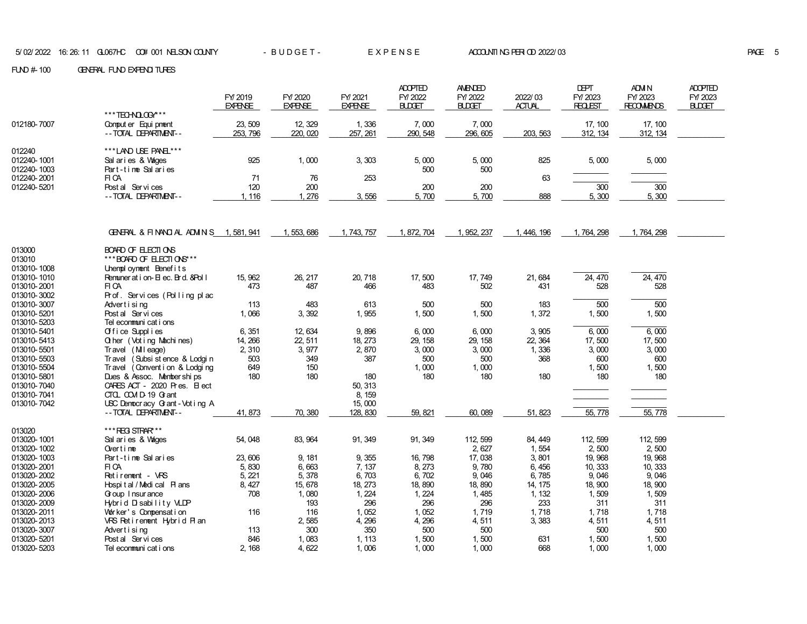|                                 |                                                                         | FY/2019        | FY/2020        | FY/2021         | <b>ADOPTED</b><br>FY/2022 | <b>AMENDED</b><br>FY/2022 | 2022/03       | <b>DEPT</b><br>FY/2023 | ADM N<br>FY/2023  | <b>ADOPTED</b><br>FY/2023 |
|---------------------------------|-------------------------------------------------------------------------|----------------|----------------|-----------------|---------------------------|---------------------------|---------------|------------------------|-------------------|---------------------------|
|                                 | ***TECHNOLOGY***                                                        | <b>EXPENSE</b> | <b>EXPENSE</b> | <b>EXPENSE</b>  | <b>BLDGET</b>             | <b>BLDGET</b>             | <b>ACTUAL</b> | <b>REQLEST</b>         | <b>RECOMMENDS</b> | <b>BUDET</b>              |
| 012180-7007                     | Comput er Equi pnent                                                    | 23, 509        | 12, 329        | 1,336           | 7,000                     | 7,000                     |               | 17, 100                | 17, 100           |                           |
|                                 | -- TOTAL DEPARTMENT--                                                   | 253, 796       | 220, 020       | 257, 261        | 290, 548                  | 296, 605                  | 203, 563      | 312, 134               | 312, 134          |                           |
|                                 |                                                                         |                |                |                 |                           |                           |               |                        |                   |                           |
| 012240                          | ***LAND LSE PANE ***                                                    |                |                |                 |                           |                           |               |                        |                   |                           |
| 012240-1001                     | Sal aries & Vages                                                       | 925            | 1,000          | 3, 303          | 5,000                     | 5,000                     | 825           | 5,000                  | 5,000             |                           |
| 012240-1003                     | Part-time Salaries                                                      |                |                |                 | 500                       | 500                       |               |                        |                   |                           |
| 012240-2001                     | FI CA                                                                   | 71             | 76             | 253             |                           |                           | 63            |                        |                   |                           |
| 012240-5201                     | Post al Services                                                        | 120            | 200            |                 | 200                       | 200                       |               | 300                    | $\overline{300}$  |                           |
|                                 | -- TOTAL DEPARTMENT--                                                   | 1, 116         | 1, 276         | 3,556           | 5,700                     | 5,700                     | 888           | 5, 300                 | 5,300             |                           |
|                                 | GENERAL & FINANCIAL ADMINIS 1,581,941                                   |                | 1, 553, 686    | 1, 743, 757     | 1, 872, 704               | 1, 952, 237               | 1, 446, 196   | 1, 764, 298            | 1, 764, 298       |                           |
| 013000<br>013010<br>013010-1008 | BOARD OF ELECTIONS<br>*** BOARD OF ELECTIONS**<br>Unemployment Benefits |                |                |                 |                           |                           |               |                        |                   |                           |
| 013010-1010                     | Remuneration-Elec. Brd. & Poll                                          | 15, 962        | 26, 217        | 20, 718         | 17,500                    | 17,749                    | 21,684        | 24, 470                | 24, 470           |                           |
| 013010-2001                     | FI CA                                                                   | 473            | 487            | 466             | 483                       | 502                       | 431           | 528                    | 528               |                           |
| 013010-3002                     | Prof. Services (Polling plac                                            |                |                |                 |                           |                           |               |                        |                   |                           |
| 013010-3007                     | Advertising                                                             | 113            | 483            | 613             | 500                       | 500                       | 183           | 500                    | 500               |                           |
| 013010-5201<br>013010-5203      | Post al Services<br>Tel ecommuni cat i ons                              | 1,066          | 3,392          | 1,955           | 1,500                     | 1,500                     | 1,372         | 1,500                  | 1,500             |                           |
| 013010-5401                     | Office Supplies                                                         | 6,351          | 12, 634        | 9,896           | 6,000                     | 6,000                     | 3,905         | 6,000                  | 6,000             |                           |
| 013010-5413                     | <b>Q her</b> (Vot ing Machines)                                         | 14, 266        | 22, 511        | 18, 273         | 29, 158                   | 29, 158                   | 22, 364       | 17,500                 | 17,500            |                           |
| 013010-5501                     | Travel (Mileage)                                                        | 2, 310         | 3,977          | 2,870           | 3,000                     | 3,000                     | 1,336         | 3,000                  | 3.000             |                           |
| 013010-5503                     | (Subsi st ence & Lodgi n<br><b>Travel</b>                               | 503            | 349            | 387             | 500                       | 500                       | 368           | 600                    | 600               |                           |
| 013010-5504                     | Travel (Convention & Lodging                                            | 649            | 150            |                 | 1,000                     | 1,000                     |               | 1,500                  | 1,500             |                           |
| 013010-5801                     | Dues & Assoc. Memberships                                               | 180            | 180            | 180             | 180                       | 180                       | 180           | 180                    | 180               |                           |
| 013010-7040                     | CARES ACT - 2020 Pres. El ect                                           |                |                | 50, 313         |                           |                           |               |                        |                   |                           |
| 013010-7041                     | CTOL COM D-19 G ant                                                     |                |                | 8, 159          |                           |                           |               |                        |                   |                           |
| 013010-7042                     | USC Democracy Grant-Voting A                                            |                |                | 15,000          |                           |                           |               |                        |                   |                           |
|                                 | -- TOTAL DEPARTMENT--                                                   | 41, 873        | 70, 380        | 128, 830        | 59, 821                   | 60,089                    | 51, 823       | 55,778                 | 55,778            |                           |
| 013020                          | *** REG STRAR***                                                        |                |                |                 |                           |                           |               |                        |                   |                           |
| 013020-1001                     | Sal aries & Vages                                                       | 54,048         | 83, 964        | 91, 349         | 91, 349                   | 112, 599                  | 84, 449       | 112, 599               | 112, 599          |                           |
| 013020-1002                     | Overtime                                                                |                |                |                 |                           | 2,627                     | 1,554         | 2.500                  | 2,500             |                           |
| 013020-1003                     | Part-time Salaries                                                      | 23,606         | 9, 181         | 9,355           | 16, 798                   | 17,038                    | 3,801         | 19, 968                | 19, 968           |                           |
| 013020-2001                     | FI CA                                                                   | 5,830          | 6,663          | 7,137           | 8, 273                    | 9,780                     | 6,456         | 10, 333                | 10, 333           |                           |
| 013020-2002                     | Retirement - VRS                                                        | 5, 221         | 5,378          | 6,703           | 6,702                     | 9,046                     | 6,785         | 9,046                  | 9,046             |                           |
| 013020-2005                     | Hospital / Medical Plans                                                | 8, 427         | 15, 678        | 18, 273         | 18, 890                   | 18,890                    | 14, 175       | 18, 900                | 18, 900           |                           |
| 013020-2006                     | Goup I nsur ance                                                        | 708            | 1,080          | 1, 224          | 1, 224                    | 1,485                     | 1, 132        | 1,509                  | 1,509             |                           |
| 013020-2009                     | Hybrid Disability VLDP                                                  |                | 193            | 296             | 296                       | 296                       | 233           | 311                    | 311               |                           |
| 013020-2011                     | Worker's Compensation                                                   | 116            | 116            | 1,052           | 1,052                     | 1,719                     | 1,718         | 1,718                  | 1,718             |                           |
| 013020-2013                     | VRS Retirement Hybrid Plan                                              |                | 2,585          | 4, 296          | 4,296                     | 4,511                     | 3,383         | 4,511                  | 4,511             |                           |
| 013020-3007                     | Advertising                                                             | 113            | 300            | 350             | 500                       | 500                       |               | 500                    | 500               |                           |
| 013020-5201<br>013020-5203      | Post al Services<br>Tel ecommuni cat i ons                              | 846<br>2, 168  | 1,083<br>4,622 | 1, 113<br>1,006 | 1,500<br>1,000            | 1,500<br>1,000            | 631<br>668    | 1,500<br>1,000         | 1,500<br>1,000    |                           |
|                                 |                                                                         |                |                |                 |                           |                           |               |                        |                   |                           |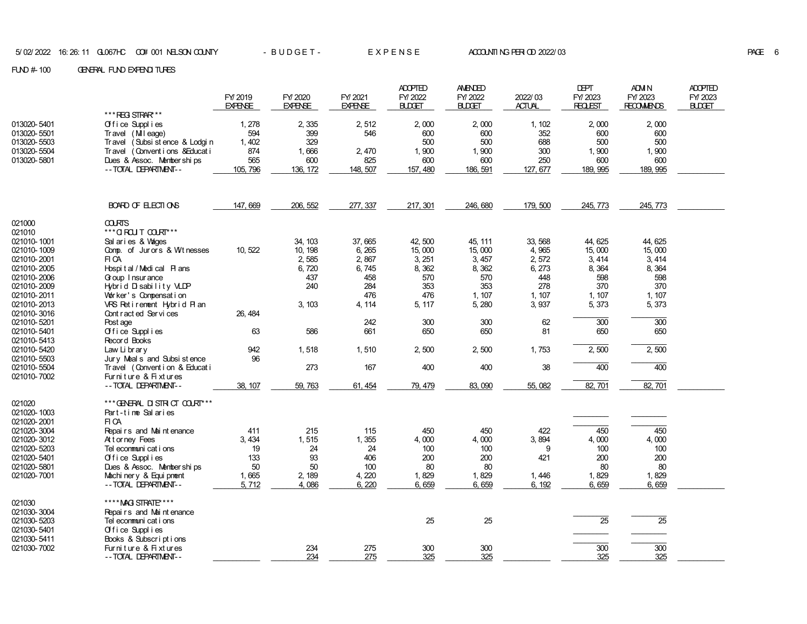|                                      |                                                                         | FY 2019<br><b>EXPENSE</b> | FY/2020<br><b>EXPENSE</b> | FY/2021<br><b>EXPENSE</b> | <b>ADOPTED</b><br>FY/2022<br><b>BLDGET</b> | <b>AMENDED</b><br>FY/2022<br><b>BLDGET</b> | 2022/03<br><b>ACTUAL</b> | DEPT<br>FY/2023<br><b>REQLEST</b> | <b>ADM N</b><br>FY/2023<br><b>RECOMMENDS</b> | <b>ADOPTED</b><br>FY/2023<br><b>BLDGET</b> |
|--------------------------------------|-------------------------------------------------------------------------|---------------------------|---------------------------|---------------------------|--------------------------------------------|--------------------------------------------|--------------------------|-----------------------------------|----------------------------------------------|--------------------------------------------|
|                                      | *** REG STRAR***                                                        |                           |                           |                           |                                            |                                            |                          |                                   |                                              |                                            |
| 013020-5401                          | Office Supplies                                                         | 1,278                     | 2,335                     | 2,512                     | 2,000                                      | 2,000                                      | 1.102                    | 2,000                             | 2,000                                        |                                            |
| 013020-5501                          | Travel (Mileage)                                                        | 594                       | 399                       | 546                       | 600                                        | 600                                        | 352                      | 600                               | 600                                          |                                            |
| 013020-5503<br>013020-5504           | Travel (Subsistence & Lodgin<br>(Conventions & Educati<br><b>Travel</b> | 1,402<br>874              | 329<br>1,666              | 2,470                     | 500<br>1,900                               | 500<br>1,900                               | 688<br>300               | 500<br>1,900                      | 500<br>1,900                                 |                                            |
| 013020-5801                          | Dues & Assoc. Memberships                                               | 565                       | 600                       | 825                       | 600                                        | 600                                        | 250                      | 600                               | 600                                          |                                            |
|                                      | -- TOTAL DEPARTMENT--                                                   | 105, 796                  | 136, 172                  | 148, 507                  | 157, 480                                   | 186, 591                                   | 127, 677                 | 189, 995                          | 189, 995                                     |                                            |
|                                      |                                                                         |                           |                           |                           |                                            |                                            |                          |                                   |                                              |                                            |
|                                      | BOARD OF ELECTIONS                                                      | 147,669                   | 206, 552                  | 277, 337                  | 217, 301                                   | 246, 680                                   | 179, 500                 | 245, 773                          | 245, 773                                     |                                            |
| 021000<br>021010                     | <b>COLRTS</b><br>*** O ROU T COURT***                                   |                           |                           |                           |                                            |                                            |                          |                                   |                                              |                                            |
| 021010-1001                          | Sal aries & Vages                                                       |                           | 34, 103                   | 37,665                    | 42.500                                     | 45.111                                     | 33, 568                  | 44.625                            | 44.625                                       |                                            |
| 021010-1009                          | Comp. of Jurors & Witnesses                                             | 10, 522                   | 10, 198                   | 6,265                     | 15,000                                     | 15,000                                     | 4,965                    | 15,000                            | 15,000                                       |                                            |
| 021010-2001                          | FI CA                                                                   |                           | 2,585                     | 2,867                     | 3, 251                                     | 3, 457                                     | 2,572                    | 3, 414                            | 3, 414                                       |                                            |
| 021010-2005                          | Hospital / Medical Plans                                                |                           | 6,720                     | 6,745                     | 8,362                                      | 8,362                                      | 6, 273                   | 8,364                             | 8,364                                        |                                            |
| 021010-2006<br>021010-2009           | Goup I nsur ance<br>Hybrid Disability VLDP                              |                           | 437<br>240                | 458<br>284                | 570<br>353                                 | 570<br>353                                 | 448<br>278               | 598<br>370                        | 598<br>370                                   |                                            |
| 021010-2011                          | Vor ker's Compensation                                                  |                           |                           | 476                       | 476                                        | 1, 107                                     | 1, 107                   | 1, 107                            | 1, 107                                       |                                            |
| 021010-2013                          | VRS Retirement Hybrid Plan                                              |                           | 3, 103                    | 4.114                     | 5, 117                                     | 5, 280                                     | 3,937                    | 5, 373                            | 5, 373                                       |                                            |
| 021010-3016                          | Cont racted Services                                                    | 26.484                    |                           |                           |                                            |                                            |                          |                                   |                                              |                                            |
| 021010-5201                          | Post age                                                                |                           |                           | 242                       | 300                                        | 300                                        | 62                       | $\overline{300}$                  | $\overline{300}$                             |                                            |
| 021010-5401<br>021010-5413           | Office Supplies<br>Record Books                                         | 63                        | 586                       | 661                       | 650                                        | 650                                        | 81                       | 650                               | 650                                          |                                            |
| 021010-5420<br>021010-5503           | Law Library<br>Jury Meal s and Subsi st ence                            | 942<br>96                 | 1,518                     | 1,510                     | 2,500                                      | 2,500                                      | 1,753                    | 2,500                             | 2,500                                        |                                            |
| 021010-5504<br>021010-7002           | Travel (Convention & Educati<br>Furniture & Fixtures                    |                           | 273                       | 167                       | 400                                        | 400                                        | 38                       | 400                               | 400                                          |                                            |
|                                      | -- TOTAL DEPARTMENT--                                                   | 38, 107                   | 59, 763                   | 61, 454                   | 79, 479                                    | 83, 090                                    | 55,082                   | 82, 701                           | 82, 701                                      |                                            |
| 021020<br>021020-1003<br>021020-2001 | *** GENERAL DISTRICT COURT***<br>Part-time Salaries<br>FI CA            |                           |                           |                           |                                            |                                            |                          |                                   |                                              |                                            |
| 021020-3004                          | Repairs and Maintenance                                                 | 411                       | 215                       | 115                       | 450                                        | 450                                        | 422                      | 450                               | 450                                          |                                            |
| 021020-3012                          | Attorney Fees                                                           | 3, 434                    | 1,515                     | 1,355                     | 4,000                                      | 4,000                                      | 3,894                    | 4,000                             | 4,000                                        |                                            |
| 021020-5203                          | Tel ecommuni cat i ons                                                  | 19                        | 24                        | 24                        | 100                                        | 100                                        | 9                        | 100                               | 100                                          |                                            |
| 021020-5401                          | Office Supplies                                                         | 133                       | 93                        | 406                       | 200                                        | 200                                        | 421                      | 200                               | 200                                          |                                            |
| 021020-5801                          | Dues & Assoc. Memberships                                               | 50                        | 50                        | 100                       | 80                                         | 80                                         |                          | 80                                | 80                                           |                                            |
| 021020-7001                          | Machinery & Equipment                                                   | 1,665                     | 2, 189                    | 4,220                     | 1,829                                      | 1,829                                      | 1,446                    | 1,829                             | 1,829                                        |                                            |
|                                      | -- TOTAL DEPARTMENT--                                                   | 5.712                     | 4.086                     | 6, 220                    | 6,659                                      | 6,659                                      | 6, 192                   | 6,659                             | 6,659                                        |                                            |
| 021030                               | **** MAG STRATE****                                                     |                           |                           |                           |                                            |                                            |                          |                                   |                                              |                                            |
| 021030-3004<br>021030-5203           | Repairs and Maintenance<br>Tel econnuni cat i ons                       |                           |                           |                           | 25                                         | 25                                         |                          | $\overline{25}$                   | $\overline{25}$                              |                                            |
| 021030-5401                          | Office Supplies                                                         |                           |                           |                           |                                            |                                            |                          |                                   |                                              |                                            |
| 021030-5411                          | Books & Subscriptions                                                   |                           |                           |                           |                                            |                                            |                          |                                   |                                              |                                            |
| 021030-7002                          | Furniture & Fixtures                                                    |                           | 234                       | 275                       | 300                                        | 300                                        |                          | $\overline{300}$                  | $\overline{300}$                             |                                            |
|                                      | -- TOTAL DEPARTMENT--                                                   |                           | 234                       | 275                       | 325                                        | 325                                        |                          | 325                               | 325                                          |                                            |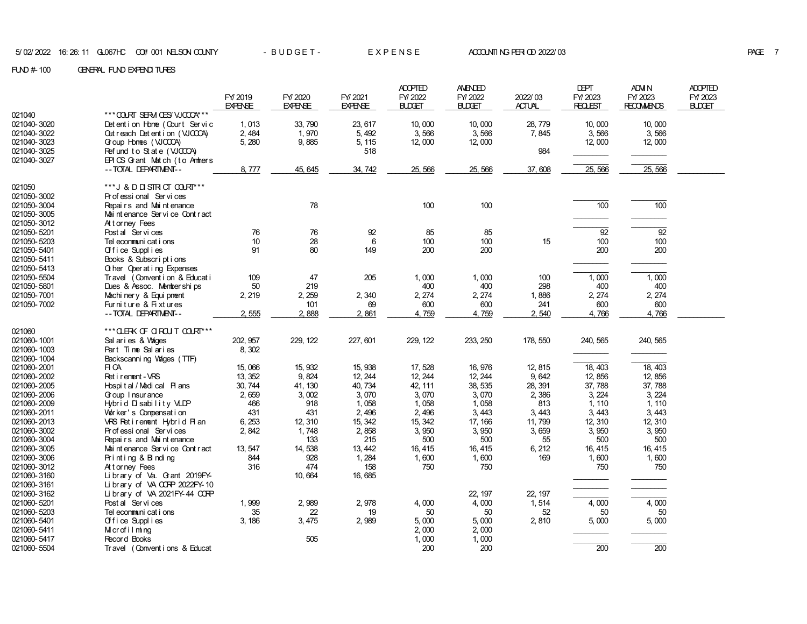|             |                                               |                |                |                | <b>ADOPTED</b> | <b>AMENDED</b> |               | <b>DEPT</b>    | <b>ADM N</b>      | <b>ADOPTED</b> |
|-------------|-----------------------------------------------|----------------|----------------|----------------|----------------|----------------|---------------|----------------|-------------------|----------------|
|             |                                               | FY 2019        | FY/2020        | FY/2021        | FY/2022        | FY/2022        | 2022/03       | FY/2023        | FY/2023           | FY/2023        |
|             |                                               | <b>EXPENSE</b> | <b>EXPENSE</b> | <b>EXPENSE</b> | <b>BLDGET</b>  | <b>BLDGET</b>  | <b>ACTUAL</b> | <b>REQLEST</b> | <b>RECOMMENDS</b> | <b>BLDGET</b>  |
| 021040      | *** COURT SERM CESY VJOCOX***                 |                |                |                |                |                |               |                |                   |                |
| 021040-3020 | Det enti on Home (Court Servic                | 1,013          | 33, 790        | 23, 617        | 10,000         | 10,000         | 28, 779       | 10,000         | 10,000            |                |
| 021040-3022 | Out reach Det ent i on (VJCCCA)               | 2, 484         | 1,970          | 5, 492         | 3,566          | 3,566          | 7,845         | 3,566          | 3,566             |                |
| 021040-3023 | G oup Hones (VJCCCA)                          | 5, 280         | 9,885          | 5, 115         | 12,000         | 12,000         |               | 12,000         | 12,000            |                |
| 021040-3025 | Refund to State (VJCCCA)                      |                |                | 518            |                |                | 984           |                |                   |                |
| 021040-3027 | EPICS Grant Match (to Annhers                 |                |                |                |                |                |               |                |                   |                |
|             | -- TOTAL DEPARTMENT--                         | 8,777          | 45, 645        | 34, 742        | 25, 566        | 25, 566        | 37,608        | 25,566         | 25,566            |                |
|             |                                               |                |                |                |                |                |               |                |                   |                |
| 021050      | ***J & D D STR CT COURT***                    |                |                |                |                |                |               |                |                   |                |
| 021050-3002 | Pr of essi onal Ser vi ces                    |                |                |                |                |                |               |                |                   |                |
| 021050-3004 | Repairs and Maintenance                       |                | 78             |                | 100            | 100            |               | 100            | 100               |                |
| 021050-3005 | Mai nt enance Servi ce Cont r act             |                |                |                |                |                |               |                |                   |                |
| 021050-3012 | Attorney Fees                                 |                |                |                |                |                |               |                |                   |                |
| 021050-5201 | Post al Services                              | 76             | 76             | 92             | 85             | 85             |               | 92             | 92                |                |
| 021050-5203 | Tel econmuni cat i ons                        | 10             | 28             | 6              | 100            | 100            | 15            | 100            | 100               |                |
| 021050-5401 | Office Supplies                               | 91             | 80             | 149            | 200            | 200            |               | 200            | 200               |                |
| 021050-5411 | Books & Subscriptions                         |                |                |                |                |                |               |                |                   |                |
| 021050-5413 | <b>Q</b> her Operating Expenses               |                |                |                |                |                |               |                |                   |                |
| 021050-5504 | Travel (Convention & Educati                  | 109            | 47             | 205            | 1,000          | 1,000          | 100           | 1,000          | 1,000             |                |
| 021050-5801 | Dues & Assoc. Memberships                     | 50             | 219            |                | 400            | 400            | 298           | 400            | 400               |                |
| 021050-7001 | Machi ner y & Equi pnent                      | 2, 219         | 2, 259         | 2,340          | 2, 274         | 2, 274         | 1,886         | 2, 274         | 2, 274            |                |
| 021050-7002 | Furniture & Fixtures<br>-- TOTAL DEPARTMENT-- | 2,555          | 101<br>2,888   | 69<br>2,861    | 600<br>4,759   | 600<br>4,759   | 241<br>2,540  | 600<br>4,766   | 600<br>4,766      |                |
|             |                                               |                |                |                |                |                |               |                |                   |                |
| 021060      | *** OLERK OF OIROUT COURT***                  |                |                |                |                |                |               |                |                   |                |
| 021060-1001 | Sal aries & Vages                             | 202, 957       | 229, 122       | 227, 601       | 229, 122       | 233, 250       | 178, 550      | 240, 565       | 240, 565          |                |
| 021060-1003 | Part Time Salaries                            | 8,302          |                |                |                |                |               |                |                   |                |
| 021060-1004 | Backscanning Vages (TTF)                      |                |                |                |                |                |               |                |                   |                |
| 021060-2001 | FI CA                                         | 15,066         | 15, 932        | 15, 938        | 17,528         | 16, 976        | 12, 815       | 18, 403        | 18, 403           |                |
| 021060-2002 | Ret i rement - VRS                            | 13, 352        | 9,824          | 12, 244        | 12, 244        | 12, 244        | 9,642         | 12, 856        | 12, 856           |                |
| 021060-2005 | Hospital / Medical Plans                      | 30, 744        | 41, 130        | 40, 734        | 42, 111        | 38, 535        | 28, 391       | 37,788         | 37,788            |                |
| 021060-2006 | Goup I nsur ance                              | 2,659          | 3,002          | 3,070          | 3,070          | 3,070          | 2,386         | 3, 224         | 3, 224            |                |
| 021060-2009 | Hybrid Disability VLDP                        | 466            | 918            | 1,058          | 1,058          | 1,058          | 813           | 1, 110         | 1, 110            |                |
| 021060-2011 | Worker's Compensation                         | 431            | 431            | 2,496          | 2,496          | 3,443          | 3,443         | 3,443          | 3,443             |                |
| 021060-2013 | VRS Retirement Hybrid Plan                    | 6, 253         | 12, 310        | 15, 342        | 15, 342        | 17, 166        | 11,799        | 12, 310        | 12, 310           |                |
| 021060-3002 | Pr of essi onal Ser vi ces                    | 2, 842         | 1,748          | 2,858          | 3,950          | 3,950          | 3,659         | 3,950          | 3,950             |                |
| 021060-3004 | Repairs and Maintenance                       |                | 133            | 215            | 500            | 500            | 55            | 500            | 500               |                |
| 021060-3005 | Mai nt enance Ser vi ce Cont r act            | 13, 547        | 14, 538        | 13, 442        | 16, 415        | 16, 415        | 6, 212        | 16, 415        | 16, 415           |                |
| 021060-3006 | Printing & Binding                            | 844            | 928            | 1,284          | 1,600          | 1,600          | 169           | 1,600          | 1,600             |                |
| 021060-3012 | Attorney Fees                                 | 316            | 474            | 158            | 750            | 750            |               | 750            | 750               |                |
| 021060-3160 | Library of Va. Grant 2019FY-                  |                | 10,664         | 16, 685        |                |                |               |                |                   |                |
| 021060-3161 | Library of VA CORP 2022FY-10                  |                |                |                |                |                |               |                |                   |                |
| 021060-3162 | Library of VA 2021 FY-44 $C$ GRP              |                |                |                |                | 22, 197        | 22, 197       |                |                   |                |
| 021060-5201 | Post al Services                              | 1,999          | 2,989          | 2,978          | 4,000          | 4,000          | 1,514         | 4,000          | 4,000             |                |
| 021060-5203 | Tel ecommuni cat i ons                        | 35             | 22             | 19             | 50             | 50             | 52            | 50             | 50                |                |
| 021060-5401 | Office Supplies                               | 3, 186         | 3, 475         | 2,989          | 5,000          | 5,000          | 2,810         | 5,000          | 5,000             |                |
| 021060-5411 | Microfilming                                  |                |                |                | 2,000          | 2,000          |               |                |                   |                |
| 021060-5417 | Record Books                                  |                | 505            |                | 1,000          | 1,000          |               |                |                   |                |
| 021060-5504 | Travel (Conventions & Educat                  |                |                |                | 200            | 200            |               | 200            | 200               |                |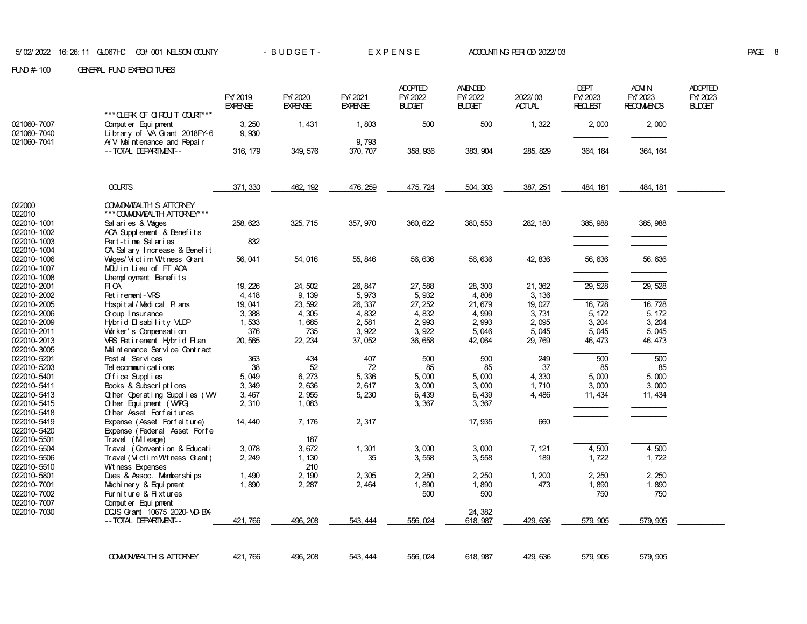|             |                                   | FY 2019<br><b>EXPENSE</b> | FY/2020<br><b>EXPENSE</b> | FY/2021<br><b>EXPENSE</b> | <b>ADOPTED</b><br>FY/2022<br><b>BLDGET</b> | <b>AMENDED</b><br>FY/2022<br><b>BLDGET</b> | 2022/03<br><b>ACTUAL</b> | <b>DEPT</b><br>FY/2023<br><b>REQLEST</b> | ADM N<br>FY/2023<br><b>RECOMMENDS</b> | <b>ADOPTED</b><br>FY/2023<br><b>BUDGET</b> |
|-------------|-----------------------------------|---------------------------|---------------------------|---------------------------|--------------------------------------------|--------------------------------------------|--------------------------|------------------------------------------|---------------------------------------|--------------------------------------------|
|             | *** CLERK OF CIRCUT COURT***      |                           |                           |                           |                                            |                                            |                          |                                          |                                       |                                            |
| 021060-7007 | Comput er Equi pnent              | 3, 250                    | 1,431                     | 1,803                     | 500                                        | 500                                        | 1,322                    | 2,000                                    | 2,000                                 |                                            |
| 021060-7040 | Library of VA Grant 2018FY-6      | 9,930                     |                           |                           |                                            |                                            |                          |                                          |                                       |                                            |
| 021060-7041 | $AY$ Mai nt enance and Repair     |                           |                           | 9,793                     |                                            |                                            |                          |                                          |                                       |                                            |
|             | -- TOTAL DEPARTMENT--             | 316, 179                  | 349, 576                  | 370, 707                  | 358, 936                                   | 383, 904                                   | 285, 829                 | 364, 164                                 | 364, 164                              |                                            |
|             |                                   |                           |                           |                           |                                            |                                            |                          |                                          |                                       |                                            |
|             | <b>COURTS</b>                     | 371, 330                  | 462, 192                  | 476, 259                  | 475, 724                                   | 504, 303                                   | 387, 251                 | 484, 181                                 | 484, 181                              |                                            |
| 022000      | <b>COMON/EALTH S ATTORNEY</b>     |                           |                           |                           |                                            |                                            |                          |                                          |                                       |                                            |
| 022010      | *** COMON/EALTH ATTORNEY***       |                           |                           |                           |                                            |                                            |                          |                                          |                                       |                                            |
| 022010-1001 | Sal aries & Vages                 | 258, 623                  | 325, 715                  | 357, 970                  | 360, 622                                   | 380, 553                                   | 282, 180                 | 385, 988                                 | 385, 988                              |                                            |
| 022010-1002 | ACA Supplement & Benefits         |                           |                           |                           |                                            |                                            |                          |                                          |                                       |                                            |
| 022010-1003 | Part-time Salaries                | 832                       |                           |                           |                                            |                                            |                          |                                          |                                       |                                            |
| 022010-1004 | CA Sal ary Increase & Benefit     |                           |                           |                           |                                            |                                            |                          |                                          |                                       |                                            |
| 022010-1006 | Wages/ Vict im W tness G ant      | 56, 041                   | 54,016                    | 55, 846                   | 56, 636                                    | 56, 636                                    | 42, 836                  | 56, 636                                  | 56, 636                               |                                            |
| 022010-1007 | MOU in Lieu of FTACA              |                           |                           |                           |                                            |                                            |                          |                                          |                                       |                                            |
| 022010-1008 | Unemployment Benefits             |                           |                           |                           |                                            |                                            |                          |                                          |                                       |                                            |
| 022010-2001 | FI CA                             | 19, 226                   | 24, 502                   | 26, 847                   | 27,588                                     | 28, 303                                    | 21, 362                  | 29, 528                                  | 29, 528                               |                                            |
| 022010-2002 | Ret i rement - VRS                | 4,418                     | 9, 139                    | 5,973                     | 5,932                                      | 4,808                                      | 3, 136                   |                                          |                                       |                                            |
| 022010-2005 | Hospital / Medical Plans          | 19.041                    | 23, 592                   | 26, 337                   | 27.252                                     | 21,679                                     | 19, 027                  | 16, 728                                  | 16, 728                               |                                            |
| 022010-2006 | Goup I nsur ance                  | 3,388                     | 4,305                     | 4,832                     | 4,832                                      | 4,999                                      | 3,731                    | 5, 172                                   | 5, 172                                |                                            |
| 022010-2009 | Hybrid Disability VLDP            | 1,533                     | 1,685                     | 2,581                     | 2,993                                      | 2,993                                      | 2,095                    | 3, 204                                   | 3, 204                                |                                            |
| 022010-2011 | Worker's Compensation             | 376                       | 735                       | 3,922                     | 3,922                                      | 5,046                                      | 5,045                    | 5,045                                    | 5,045                                 |                                            |
| 022010-2013 | VRS Retirement Hybrid Plan        | 20, 565                   | 22, 234                   | 37,052                    | 36, 658                                    | 42, 064                                    | 29, 769                  | 46, 473                                  | 46, 473                               |                                            |
| 022010-3005 | Mai nt enance Servi ce Cont r act |                           |                           |                           |                                            |                                            |                          |                                          |                                       |                                            |
| 022010-5201 | Post al Services                  | 363                       | 434                       | 407                       | 500                                        | 500                                        | 249                      | 500                                      | $\overline{500}$                      |                                            |
| 022010-5203 | Tel econmuni cat i ons            | 38                        | 52                        | 72                        | 85                                         | 85                                         | 37                       | 85                                       | 85                                    |                                            |
| 022010-5401 | Office Supplies                   | 5,049                     | 6, 273                    | 5,336                     | 5,000                                      | 5,000                                      | 4,330                    | 5,000                                    | 5,000                                 |                                            |
| 022010-5411 | Books & Subscriptions             | 3, 349                    | 2,636                     | 2,617                     | 3,000                                      | 3,000                                      | 1,710                    | 3,000                                    | 3,000                                 |                                            |
| 022010-5413 | Other Operating Supplies (WV      | 3, 467                    | 2,955                     | 5, 230                    | 6,439                                      | 6,439                                      | 4,486                    | 11, 434                                  | 11, 434                               |                                            |
| 022010-5415 | Q her Equipment (WPG)             | 2, 310                    | 1,083                     |                           | 3, 367                                     | 3, 367                                     |                          |                                          |                                       |                                            |
| 022010-5418 | Other Asset Forfeitures           |                           |                           |                           |                                            |                                            |                          |                                          |                                       |                                            |
| 022010-5419 | Expense (Asset Forfeiture)        | 14, 440                   | 7, 176                    | 2, 317                    |                                            | 17, 935                                    | 660                      |                                          |                                       |                                            |
| 022010-5420 | Expense (Federal Asset Forfe      |                           |                           |                           |                                            |                                            |                          |                                          |                                       |                                            |
| 022010-5501 | Travel (Mileage)                  |                           | 187                       |                           |                                            |                                            |                          |                                          |                                       |                                            |
| 022010-5504 | Travel (Convention & Educati      | 3,078                     | 3, 672                    | 1,301                     | 3,000                                      | 3,000                                      | 7, 121                   | 4,500                                    | 4,500                                 |                                            |
| 022010-5506 | Travel (Victim Wtness Grant)      | 2, 249                    | 1, 130                    | 35                        | 3,558                                      | 3,558                                      | 189                      | 1,722                                    | 1,722                                 |                                            |
| 022010-5510 | Wt ness Expenses                  |                           | 210                       |                           |                                            |                                            |                          |                                          |                                       |                                            |
| 022010-5801 | Dues & Assoc. Memberships         | 1,490                     | 2, 190                    | 2,305                     | 2, 250                                     | 2, 250                                     | 1,200                    | 2,250                                    | 2,250                                 |                                            |
| 022010-7001 | Machinery & Equipment             | 1,890                     | 2, 287                    | 2, 464                    | 1,890                                      | 1,890                                      | 473                      | 1,890                                    | 1,890                                 |                                            |
| 022010-7002 | Furniture & Fixtures              |                           |                           |                           | 500                                        | 500                                        |                          | 750                                      | 750                                   |                                            |
| 022010-7007 | Comput er Equi pment              |                           |                           |                           |                                            |                                            |                          |                                          |                                       |                                            |
| 022010-7030 | DCJS G ant 10675 2020-VD-BX-      |                           |                           |                           |                                            | 24, 382                                    |                          |                                          |                                       |                                            |
|             | --TOTAL DEPARTMENT--              | 421, 766                  | 496.208                   | 543, 444                  | 556, 024                                   | 618, 987                                   | 429, 636                 | 579, 905                                 | 579, 905                              |                                            |
|             |                                   |                           |                           |                           |                                            |                                            |                          |                                          |                                       |                                            |
|             | <b>COMON/EALTH S ATTORNEY</b>     | 421, 766                  | 496, 208                  | 543, 444                  | 556, 024                                   | 618, 987                                   | 429, 636                 | 579, 905                                 | 579, 905                              |                                            |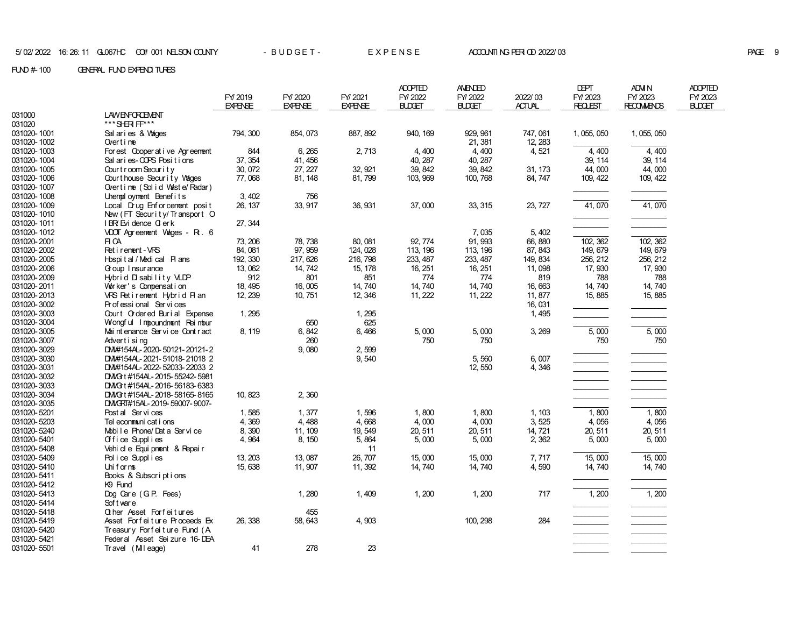|             |                                    | FY 2019<br><b>EXPENSE</b> | FY/2020<br><b>EXPENSE</b> | FY/2021<br><b>EXPENSE</b> | <b>ADOPTED</b><br>FY/2022<br><b>BLDGET</b> | <b>AMENDED</b><br>FY/2022<br><b>BLDGET</b> | 2022/03<br><b>ACTUAL</b> | <b>DEPT</b><br>FY/2023<br><b>REQLEST</b> | ADM N<br>FY/2023<br><b>RECOMMENDS</b> | <b>ADOPTED</b><br>FY/2023<br>BUDGET |
|-------------|------------------------------------|---------------------------|---------------------------|---------------------------|--------------------------------------------|--------------------------------------------|--------------------------|------------------------------------------|---------------------------------------|-------------------------------------|
| 031000      | <b>LAWENFORCEMENT</b>              |                           |                           |                           |                                            |                                            |                          |                                          |                                       |                                     |
| 031020      | *** SHR FF***                      |                           |                           |                           |                                            |                                            |                          |                                          |                                       |                                     |
| 031020-1001 | Sal aries & Vages                  | 794, 300                  | 854, 073                  | 887, 892                  | 940, 169                                   | 929, 961                                   | 747, 061                 | 1, 055, 050                              | 1, 055, 050                           |                                     |
| 031020-1002 | Over $t$ ime                       |                           |                           |                           |                                            | 21, 381                                    | 12, 283                  |                                          |                                       |                                     |
| 031020-1003 | For est Cooper at i ve Agr eenent  | 844                       | 6, 265                    | 2, 713                    | 4,400                                      | 4,400                                      | 4,521                    | 4,400                                    | 4,400                                 |                                     |
| 031020-1004 | Sal aries-COPS Positions           | 37, 354                   | 41, 456                   |                           | 40, 287                                    | 40, 287                                    |                          | 39, 114                                  | 39, 114                               |                                     |
| 031020-1005 | Court room Security                | 30, 072                   | 27, 227                   | 32, 921                   | 39, 842                                    | 39, 842                                    | 31, 173                  | 44,000                                   | 44,000                                |                                     |
| 031020-1006 | Court house Security Vages         | 77,068                    | 81, 148                   | 81, 799                   | 103, 969                                   | 100, 768                                   | 84, 747                  | 109, 422                                 | 109, 422                              |                                     |
| 031020-1007 | Overtime (Solid Waste/Radar)       |                           |                           |                           |                                            |                                            |                          |                                          |                                       |                                     |
| 031020-1008 | Unemployment Benefits              | 3, 402                    | 756                       |                           |                                            |                                            |                          |                                          |                                       |                                     |
| 031020-1009 | Local Drug Enforcement posit       | 26, 137                   | 33, 917                   | 36, 931                   | 37,000                                     | 33, 315                                    | 23, 727                  | 41,070                                   | 41,070                                |                                     |
| 031020-1010 | New (FT Security/Transport O       |                           |                           |                           |                                            |                                            |                          |                                          |                                       |                                     |
| 031020-1011 | IBR Evi dence C erk                | 27, 344                   |                           |                           |                                            |                                            |                          |                                          |                                       |                                     |
| 031020-1012 | VDOT Agreement Vages - R . 6       |                           |                           |                           |                                            | 7,035                                      | 5, 402                   |                                          |                                       |                                     |
| 031020-2001 | FI CA                              | 73, 206                   | 78, 738                   | 80, 081                   | 92, 774                                    | 91, 993                                    | 66,880                   | 102, 362                                 | 102, 362                              |                                     |
| 031020-2002 | Ret i rement - VRS                 | 84,081                    | 97, 959                   | 124, 028                  | 113, 196                                   | 113, 196                                   | 87, 843                  | 149, 679                                 | 149, 679                              |                                     |
| 031020-2005 | Hospital/Medical Plans             | 192, 330                  | 217, 626                  | 216, 798                  | 233, 487                                   | 233, 487                                   | 149, 834                 | 256, 212                                 | 256, 212                              |                                     |
| 031020-2006 | Goup I nsur ance                   | 13, 062                   | 14, 742                   | 15, 178                   | 16, 251                                    | 16, 251                                    | 11,098                   | 17, 930                                  | 17, 930                               |                                     |
| 031020-2009 | Hybrid Disability VLDP             | 912                       | 801                       | 851                       | 774                                        | 774                                        | 819                      | 788                                      | 788                                   |                                     |
| 031020-2011 | Worker's Compensation              | 18, 495                   | 16,005                    | 14, 740                   | 14, 740                                    | 14,740                                     | 16,663                   | 14, 740                                  | 14, 740                               |                                     |
| 031020-2013 | VRS Retirement Hybrid Plan         | 12, 239                   | 10, 751                   | 12, 346                   | 11, 222                                    | 11, 222                                    | 11,877                   | 15, 885                                  | 15, 885                               |                                     |
| 031020-3002 | Pr of essi onal Ser vi ces         |                           |                           |                           |                                            |                                            | 16, 031                  |                                          |                                       |                                     |
| 031020-3003 | Court Ordered Burial Expense       | 1, 295                    |                           | 1, 295                    |                                            |                                            | 1,495                    |                                          |                                       |                                     |
| 031020-3004 | Wongful Impoundment Reimbur        |                           | 650                       | 625                       |                                            |                                            |                          |                                          |                                       |                                     |
| 031020-3005 | Mai nt enance Ser vi ce Cont r act | 8, 119                    | 6, 842                    | 6,466                     | 5,000                                      | 5,000                                      | 3, 269                   | 5,000                                    | 5,000                                 |                                     |
| 031020-3007 | Advertising                        |                           | 260                       |                           | 750                                        | 750                                        |                          | 750                                      | 750                                   |                                     |
| 031020-3029 | DN#154AL-2020-50121-20121-2        |                           | 9,080                     | 2,599                     |                                            |                                            |                          |                                          |                                       |                                     |
| 031020-3030 | DN#154AL-2021-51018-21018 2        |                           |                           | 9,540                     |                                            | 5,560                                      | 6,007                    |                                          |                                       |                                     |
| 031020-3031 | DN#154AL-2022-52033-22033 2        |                           |                           |                           |                                            | 12, 550                                    | 4,346                    |                                          |                                       |                                     |
| 031020-3032 | DMG t #154AL-2015-55242-5981       |                           |                           |                           |                                            |                                            |                          |                                          |                                       |                                     |
| 031020-3033 | DMG t #154AL-2016-56183-6383       |                           |                           |                           |                                            |                                            |                          |                                          |                                       |                                     |
| 031020-3034 | DMG t #154AL-2018-58165-8165       | 10, 823                   | 2,360                     |                           |                                            |                                            |                          |                                          |                                       |                                     |
| 031020-3035 | DMGRT#15AL-2019-59007-9007-        |                           |                           |                           |                                            |                                            |                          |                                          |                                       |                                     |
| 031020-5201 | Post al Services                   | 1,585                     | 1,377                     | 1,596                     | 1,800                                      | 1,800                                      | 1, 103                   | 1,800                                    | 1,800                                 |                                     |
| 031020-5203 | Tel econmuni cat i ons             | 4,369                     | 4,488                     | 4,668                     | 4,000                                      | 4,000                                      | 3, 525                   | 4,056                                    | 4,056                                 |                                     |
| 031020-5240 | Mobile Phone/Data Service          | 8,390                     | 11, 109                   | 19, 549                   | 20, 511                                    | 20, 511                                    | 14, 721                  | 20, 511                                  | 20, 511                               |                                     |
| 031020-5401 | Office Supplies                    | 4,964                     | 8, 150                    | 5,864                     | 5,000                                      | 5,000                                      | 2,362                    | 5,000                                    | 5,000                                 |                                     |
| 031020-5408 | Vehi cl e Equi pnent & Repair      |                           |                           | 11                        |                                            |                                            |                          |                                          |                                       |                                     |
| 031020-5409 | Police Supplies                    | 13, 203                   | 13,087                    | 26, 707                   | 15,000                                     | 15,000                                     | 7,717                    | 15,000                                   | 15,000                                |                                     |
| 031020-5410 | Uniforms                           | 15, 638                   | 11, 907                   | 11, 392                   | 14,740                                     | 14,740                                     | 4,590                    | 14, 740                                  | 14, 740                               |                                     |
| 031020-5411 | Books & Subscriptions              |                           |                           |                           |                                            |                                            |                          |                                          |                                       |                                     |
| 031020-5412 | K9 Fund                            |                           |                           |                           |                                            |                                            |                          |                                          |                                       |                                     |
| 031020-5413 | Dog Care (GP. Fees)                |                           | 1,280                     | 1,409                     | 1,200                                      | 1, 200                                     | 717                      | 1,200                                    | 1,200                                 |                                     |
| 031020-5414 | Soft ware                          |                           |                           |                           |                                            |                                            |                          |                                          |                                       |                                     |
| 031020-5418 | <b>Q</b> her Asset Forfeitures     |                           | 455                       |                           |                                            |                                            |                          |                                          |                                       |                                     |
| 031020-5419 | Asset Forfeiture Proceeds Ex       | 26, 338                   | 58, 643                   | 4,903                     |                                            | 100, 298                                   | 284                      |                                          |                                       |                                     |
| 031020-5420 | Treasury Forfeiture Fund (A        |                           |                           |                           |                                            |                                            |                          |                                          |                                       |                                     |
| 031020-5421 | Federal Asset Sei zure 16-DEA      |                           |                           |                           |                                            |                                            |                          |                                          |                                       |                                     |
| 031020-5501 | Travel (Mileage)                   | 41                        | 278                       | 23                        |                                            |                                            |                          |                                          |                                       |                                     |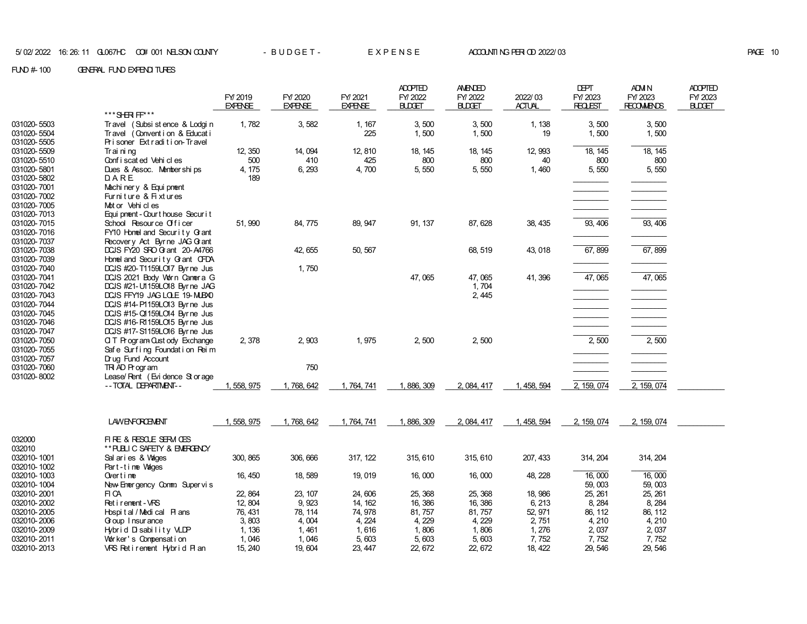|                            |                                                                      | FY/2019        | FY/2020        | FY/2021        | <b>ADOPTED</b><br>FY/2022 | <b>AMENDED</b><br>FY/2022 | 2022/03       | <b>DEPT</b><br>FY/ 2023 | ADM N<br>FY/2023  | <b>ADOPTED</b><br>FY/2023 |
|----------------------------|----------------------------------------------------------------------|----------------|----------------|----------------|---------------------------|---------------------------|---------------|-------------------------|-------------------|---------------------------|
|                            |                                                                      | <b>EXPENSE</b> | <b>EXPENSE</b> | <b>EXPENSE</b> | <b>BLDGET</b>             | <b>BLDGET</b>             | <b>ACTUAL</b> | <b>REQLEST</b>          | <b>RECOMMENDS</b> | <b>BLDGET</b>             |
|                            | ***SHRF F ***                                                        |                |                |                |                           |                           |               |                         |                   |                           |
| 031020-5503                | Travel (Subsi st ence & Lodgi n                                      | 1,782          | 3,582          | 1, 167         | 3,500                     | 3,500                     | 1, 138        | 3,500                   | 3,500             |                           |
| 031020-5504                | Travel (Convention & Educati                                         |                |                | 225            | 1,500                     | 1,500                     | 19            | 1,500                   | 1,500             |                           |
| 031020-5505                | Prisoner Extradition-Travel                                          |                |                |                |                           |                           |               |                         |                   |                           |
| 031020-5509                | Trai ni ng                                                           | 12, 350        | 14,094         | 12, 810        | 18, 145                   | 18, 145                   | 12, 993       | 18, 145                 | 18, 145           |                           |
| 031020-5510                | Conf i scat ed Vehi cl es                                            | 500            | 410            | 425            | 800                       | 800                       | 40            | 800                     | 800               |                           |
| 031020-5801                | Dues & Assoc. Memberships                                            | 4, 175         | 6, 293         | 4,700          | 5,550                     | 5,550                     | 1,460         | 5,550                   | 5,550             |                           |
| 031020-5802                | DARE                                                                 | 189            |                |                |                           |                           |               |                         |                   |                           |
| 031020-7001                | Machi ner y & Equi pnent                                             |                |                |                |                           |                           |               |                         |                   |                           |
| 031020-7002                | Furniture & Fixtures                                                 |                |                |                |                           |                           |               |                         |                   |                           |
| 031020-7005                | Mot or Vehi cl es                                                    |                |                |                |                           |                           |               |                         |                   |                           |
| 031020-7013                | Equi pnent - Court house Securit                                     |                |                |                |                           |                           |               |                         |                   |                           |
| 031020-7015                | School Resource Officer                                              | 51, 990        | 84, 775        | 89, 947        | 91, 137                   | 87, 628                   | 38, 435       | 93, 406                 | 93, 406           |                           |
| 031020-7016                | FY10 Homel and Security Grant                                        |                |                |                |                           |                           |               |                         |                   |                           |
| 031020-7037                | Recovery Act Byrne JAG G ant                                         |                |                |                |                           |                           |               |                         |                   |                           |
| 031020-7038                | DCJS FY20 SFO G ant 20-A4766                                         |                | 42, 655        | 50, 567        |                           | 68, 519                   | 43, 018       | 67,899                  | 67,899            |                           |
| 031020-7039                | Homel and Security Grant CFDA                                        |                |                |                |                           |                           |               |                         |                   |                           |
| 031020-7040                | DCJS #20-T1159LO17 Byrne Jus                                         |                | 1,750          |                |                           |                           |               |                         |                   |                           |
| 031020-7041                | DCJS 2021 Body Worn Camera G                                         |                |                |                | 47,065                    | 47,065                    | 41, 396       | 47,065                  | 47,065            |                           |
| 031020-7042                | DCJS #21-U1159LO18 Byrne JAG                                         |                |                |                |                           | 1,704                     |               |                         |                   |                           |
| 031020-7043                | DCJS FFY19 JAG LOLE 19-MUBX0                                         |                |                |                |                           | 2, 445                    |               |                         |                   |                           |
| 031020-7044                | DCJS #14-P1159LO13 Byrne Jus                                         |                |                |                |                           |                           |               |                         |                   |                           |
| 031020-7045                | DCJS #15-Q1159LO14 Byrne Jus                                         |                |                |                |                           |                           |               |                         |                   |                           |
| 031020-7046                | DCJS #16-R1159LO15 Byrne Jus                                         |                |                |                |                           |                           |               |                         |                   |                           |
| 031020-7047<br>031020-7050 | DCJS #17-S1159LO16 Byrne Jus                                         | 2,378          | 2,903          | 1,975          | 2,500                     | 2,500                     |               | 2,500                   | 2,500             |                           |
| 031020-7055                | <b>Q T Program Cust ody Exchange</b><br>Safe Surfing Foundation Reim |                |                |                |                           |                           |               |                         |                   |                           |
| 031020-7057                | Drug Fund Account                                                    |                |                |                |                           |                           |               |                         |                   |                           |
| 031020-7060                | TR AD Program                                                        |                | 750            |                |                           |                           |               |                         |                   |                           |
| 031020-8002                | Lease/ Rent (Evi dence St or age                                     |                |                |                |                           |                           |               |                         |                   |                           |
|                            | -- TOTAL DEPARTMENT--                                                | 1, 558, 975    | 1,768,642      | 1,764,741      | 1, 886, 309               | 2, 084, 417               | 1, 458, 594   | 2, 159, 074             | 2, 159, 074       |                           |
|                            |                                                                      |                |                |                |                           |                           |               |                         |                   |                           |
|                            | <b>LAWENFORCEMENT</b>                                                | 1, 558, 975    | 1,768,642      | 1,764,741      | 1, 886, 309               | 2, 084, 417               | 1, 458, 594   | 2, 159, 074             | 2, 159, 074       |                           |
| 032000                     | FIRE & RESOLE SERM CES                                               |                |                |                |                           |                           |               |                         |                   |                           |
| 032010                     | ** PUBLIC SAFETY & EMERGENCY                                         |                |                |                |                           |                           |               |                         |                   |                           |
| 032010-1001                | Sal aries & Vages                                                    | 300, 865       | 306, 666       | 317, 122       | 315, 610                  | 315, 610                  | 207, 433      | 314, 204                | 314, 204          |                           |
| 032010-1002                | Part-time Wages                                                      |                |                |                |                           |                           |               |                         |                   |                           |
| 032010-1003                | Overtime                                                             | 16, 450        | 18,589         | 19, 019        | 16,000                    | 16,000                    | 48, 228       | 16,000                  | 16,000            |                           |
| 032010-1004                | New Emergency Comm Supervis                                          |                |                |                |                           |                           |               | 59,003                  | 59,003            |                           |
| 032010-2001                | FI CA                                                                | 22, 864        | 23, 107        | 24,606         | 25, 368                   | 25, 368                   | 18, 986       | 25, 261                 | 25, 261           |                           |
| 032010-2002                | Ret i rement - VRS                                                   | 12, 804        | 9,923          | 14, 162        | 16, 386                   | 16, 386                   | 6, 213        | 8, 284                  | 8, 284            |                           |
| 032010-2005                | Hospital/Medical Plans                                               | 76, 431        | 78, 114        | 74, 978        | 81, 757                   | 81, 757                   | 52, 971       | 86, 112                 | 86, 112           |                           |
| 032010-2006                | Goup I nsur ance                                                     | 3,803          | 4,004          | 4, 224         | 4, 229                    | 4, 229                    | 2,751         | 4, 210                  | 4, 210            |                           |
| 032010-2009                | Hybrid Disability VLDP                                               | 1, 136         | 1,461          | 1,616          | 1,806                     | 1,806                     | 1,276         | 2,037                   | 2,037             |                           |
| 032010-2011                | Worker's Compensation                                                | 1,046          | 1,046          | 5,603          | 5,603                     | 5,603                     | 7,752         | 7,752                   | 7,752             |                           |
| 032010-2013                | VRS Retirement Hybrid Plan                                           | 15, 240        | 19,604         | 23, 447        | 22, 672                   | 22, 672                   | 18, 422       | 29, 546                 | 29, 546           |                           |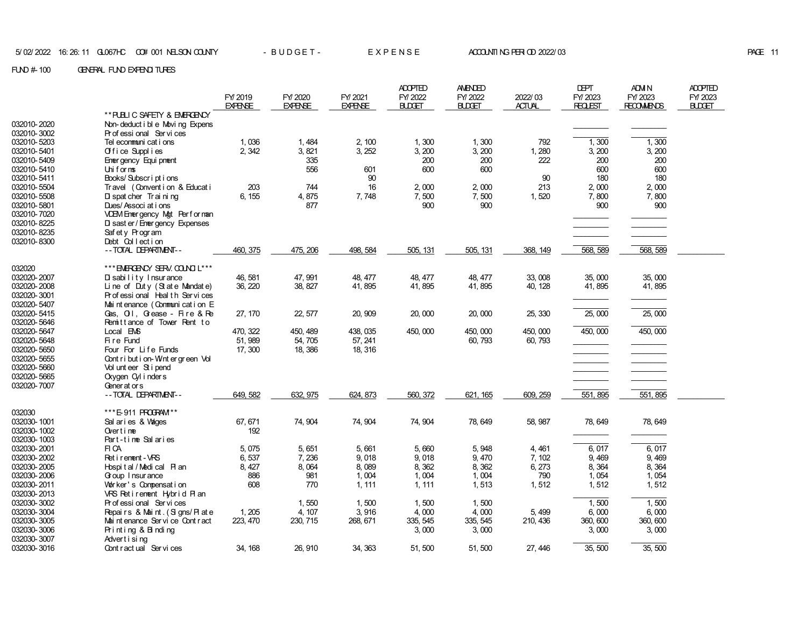|             |                                    | FY/2019        | FY/2020        | FY/2021        | <b>ADOPTED</b><br>FY/2022 | <b>AMENDED</b><br>FY/2022 | 2022/03       | <b>DEPT</b><br>FY/2023 | <b>ADM N</b><br>FY/2023 | <b>ADOPTED</b><br>FY/2023 |
|-------------|------------------------------------|----------------|----------------|----------------|---------------------------|---------------------------|---------------|------------------------|-------------------------|---------------------------|
|             |                                    | <b>EXPENSE</b> | <b>EXPENSE</b> | <b>EXPENSE</b> | <b>BLDGET</b>             | <b>BUDET</b>              | <b>ACTUAL</b> | <b>REQLEST</b>         | <b>RECOMMENDS</b>       | BUDGET                    |
|             | ** PUBLIC SAFETY & EMERGENCY       |                |                |                |                           |                           |               |                        |                         |                           |
| 032010-2020 | Non-deduct i bl e Movi ng Expens   |                |                |                |                           |                           |               |                        |                         |                           |
| 032010-3002 | Pr of essi onal Ser vi ces         |                |                |                |                           |                           |               |                        |                         |                           |
| 032010-5203 | Tel ecommuni cat i ons             | 1,036          | 1,484          | 2, 100         | 1,300                     | 1,300                     | 792           | 1,300                  | 1,300                   |                           |
| 032010-5401 | Office Supplies                    | 2,342          | 3,821          | 3, 252         | 3, 200                    | 3, 200                    | 1,280         | 3, 200                 | 3, 200                  |                           |
| 032010-5409 | Ener gency Equi pnent              |                | 335            |                | 200                       | 200                       | 222           | 200                    | 200                     |                           |
| 032010-5410 | Uniforms                           |                | 556            | 601            | 600                       | 600                       |               | 600                    | 600                     |                           |
| 032010-5411 | Books/Subscriptions                |                |                | 90             |                           |                           | 90            | 180                    | 180                     |                           |
| 032010-5504 | Travel (Convention & Educati       | 203            | 744            | 16             | 2,000                     | 2,000                     | 213           | 2,000                  | 2,000                   |                           |
| 032010-5508 | D spat cher Trai ni ng             | 6, 155         | 4,875          | 7,748          | 7,500                     | 7,500                     | 1,520         | 7,800                  | 7,800                   |                           |
| 032010-5801 | Dues/Associ at i ons               |                | 877            |                | 900                       | 900                       |               | 900                    | 900                     |                           |
| 032010-7020 | VDEM Ennergency Mgt Performan      |                |                |                |                           |                           |               |                        |                         |                           |
| 032010-8225 | D sast er / Ener gency Expenses    |                |                |                |                           |                           |               |                        |                         |                           |
| 032010-8235 | Safety Program                     |                |                |                |                           |                           |               |                        |                         |                           |
| 032010-8300 | Debt Collection                    |                |                |                |                           |                           |               |                        |                         |                           |
|             | -- TOTAL DEPARTMENT--              | 460, 375       | 475, 206       | 498, 584       | 505, 131                  | 505, 131                  | 368, 149      | 568, 589               | 568, 589                |                           |
|             |                                    |                |                |                |                           |                           |               |                        |                         |                           |
| 032020      | *** ENERGENCY SERV. COUNCIL ***    |                |                |                |                           |                           |               |                        |                         |                           |
| 032020-2007 | $\overline{D}$ sability Insurance  | 46, 581        | 47, 991        | 48, 477        | 48, 477                   | 48, 477                   | 33,008        | 35,000                 | 35,000                  |                           |
| 032020-2008 | Line of Duty (State Mandate)       | 36, 220        | 38, 827        | 41, 895        | 41, 895                   | 41, 895                   | 40, 128       | 41,895                 | 41,895                  |                           |
| 032020-3001 | Professional Health Services       |                |                |                |                           |                           |               |                        |                         |                           |
| 032020-5407 | Mai nt enance (Communi cat i on E  |                |                |                |                           |                           |               |                        |                         |                           |
| 032020-5415 | Gas, Oil, Grease - Fire & Re       | 27, 170        | 22, 577        | 20, 909        | 20,000                    | 20,000                    | 25, 330       | 25,000                 | 25,000                  |                           |
| 032020-5646 | Remittance of Tower Rent to        |                |                |                |                           |                           |               |                        |                         |                           |
| 032020-5647 | Local EMS                          | 470, 322       | 450, 489       | 438, 035       | 450,000                   | 450,000                   | 450,000       | 450,000                | 450,000                 |                           |
| 032020-5648 | Fire Fund                          | 51, 989        | 54,705         | 57, 241        |                           | 60, 793                   | 60, 793       |                        |                         |                           |
| 032020-5650 | Four For Life Funds                | 17,300         | 18, 386        | 18, 316        |                           |                           |               |                        |                         |                           |
| 032020-5655 | Contribution-Wintergreen Vol       |                |                |                |                           |                           |               |                        |                         |                           |
| 032020-5660 | Vol unt eer St i pend              |                |                |                |                           |                           |               |                        |                         |                           |
| 032020-5665 | Oxygen Cyl inders                  |                |                |                |                           |                           |               |                        |                         |                           |
| 032020-7007 | Generators                         |                |                |                |                           |                           |               |                        |                         |                           |
|             | -- TOTAL DEPARTMENT--              | 649, 582       | 632, 975       | 624, 873       | 560, 372                  | 621, 165                  | 609, 259      | 551, 895               | 551, 895                |                           |
|             |                                    |                |                |                |                           |                           |               |                        |                         |                           |
| 032030      | *** E-911 PROGRAM **               |                |                |                |                           |                           |               |                        |                         |                           |
| 032030-1001 | Sal aries & Vages                  | 67, 671        | 74, 904        | 74, 904        | 74, 904                   | 78, 649                   | 58, 987       | 78, 649                | 78, 649                 |                           |
| 032030-1002 | Over $t$ ime                       | 192            |                |                |                           |                           |               |                        |                         |                           |
| 032030-1003 | Part-time Salaries                 |                |                |                |                           |                           |               |                        |                         |                           |
| 032030-2001 | FI CA                              | 5.075          | 5, 651         | 5,661          | 5,660                     | 5,948                     | 4, 461        | 6,017                  | 6,017                   |                           |
| 032030-2002 | Ret i rement - VRS                 | 6,537          | 7,236          | 9,018          | 9,018                     | 9,470                     | 7, 102        | 9, 469                 | 9,469                   |                           |
| 032030-2005 | Hospital/Medical Plan              | 8, 427         | 8,064          | 8,089          | 8,362                     | 8,362                     | 6, 273        | 8,364                  | 8,364                   |                           |
| 032030-2006 | Goup I nsur ance                   | 886            | 981            | 1,004          | 1,004                     | 1,004                     | 790           | 1,054                  | 1,054                   |                           |
| 032030-2011 | Worker's Compensation              | 608            | 770            | 1, 111         | 1, 111                    | 1,513                     | 1,512         | 1,512                  | 1,512                   |                           |
| 032030-2013 | VRS Retirement Hybrid Plan         |                |                |                |                           |                           |               |                        |                         |                           |
| 032030-3002 | Pr of essi onal Ser vi ces         |                | 1,550          | 1,500          | 1,500                     | 1,500                     |               | 1,500                  | 1,500                   |                           |
| 032030-3004 | Repairs & Maint. (Signs/Plate      | 1, 205         | 4, 107         | 3,916          | 4,000                     | 4,000                     | 5,499         | 6,000                  | 6,000                   |                           |
| 032030-3005 | Mai nt enance Ser vi ce Cont r act | 223, 470       | 230, 715       | 268, 671       | 335, 545                  | 335, 545                  | 210, 436      | 360, 600               | 360, 600                |                           |
| 032030-3006 | Printing & Binding                 |                |                |                | 3,000                     | 3,000                     |               | 3,000                  | 3,000                   |                           |
| 032030-3007 | Advertising                        |                |                |                |                           |                           |               |                        |                         |                           |
| 032030-3016 | Cont ract ual Services             | 34, 168        | 26, 910        | 34, 363        | 51,500                    | 51,500                    | 27, 446       | 35,500                 | 35, 500                 |                           |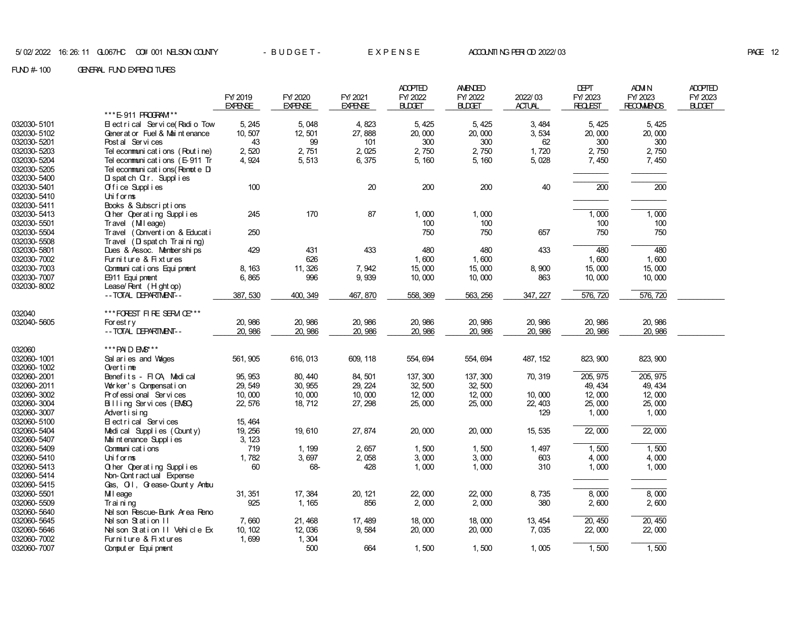|                            |                                    |                |                |                | <b>ADOPTED</b> | AMENDED       |               | <b>DEPT</b>      | <b>ADM N</b>      | <b>ADOPTED</b> |
|----------------------------|------------------------------------|----------------|----------------|----------------|----------------|---------------|---------------|------------------|-------------------|----------------|
|                            |                                    | FY/2019        | FY/2020        | FY/2021        | FY/2022        | FY/2022       | 2022/03       | FY/2023          | FY/2023           | FY/2023        |
|                            |                                    | <b>EXPENSE</b> | <b>EXPENSE</b> | <b>EXPENSE</b> | <b>BLDGET</b>  | <b>BLDGET</b> | <b>ACTUAL</b> | <b>REQLEST</b>   | <b>RECOMMENDS</b> | <b>BLDGET</b>  |
|                            | *** E-911 PROGRAM **               |                |                |                |                |               |               |                  |                   |                |
| 032030-5101                | Electrical Service (Radio Tow      | 5, 245         | 5,048          | 4,823          | 5, 425         | 5, 425        | 3,484         | 5, 425           | 5, 425            |                |
| 032030-5102                | Generator Fuel & Maintenance       | 10, 507        | 12,501         | 27,888         | 20,000         | 20,000        | 3,534         | 20,000           | 20,000            |                |
| 032030-5201                | Post al Services                   | 43             | 99             | 101            | 300            | 300           | 62            | 300              | 300               |                |
| 032030-5203                | Tel econmunications (Routine)      | 2,520          | 2,751          | 2,025          | 2,750          | 2,750         | 1,720         | 2,750            | 2,750             |                |
| 032030-5204                | Tel econmuni cat i ons (E-911 Tr   | 4,924          | 5, 513         | 6,375          | 5, 160         | 5, 160        | 5,028         | 7, 450           | 7,450             |                |
| 032030-5205                | Tel econmuni cat i ons (Renot e Di |                |                |                |                |               |               |                  |                   |                |
| 032030-5400                | $D$ spatch $Q$ r. Supplies         |                |                |                |                |               |               |                  |                   |                |
| 032030-5401                | Office Supplies                    | 100            |                | 20             | 200            | 200           | 40            | $\overline{200}$ | $\overline{200}$  |                |
| 032030-5410                | Uhif or ms                         |                |                |                |                |               |               |                  |                   |                |
| 032030-5411                | Books & Subscriptions              |                |                |                |                |               |               |                  |                   |                |
| 032030-5413                | Q her Operating Supplies           | 245            | 170            | 87             | 1,000          | 1,000         |               | 1,000            | 1,000             |                |
| 032030-5501                | Travel (Mileage)                   |                |                |                | 100            | 100           |               | 100              | 100               |                |
| 032030-5504                | Travel (Convention & Educati       | 250            |                |                | 750            | 750           | 657           | 750              | 750               |                |
| 032030-5508                | Travel (D spatch Training)         |                |                |                |                |               |               |                  |                   |                |
| 032030-5801                | Dues & Assoc. Memberships          | 429            | 431            | 433            | 480            | 480           | 433           | 480              | 480               |                |
| 032030-7002                | Furniture & Fixtures               |                | 626            |                | 1,600          | 1,600         |               | 1,600            | 1,600             |                |
| 032030-7003                | Communi cat i ons Equi pnent       | 8, 163         | 11, 326        | 7,942          | 15,000         | 15,000        | 8,900         | 15,000           | 15,000            |                |
| 032030-7007                | E911 Equi pnent                    | 6,865          | 996            | 9,939          | 10,000         | 10,000        | 863           | 10,000           | 10,000            |                |
| 032030-8002                | Lease/Rent (Hightop)               |                |                |                |                |               |               |                  |                   |                |
|                            | -- TOTAL DEPARTMENT--              | 387, 530       | 400, 349       | 467, 870       | 558, 369       | 563, 256      | 347, 227      | 576, 720         | 576, 720          |                |
|                            |                                    |                |                |                |                |               |               |                  |                   |                |
| 032040                     | ***FOREST FIRE SERM CE***          |                |                |                |                |               |               |                  |                   |                |
| 032040-5605                | For est $r \vee$                   | 20, 986        | 20, 986        | 20, 986        | 20, 986        | 20, 986       | 20, 986       | 20, 986          | 20, 986           |                |
|                            | -- TOTAL DEPARTMENT--              | 20, 986        | 20, 986        | 20, 986        | 20, 986        | 20, 986       | 20, 986       | 20, 986          | 20, 986           |                |
|                            | *** PAID EMS***                    |                |                |                |                |               |               |                  |                   |                |
| 032060                     |                                    |                |                |                |                |               |               |                  |                   |                |
| 032060-1001                | Sal ar i es and Vages              | 561, 905       | 616, 013       | 609, 118       | 554, 694       | 554, 694      | 487, 152      | 823, 900         | 823, 900          |                |
| 032060-1002<br>032060-2001 | Over $t$ ime                       | 95.953         |                |                |                | 137, 300      |               | 205, 975         | 205, 975          |                |
|                            | Benefits - FICA, Medical           |                | 80, 440        | 84, 501        | 137, 300       |               | 70, 319       |                  |                   |                |
| 032060-2011                | Worker's Compensation              | 29, 549        | 30, 955        | 29, 224        | 32, 500        | 32, 500       |               | 49, 434          | 49, 434           |                |
| 032060-3002                | Professional Services              | 10,000         | 10,000         | 10,000         | 12,000         | 12,000        | 10,000        | 12,000           | 12,000            |                |
| 032060-3004                | Billing Services (EMSC)            | 22, 576        | 18, 712        | 27, 298        | 25,000         | 25,000        | 22, 403       | 25,000           | 25,000            |                |
| 032060-3007                | Advertising                        |                |                |                |                |               | 129           | 1,000            | 1,000             |                |
| 032060-5100                | Electrical Services                | 15, 464        |                |                |                |               |               |                  |                   |                |
| 032060-5404                | Medical Supplies (County)          | 19, 256        | 19,610         | 27, 874        | 20,000         | 20,000        | 15, 535       | 22,000           | 22,000            |                |
| 032060-5407                | Mai nt enance Suppl i es           | 3, 123         |                |                |                |               |               |                  |                   |                |
| 032060-5409                | Communications                     | 719            | 1, 199         | 2,657          | 1,500          | 1,500         | 1, 497        | 1,500            | 1,500             |                |
| 032060-5410                | Uniforms                           | 1,782          | 3,697          | 2,058          | 3,000          | 3,000         | 603           | 4,000            | 4,000             |                |
| 032060-5413                | Other Operating Supplies           | 60             | 68-            | 428            | 1,000          | 1,000         | 310           | 1,000            | 1,000             |                |
| 032060-5414                | Non- Cont r act ual Expense        |                |                |                |                |               |               |                  |                   |                |
| 032060-5415                | Gas, O.I. Grease-County Ambu       |                |                |                |                |               |               |                  |                   |                |
| 032060-5501                | MI eage                            | 31, 351        | 17, 384        | 20, 121        | 22,000         | 22,000        | 8,735         | 8,000            | 8,000             |                |
| 032060-5509                | Trai ni ng                         | 925            | 1, 165         | 856            | 2,000          | 2,000         | 380           | 2,600            | 2,600             |                |
| 032060-5640                | Nel son Rescue-Bunk Area Reno      |                |                |                |                |               |               |                  |                   |                |
| 032060-5645                | Nel son Station II                 | 7,660          | 21, 468        | 17, 489        | 18,000         | 18,000        | 13, 454       | 20, 450          | 20, 450           |                |
| 032060-5646                | Nel son Station II Vehicle Ex      | 10, 102        | 12,036         | 9,584          | 20,000         | 20,000        | 7,035         | 22,000           | 22,000            |                |
| 032060-7002                | Furniture & Fixtures               | 1,699          | 1,304          |                |                |               |               |                  |                   |                |
| 032060-7007                | Comput er Equi pment               |                | 500            | 664            | 1,500          | 1,500         | 1,005         | 1,500            | 1,500             |                |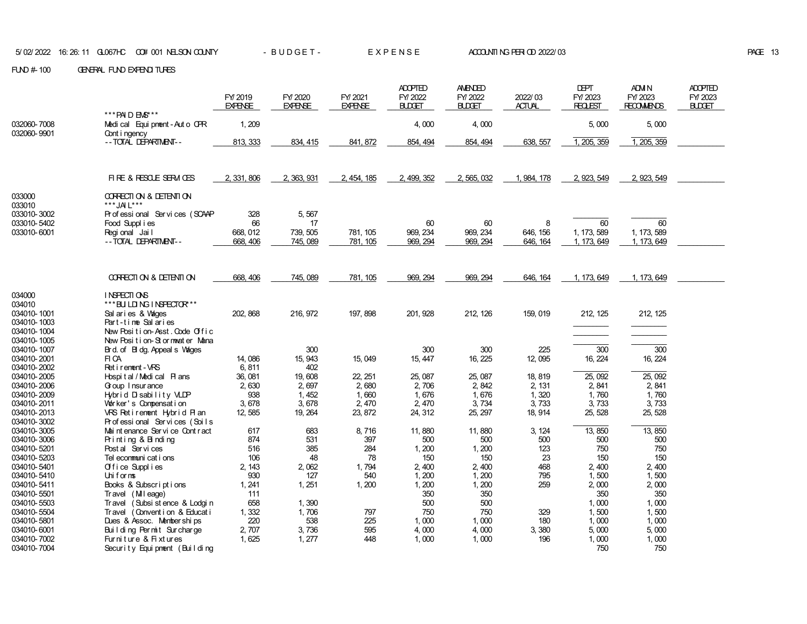|                            |                                                 | FY 2019<br><b>EXPENSE</b> | FY/2020<br><b>EXPENSE</b> | FY/2021<br><b>EXPENSE</b> | <b>ADOPTED</b><br>FY/2022<br><b>BLDGET</b> | <b>AMENDED</b><br>FY/2022<br><b>BLDGET</b> | 2022/03<br><b>ACTUAL</b> | <b>DEPT</b><br>FY/2023<br>REQUEST | ADM N<br>FY/2023<br><b>RECOMMENDS</b> | <b>ADOPTED</b><br>FY/2023<br><b>BLDGET</b> |
|----------------------------|-------------------------------------------------|---------------------------|---------------------------|---------------------------|--------------------------------------------|--------------------------------------------|--------------------------|-----------------------------------|---------------------------------------|--------------------------------------------|
|                            | *** PAID EMS***                                 |                           |                           |                           |                                            |                                            |                          |                                   |                                       |                                            |
| 032060-7008<br>032060-9901 | Medical Equipment - Auto CPR<br>Cont i ngency   | 1, 209                    |                           |                           | 4,000                                      | 4,000                                      |                          | 5,000                             | 5,000                                 |                                            |
|                            | -- TOTAL DEPARTMENT--                           | 813, 333                  | 834, 415                  | 841, 872                  | 854, 494                                   | 854, 494                                   | 638, 557                 | 1, 205, 359                       | 1, 205, 359                           |                                            |
|                            |                                                 |                           |                           |                           |                                            |                                            |                          |                                   |                                       |                                            |
|                            |                                                 |                           |                           |                           |                                            |                                            |                          |                                   |                                       |                                            |
|                            | FIRE & RESOLE SERM CES                          | 2, 331, 806               | 2, 363, 931               | 2, 454, 185               | 2, 499, 352                                | 2, 565, 032                                | 1, 984, 178              | 2, 923, 549                       | 2, 923, 549                           |                                            |
|                            |                                                 |                           |                           |                           |                                            |                                            |                          |                                   |                                       |                                            |
| 033000<br>033010           | CORRECTION & DETENTION<br>*** JA L***           |                           |                           |                           |                                            |                                            |                          |                                   |                                       |                                            |
| 033010-3002                | Professional Services (SCAAP                    | 328                       | 5,567                     |                           |                                            |                                            |                          |                                   |                                       |                                            |
| 033010-5402                | Food Suppl i es                                 | 66                        | 17                        |                           | 60                                         | 60                                         | 8                        | 60                                | 60                                    |                                            |
| 033010-6001                | Regional Jail                                   | 668, 012                  | 739, 505                  | 781, 105                  | 969, 234                                   | 969, 234                                   | 646, 156                 | 1, 173, 589                       | 1, 173, 589                           |                                            |
|                            | -- TOTAL DEPARTMENT--                           | 668, 406                  | 745, 089                  | 781, 105                  | 969, 294                                   | 969, 294                                   | 646, 164                 | 1, 173, 649                       | 1, 173, 649                           |                                            |
|                            |                                                 |                           |                           |                           |                                            |                                            |                          |                                   |                                       |                                            |
|                            |                                                 |                           |                           |                           |                                            |                                            |                          |                                   |                                       |                                            |
|                            | CORRECTION & DETENTION                          | 668, 406                  | 745, 089                  | 781, 105                  | 969, 294                                   | 969, 294                                   | 646, 164                 | 1, 173, 649                       | 1, 173, 649                           |                                            |
| 034000                     | INSPECTIONS                                     |                           |                           |                           |                                            |                                            |                          |                                   |                                       |                                            |
| 034010                     | *** BUILDING INSPECTOR***                       |                           |                           |                           |                                            |                                            |                          |                                   |                                       |                                            |
| 034010-1001                | Sal aries & Vages                               | 202, 868                  | 216, 972                  | 197, 898                  | 201, 928                                   | 212, 126                                   | 159, 019                 | 212, 125                          | 212, 125                              |                                            |
| 034010-1003                | Part-time Salaries                              |                           |                           |                           |                                            |                                            |                          |                                   |                                       |                                            |
| 034010-1004                | New Position-Asst. Code Offic                   |                           |                           |                           |                                            |                                            |                          |                                   |                                       |                                            |
| 034010-1005                | New Position-Stormwater Mana                    |                           |                           |                           |                                            |                                            |                          |                                   |                                       |                                            |
| 034010-1007                | Brd. of Bildg. Appeals Wages                    |                           | 300                       |                           | 300                                        | 300                                        | 225                      | 300                               | 300                                   |                                            |
| 034010-2001                | FI CA                                           | 14,086                    | 15, 943                   | 15,049                    | 15, 447                                    | 16, 225                                    | 12, 095                  | 16, 224                           | 16, 224                               |                                            |
| 034010-2002                | Ret i rement - VRS                              | 6,811                     | 402                       |                           |                                            |                                            |                          |                                   |                                       |                                            |
| 034010-2005                | Hospital/Medical Plans                          | 36, 081                   | 19,608                    | 22, 251                   | 25, 087                                    | 25, 087                                    | 18, 819                  | 25, 092                           | 25, 092                               |                                            |
| 034010-2006                | Goup I nsur ance                                | 2,630                     | 2,697                     | 2,680                     | 2,706                                      | 2, 842                                     | 2, 131                   | 2,841                             | 2, 841                                |                                            |
| 034010-2009<br>034010-2011 | Hybrid Disability VLDP<br>Worker's Compensation | 938<br>3,678              | 1, 452<br>3,678           | 1,660<br>2, 470           | 1,676<br>2, 470                            | 1,676<br>3,734                             | 1,320<br>3,733           | 1,760<br>3,733                    | 1,760<br>3,733                        |                                            |
| 034010-2013                | VRS Retirement Hybrid Plan                      | 12, 585                   | 19, 264                   | 23, 872                   | 24, 312                                    | 25, 297                                    | 18, 914                  | 25, 528                           | 25, 528                               |                                            |
| 034010-3002                | Professional Services (Soils                    |                           |                           |                           |                                            |                                            |                          |                                   |                                       |                                            |
| 034010-3005                | Mai nt enance Ser vi ce Cont r act              | 617                       | 683                       | 8,716                     | 11,880                                     | 11,880                                     | 3, 124                   | 13,850                            | 13,850                                |                                            |
| 034010-3006                | Printing & Binding                              | 874                       | 531                       | 397                       | 500                                        | 500                                        | 500                      | 500                               | 500                                   |                                            |
| 034010-5201                | Post al Services                                | 516                       | 385                       | 284                       | 1, 200                                     | 1, 200                                     | 123                      | 750                               | 750                                   |                                            |
| 034010-5203                | Tel econmuni cat i ons                          | 106                       | 48                        | 78                        | 150                                        | 150                                        | 23                       | 150                               | 150                                   |                                            |
| 034010-5401                | Office Supplies                                 | 2, 143                    | 2,062                     | 1,794                     | 2,400                                      | 2,400                                      | 468                      | 2,400                             | 2, 400                                |                                            |
| 034010-5410                | Uniforms                                        | 930                       | 127                       | 540                       | 1, 200                                     | 1,200                                      | 795                      | 1,500                             | 1,500                                 |                                            |
| 034010-5411                | Books & Subscriptions                           | 1, 241                    | 1, 251                    | 1,200                     | 1,200                                      | 1, 200                                     | 259                      | 2,000                             | 2,000                                 |                                            |
| 034010-5501                | Travel (Mileage)                                | 111                       |                           |                           | 350                                        | 350                                        |                          | 350                               | 350                                   |                                            |
| 034010-5503                | Travel (Subsi st ence & Lodgi n                 | 658                       | 1,390                     |                           | 500                                        | 500                                        |                          | 1,000                             | 1,000                                 |                                            |
| 034010-5504                | Travel (Convention & Educati                    | 1,332                     | 1,706                     | 797                       | 750                                        | 750                                        | 329                      | 1,500                             | 1,500                                 |                                            |
| 034010-5801                | Dues & Assoc. Memberships                       | 220                       | 538                       | 225                       | 1,000                                      | 1,000                                      | 180                      | 1,000                             | 1,000                                 |                                            |
| 034010-6001                | Building Permit Surcharge                       | 2,707                     | 3,736                     | 595                       | 4,000                                      | 4,000                                      | 3,380                    | 5,000                             | 5,000                                 |                                            |
| 034010-7002                | Furniture & Fixtures                            | 1,625                     | 1, 277                    | 448                       | 1,000                                      | 1,000                                      | 196                      | 1,000                             | 1,000                                 |                                            |
| 034010-7004                | Security Equipment (Building                    |                           |                           |                           |                                            |                                            |                          | 750                               | 750                                   |                                            |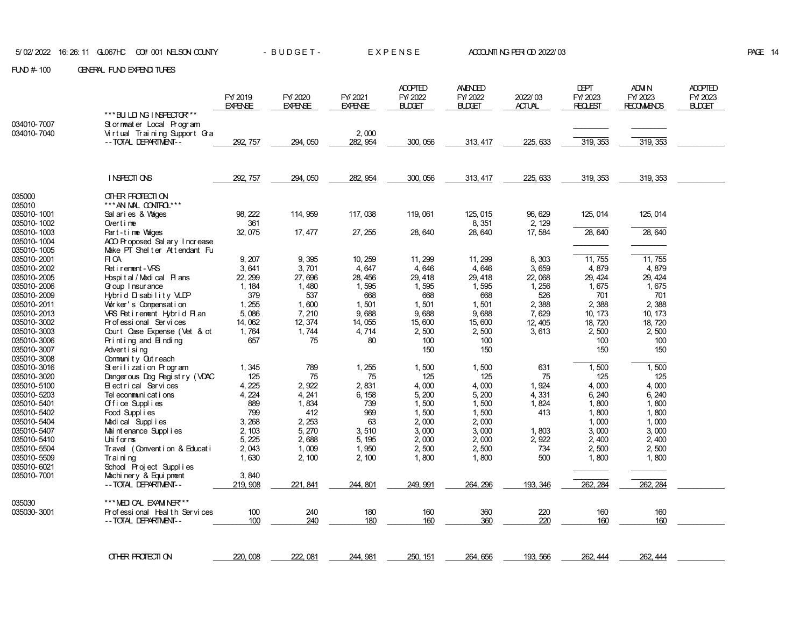|                            |                                                      | FY/2019<br><b>EXPENSE</b> | FY/2020<br><b>EXPENSE</b> | FY/2021<br><b>EXPENSE</b> | <b>ADOPTED</b><br>FY/2022<br><b>BLDGET</b> | <b>AMENDED</b><br>FY/2022<br><b>BLDGET</b> | 2022/03<br><b>ACTUAL</b> | <b>DEPT</b><br>FY/2023<br><b>REQLEST</b> | ADM N<br>FY/2023<br><b>RECOMMENDS</b> | <b>ADOPTED</b><br>FY/2023<br><b>BUDGET</b> |
|----------------------------|------------------------------------------------------|---------------------------|---------------------------|---------------------------|--------------------------------------------|--------------------------------------------|--------------------------|------------------------------------------|---------------------------------------|--------------------------------------------|
|                            | *** BU LDING INSPECTOR***                            |                           |                           |                           |                                            |                                            |                          |                                          |                                       |                                            |
| 034010-7007                | Stormwater Local Program                             |                           |                           |                           |                                            |                                            |                          |                                          |                                       |                                            |
| 034010-7040                | Virtual Training Support Gra                         |                           |                           | 2,000                     |                                            |                                            |                          |                                          |                                       |                                            |
|                            | -- TOTAL DEPARTMENT--                                | 292, 757                  | 294, 050                  | 282, 954                  | 300, 056                                   | 313, 417                                   | 225, 633                 | 319, 353                                 | 319, 353                              |                                            |
|                            |                                                      |                           |                           |                           |                                            |                                            |                          |                                          |                                       |                                            |
|                            | INSPECTIONS                                          | 292, 757                  | 294, 050                  | 282, 954                  | 300, 056                                   | 313, 417                                   | 225, 633                 | 319, 353                                 | 319, 353                              |                                            |
| 035000<br>035010           | OTHER PROTECTION<br>*** AN MAL CONTRO ***            |                           |                           |                           |                                            |                                            |                          |                                          |                                       |                                            |
| 035010-1001                | Sal aries & Vages                                    | 98, 222                   | 114, 959                  | 117, 038                  | 119,061                                    | 125, 015                                   | 96, 629                  | 125, 014                                 | 125, 014                              |                                            |
| 035010-1002                | Overtime                                             | 361                       |                           |                           |                                            | 8, 351                                     | 2, 129                   |                                          |                                       |                                            |
| 035010-1003<br>035010-1004 | Part-time Wades<br>ACO Proposed Sal arv Increase     | 32, 075                   | 17, 477                   | 27, 255                   | 28, 640                                    | 28, 640                                    | 17,584                   | 28, 640                                  | 28, 640                               |                                            |
| 035010-1005                | Make PT Shelter Attendant Fu                         |                           |                           |                           |                                            |                                            |                          |                                          |                                       |                                            |
| 035010-2001                | FI CA                                                | 9, 207                    | 9,395                     | 10, 259                   | 11, 299                                    | 11, 299                                    | 8,303                    | 11, 755                                  | 11, 755                               |                                            |
| 035010-2002                | Ret i rement - VRS                                   | 3,641                     | 3,701                     | 4,647                     | 4,646                                      | 4,646                                      | 3,659                    | 4,879                                    | 4,879                                 |                                            |
| 035010-2005                | Hospital/Medical Plans                               | 22, 299                   | 27,696                    | 28, 456                   | 29, 418                                    | 29, 418                                    | 22,068                   | 29, 424                                  | 29, 424                               |                                            |
| 035010-2006                | Goup I nsur ance                                     | 1, 184                    | 1,480                     | 1,595                     | 1,595                                      | 1,595                                      | 1, 256                   | 1,675                                    | 1,675                                 |                                            |
| 035010-2009                | Hybrid Disability VLDP                               | 379                       | 537                       | 668                       | 668                                        | 668                                        | 526                      | 701                                      | 701                                   |                                            |
| 035010-2011                | Worker's Compensation                                | 1, 255                    | 1,600                     | 1,501                     | 1,501                                      | 1,501                                      | 2,388                    | 2,388                                    | 2,388                                 |                                            |
| 035010-2013                | VRS Retirement Hybrid Plan                           | 5,086                     | 7,210                     | 9,688                     | 9,688                                      | 9,688                                      | 7,629                    | 10, 173                                  | 10, 173                               |                                            |
| 035010-3002                | Professional Services                                | 14,062                    | 12, 374                   | 14, 055                   | 15,600                                     | 15,600                                     | 12, 405                  | 18, 720                                  | 18, 720                               |                                            |
| 035010-3003<br>035010-3006 | Court Case Expense (Vet & ot<br>Printing and Binding | 1,764<br>657              | 1,744<br>75               | 4,714<br>80               | 2,500<br>100                               | 2,500<br>100                               | 3,613                    | 2,500<br>100                             | 2,500<br>100                          |                                            |
| 035010-3007                | Advertising                                          |                           |                           |                           | 150                                        | 150                                        |                          | 150                                      | 150                                   |                                            |
| 035010-3008                | Community Outreach                                   |                           |                           |                           |                                            |                                            |                          |                                          |                                       |                                            |
| 035010-3016                | Sterilization Program                                | 1,345                     | 789                       | 1,255                     | 1,500                                      | 1,500                                      | 631                      | 1,500                                    | 1,500                                 |                                            |
| 035010-3020                | Dangerous Dog Registry (VDAC                         | 125                       | 75                        | 75                        | 125                                        | 125                                        | 75                       | 125                                      | 125                                   |                                            |
| 035010-5100                | Electrical Services                                  | 4, 225                    | 2,922                     | 2,831                     | 4,000                                      | 4,000                                      | 1,924                    | 4,000                                    | 4,000                                 |                                            |
| 035010-5203                | Tel econmuni cat i ons                               | 4, 224                    | 4, 241                    | 6, 158                    | 5,200                                      | 5,200                                      | 4,331                    | 6, 240                                   | 6, 240                                |                                            |
| 035010-5401                | Office Supplies                                      | 889                       | 1,834                     | 739                       | 1,500                                      | 1,500                                      | 1,824                    | 1,800                                    | 1,800                                 |                                            |
| 035010-5402                | Food Supplies                                        | 799                       | 412                       | 969                       | 1,500                                      | 1,500                                      | 413                      | 1,800                                    | 1,800                                 |                                            |
| 035010-5404                | Medical Supplies                                     | 3, 268                    | 2, 253                    | 63                        | 2,000                                      | 2,000                                      |                          | 1,000                                    | 1,000                                 |                                            |
| 035010-5407                | Mai nt enance Suppl i es                             | 2, 103                    | 5, 270                    | 3,510                     | 3,000                                      | 3,000                                      | 1,803                    | 3,000                                    | 3,000                                 |                                            |
| 035010-5410<br>035010-5504 | Uniforms<br>Travel (Convention & Education           | 5, 225<br>2,043           | 2,688<br>1,009            | 5, 195<br>1,950           | 2,000<br>2,500                             | 2,000<br>2,500                             | 2,922<br>734             | 2,400<br>2,500                           | 2,400<br>2,500                        |                                            |
| 035010-5509                | Training                                             | 1,630                     | 2, 100                    | 2, 100                    | 1,800                                      | 1,800                                      | 500                      | 1,800                                    | 1,800                                 |                                            |
| 035010-6021                | School Project Supplies                              |                           |                           |                           |                                            |                                            |                          |                                          |                                       |                                            |
| 035010-7001                | Machinery & Equipment                                | 3,840                     |                           |                           |                                            |                                            |                          |                                          |                                       |                                            |
|                            | -- TOTAL DEPARTMENT--                                | 219, 908                  | 221, 841                  | 244, 801                  | 249, 991                                   | 264, 296                                   | 193, 346                 | 262, 284                                 | 262, 284                              |                                            |
|                            |                                                      |                           |                           |                           |                                            |                                            |                          |                                          |                                       |                                            |
| 035030                     | *** MEDIOAL EXAMINER***                              |                           |                           |                           |                                            |                                            |                          |                                          |                                       |                                            |
| 035030-3001                | Professional Health Services                         | 100                       | 240<br>240                | 180<br>180                | 160<br>160                                 | 360<br>360                                 | 220<br>220               | 160<br>160                               | 160                                   |                                            |
|                            | -- TOTAL DEPARTMENT--                                | 100                       |                           |                           |                                            |                                            |                          |                                          | 160                                   |                                            |
|                            |                                                      |                           |                           |                           |                                            |                                            |                          |                                          |                                       |                                            |
|                            | OTHER FROTECTION                                     | 220, 008                  | 222, 081                  | 244, 981                  | 250, 151                                   | 264, 656                                   | 193, 566                 | 262, 444                                 | 262, 444                              |                                            |
|                            |                                                      |                           |                           |                           |                                            |                                            |                          |                                          |                                       |                                            |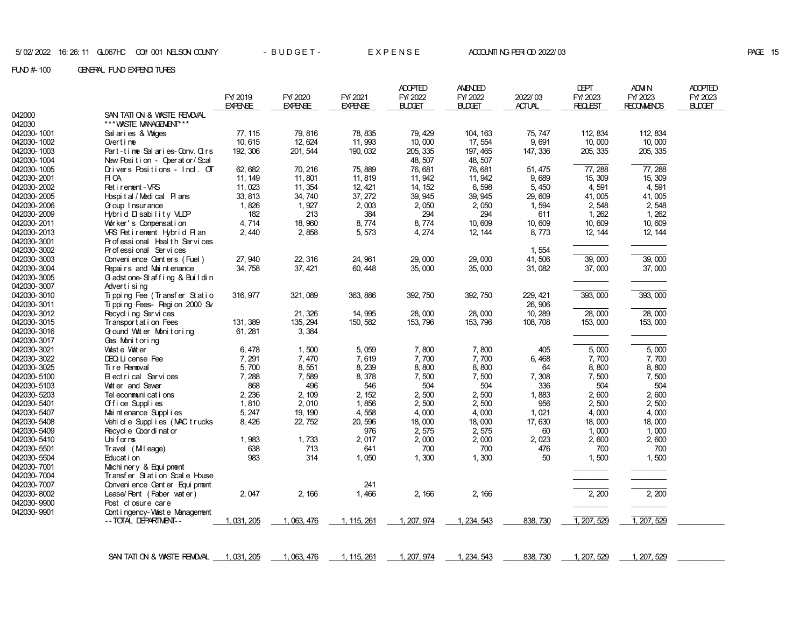|             |                                           |                |                |                | <b>ADOPTED</b> | <b>AMENDED</b> |               | <b>DEPT</b>    | ADM N             | <b>ADOPTED</b> |
|-------------|-------------------------------------------|----------------|----------------|----------------|----------------|----------------|---------------|----------------|-------------------|----------------|
|             |                                           | FY/2019        | FY/2020        | FY/2021        | FY/2022        | FY/2022        | 2022/03       | FY/ 2023       | FY/2023           | FY/2023        |
|             |                                           | <b>EXPENSE</b> | <b>EXPENSE</b> | <b>EXPENSE</b> | <b>BLDGET</b>  | <b>BLDGET</b>  | <b>ACTUAL</b> | <b>REQLEST</b> | <b>RECOMMENDS</b> | <b>BUDGET</b>  |
| 042000      | SAN TATION & WASTE REMOVAL                |                |                |                |                |                |               |                |                   |                |
| 042030      | *** WASTE MANAGEMENT***                   |                |                |                |                |                |               |                |                   |                |
| 042030-1001 | Sal aries & Vages                         | 77, 115        | 79, 816        | 78, 835        | 79, 429        | 104, 163       | 75, 747       | 112, 834       | 112, 834          |                |
| 042030-1002 | Overtime                                  | 10, 615        | 12, 624        | 11,993         | 10,000         | 17, 554        | 9,691         | 10,000         | 10,000            |                |
| 042030-1003 | Part-time Salaries-Conv. Otrs             | 192, 306       | 201, 544       | 190, 032       | 205, 335       | 197, 465       | 147, 336      | 205, 335       | 205, 335          |                |
| 042030-1004 | New Position - Operator/Scal              |                |                |                | 48, 507        | 48, 507        |               |                |                   |                |
| 042030-1005 | Drivers Positions - Incl. OT              | 62, 682        | 70, 216        | 75, 889        | 76, 681        | 76, 681        | 51, 475       | 77,288         | 77, 288           |                |
| 042030-2001 | FI CA                                     | 11, 149        | 11,801         | 11,819         | 11, 942        | 11, 942        | 9,689         | 15, 309        | 15, 309           |                |
| 042030-2002 | Ret i rement - VRS                        | 11,023         | 11, 354        | 12, 421        | 14, 152        | 6,598          | 5,450         | 4,591          | 4,591             |                |
| 042030-2005 | Hospital/Medical Plans                    | 33, 813        | 34, 740        | 37, 272        | 39, 945        | 39, 945        | 29,609        | 41,005         | 41,005            |                |
| 042030-2006 | Goup I nsur ance                          | 1,826          | 1,927          | 2,003          | 2,050          | 2,050          | 1,594         | 2,548          | 2,548             |                |
| 042030-2009 | Hybrid Disability VLDP                    | 182            | 213            | 384            | 294            | 294            | 611           | 1, 262         | 1, 262            |                |
| 042030-2011 | Worker's Compensation                     | 4,714          | 18, 960        | 8,774          | 8,774          | 10,609         | 10,609        | 10,609         | 10,609            |                |
| 042030-2013 | VRS Retirement Hybrid Plan                | 2,440          | 2,858          | 5,573          | 4, 274         | 12, 144        | 8,773         | 12, 144        | 12, 144           |                |
| 042030-3001 | Professional Health Services              |                |                |                |                |                |               |                |                   |                |
| 042030-3002 | Professional Services                     |                |                |                |                |                | 1,554         |                |                   |                |
| 042030-3003 | Convenience Centers (Fuel)                | 27, 940        | 22, 316        | 24, 961        | 29,000         | 29,000         | 41,506        | 39,000         | 39,000            |                |
| 042030-3004 | Repairs and Maintenance                   | 34, 758        | 37, 421        | 60, 448        | 35,000         | 35,000         | 31,082        | 37,000         | 37,000            |                |
| 042030-3005 | Gladstone-Staffing & Buildin              |                |                |                |                |                |               |                |                   |                |
| 042030-3007 | Advertising                               |                |                |                |                |                |               |                |                   |                |
| 042030-3010 | Tipping Fee (Transfer Statio              | 316, 977       | 321, 089       | 363, 886       | 392, 750       | 392, 750       | 229, 421      | 393,000        | 393,000           |                |
| 042030-3011 | Ti ppi ng Fees- Regi on 2000 Sv           |                |                |                |                |                | 26, 906       |                |                   |                |
| 042030-3012 | Recycl i ng Servi ces                     |                | 21, 326        | 14, 995        | 28,000         | 28,000         | 10, 289       | 28,000         | 28,000            |                |
| 042030-3015 | Transport at i on Fees                    | 131, 389       | 135, 294       | 150, 582       | 153, 796       | 153, 796       | 108, 708      | 153,000        | 153,000           |                |
| 042030-3016 |                                           |                |                |                |                |                |               |                |                   |                |
| 042030-3017 | Ground Water Monitoring<br>Gas Monitoring | 61, 281        | 3, 384         |                |                |                |               |                |                   |                |
| 042030-3021 | Waste Water                               | 6, 478         |                | 5,059          |                |                | 405           | 5,000          | 5,000             |                |
| 042030-3022 | DEQ Li cense Fee                          | 7,291          | 1,500<br>7,470 | 7,619          | 7,800<br>7,700 | 7,800<br>7,700 | 6, 468        |                | 7,700             |                |
| 042030-3025 | Ti re Renoval                             |                |                |                |                |                | 64            | 7,700          | 8,800             |                |
| 042030-5100 | Electrical Services                       | 5,700<br>7,288 | 8,551<br>7,589 | 8,239<br>8,378 | 8,800<br>7,500 | 8,800<br>7,500 | 7,308         | 8,800<br>7,500 | 7,500             |                |
|             | Vat er and Sewer                          | 868            | 496            |                | 504            |                | 336           | 504            | 504               |                |
| 042030-5103 |                                           |                |                | 546<br>2, 152  |                | 504            |               |                |                   |                |
| 042030-5203 | Tel ecommuni cat i ons                    | 2, 236         | 2, 109         |                | 2,500          | 2,500          | 1,883         | 2,600          | 2,600             |                |
| 042030-5401 | Office Supplies                           | 1,810          | 2,010          | 1,856          | 2,500          | 2,500          | 956           | 2,500          | 2,500             |                |
| 042030-5407 | Mai nt enance Suppl i es                  | 5, 247         | 19, 190        | 4,558          | 4,000          | 4,000          | 1,021         | 4,000          | 4,000             |                |
| 042030-5408 | Vehi cl e Suppl i es (MAC trucks          | 8,426          | 22, 752        | 20, 596        | 18,000         | 18,000         | 17,630        | 18,000         | 18,000            |                |
| 042030-5409 | Recycl e Coor di nat or                   |                |                | 976            | 2,575          | 2,575          | 60            | 1,000          | 1,000             |                |
| 042030-5410 | Uniforms                                  | 1,983          | 1,733          | 2,017          | 2,000          | 2,000          | 2,023         | 2,600          | 2,600             |                |
| 042030-5501 | Travel (Mileage)                          | 638            | 713            | 641            | 700            | 700            | 476           | 700            | 700               |                |
| 042030-5504 | Educat i on                               | 983            | 314            | 1,050          | 1,300          | 1,300          | 50            | 1,500          | 1,500             |                |
| 042030-7001 | Machi ner y & Equi pnent                  |                |                |                |                |                |               |                |                   |                |
| 042030-7004 | Transfer Station Scale House              |                |                |                |                |                |               |                |                   |                |
| 042030-7007 | Conveni ence Cent er Equi pnent           |                |                | 241            |                |                |               |                |                   |                |
| 042030-8002 | Lease/Rent (Faber water)                  | 2,047          | 2, 166         | 1,466          | 2, 166         | 2, 166         |               | 2,200          | 2,200             |                |
| 042030-9900 | Post closure care                         |                |                |                |                |                |               |                |                   |                |
| 042030-9901 | Cont i ngency- Vast e Management          |                |                |                |                |                |               |                |                   |                |
|             | --TOTAL DEPARTMENT--                      | 1, 031, 205    | 1, 063, 476    | 1, 115, 261    | 1, 207, 974    | 1, 234, 543    | 838, 730      | 1, 207, 529    | 1, 207, 529       |                |
|             |                                           |                |                |                |                |                |               |                |                   |                |
|             |                                           |                |                |                |                |                |               |                |                   |                |
|             |                                           |                |                |                |                |                |               |                |                   |                |
|             | SAN TATION & WASTE RENOVAL 1, 031, 205    |                | 1, 063, 476    | 1, 115, 261    | 1, 207, 974    | 1, 234, 543    | 838, 730      | 1, 207, 529    | 1, 207, 529       |                |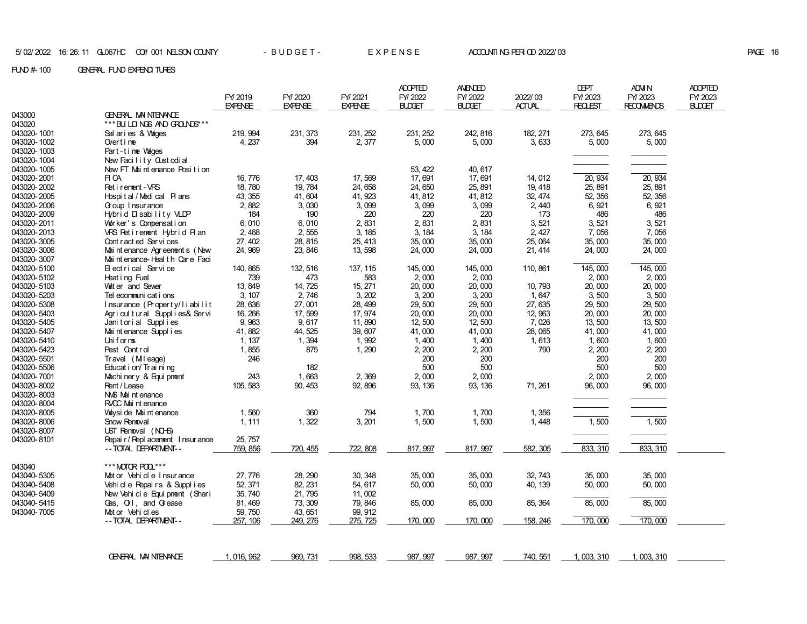# **PAGE 16**

|             |                                 |                           |                           |                           | <b>ADOPTED</b>           | <b>AMENDED</b>           |                          | <b>DEPT</b>                | <b>ADM N</b>                 | <b>ADOPTED</b>           |
|-------------|---------------------------------|---------------------------|---------------------------|---------------------------|--------------------------|--------------------------|--------------------------|----------------------------|------------------------------|--------------------------|
|             |                                 | FY/2019<br><b>EXPENSE</b> | FY/2020<br><b>EXPENSE</b> | FY/2021<br><b>EXPENSE</b> | FY/2022<br><b>BLDGET</b> | FY/2022<br><b>BLDGET</b> | 2022/03<br><b>ACTUAL</b> | FY/ 2023<br><b>REQLEST</b> | FY/2023<br><b>RECOMMENDS</b> | FY/2023<br><b>BLDGET</b> |
| 043000      | GENERAL MAINTENANCE             |                           |                           |                           |                          |                          |                          |                            |                              |                          |
| 043020      | *** BU LD NGS AND GROUNDS**     |                           |                           |                           |                          |                          |                          |                            |                              |                          |
| 043020-1001 | Sal aries & Vages               | 219, 994                  | 231, 373                  | 231, 252                  | 231, 252                 | 242, 816                 | 182, 271                 | 273, 645                   | 273, 645                     |                          |
| 043020-1002 | Overtime                        | 4, 237                    | 394                       | 2,377                     | 5,000                    | 5,000                    | 3,633                    | 5,000                      | 5,000                        |                          |
| 043020-1003 | Part-time Vages                 |                           |                           |                           |                          |                          |                          |                            |                              |                          |
| 043020-1004 | New Facility Cust odi al        |                           |                           |                           |                          |                          |                          |                            |                              |                          |
| 043020-1005 | New FT Maintenance Position     |                           |                           |                           | 53, 422                  | 40, 617                  |                          |                            |                              |                          |
| 043020-2001 | FI CA                           | 16, 776                   | 17, 403                   | 17,569                    | 17,691                   | 17,691                   | 14, 012                  | 20, 934                    | 20, 934                      |                          |
| 043020-2002 | Ret i rement - VRS              | 18,780                    | 19, 784                   | 24,658                    | 24,650                   | 25, 891                  | 19, 418                  | 25, 891                    | 25, 891                      |                          |
| 043020-2005 | Hospital / Medical Plans        | 43, 355                   | 41,604                    | 41, 923                   | 41, 812                  | 41, 812                  | 32, 474                  | 52, 356                    | 52, 356                      |                          |
| 043020-2006 | Goup I nsur ance                | 2,882                     | 3,030                     | 3,099                     | 3,099                    | 3,099                    | 2,440                    | 6,921                      | 6,921                        |                          |
| 043020-2009 | Hybrid Disability VLDP          | 184                       | 190                       | 220                       | 220                      | 220                      | 173                      | 486                        | 486                          |                          |
| 043020-2011 | Vor ker's Compensation          | 6,010                     | 6,010                     | 2,831                     | 2,831                    | 2,831                    | 3,521                    | 3, 521                     | 3,521                        |                          |
| 043020-2013 | VRS Retirement Hybrid Plan      | 2,468                     | 2,555                     | 3, 185                    | 3, 184                   | 3, 184                   | 2, 427                   | 7,056                      | 7,056                        |                          |
| 043020-3005 | Cont r act ed Ser vi ces        | 27, 402                   | 28, 815                   | 25, 413                   | 35,000                   | 35,000                   | 25, 064                  | 35,000                     | 35,000                       |                          |
| 043020-3006 | Mai nt enance Agr eenent s (New | 24, 969                   | 23, 846                   | 13, 598                   | 24,000                   | 24,000                   | 21, 414                  | 24,000                     | 24,000                       |                          |
| 043020-3007 | Mai nt enance-Heal th Care Faci |                           |                           |                           |                          |                          |                          |                            |                              |                          |
| 043020-5100 | Electrical Service              | 140, 865                  | 132, 516                  | 137, 115                  | 145,000                  | 145,000                  | 110, 861                 | 145,000                    | 145,000                      |                          |
| 043020-5102 | Heat i ng Fuel                  | 739                       | 473                       | 583                       | 2,000                    | 2,000                    |                          | 2,000                      | 2,000                        |                          |
| 043020-5103 | Vat er and Sewer                | 13, 849                   | 14, 725                   | 15, 271                   | 20,000                   | 20,000                   | 10,793                   | 20,000                     | 20,000                       |                          |
| 043020-5203 | Tel econmuni cat i ons          | 3, 107                    | 2,746                     | 3, 202                    | 3, 200                   | 3, 200                   | 1,647                    | 3,500                      | 3,500                        |                          |
| 043020-5308 | Insurance (Property/liabilit    | 28, 636                   | 27,001                    | 28, 499                   | 29,500                   | 29, 500                  | 27,635                   | 29,500                     | 29,500                       |                          |
| 043020-5403 | Agricultural Supplies& Servi    | 16, 266                   | 17, 599                   | 17, 974                   | 20,000                   | 20,000                   | 12, 963                  | 20,000                     | 20,000                       |                          |
| 043020-5405 | Janitorial Supplies             | 9,963                     | 9,617                     | 11,890                    | 12,500                   | 12,500                   | 7,026                    | 13,500                     | 13,500                       |                          |
| 043020-5407 | Mai nt enance Suppl i es        | 41, 882                   | 44, 525                   | 39, 607                   | 41,000                   | 41,000                   | 28,065                   | 41,000                     | 41,000                       |                          |
| 043020-5410 | Uniforms                        | 1, 137                    | 1,394                     | 1,992                     | 1,400                    | 1,400                    | 1,613                    | 1,600                      | 1,600                        |                          |
| 043020-5423 | Pest Control                    | 1,855                     | 875                       | 1,290                     | 2, 200                   | 2, 200                   | 790                      | 2, 200                     | 2, 200                       |                          |
| 043020-5501 | Travel (Mileage)                | 246                       |                           |                           | 200                      | 200                      |                          | 200                        | 200                          |                          |
| 043020-5506 | Educat i on/ Tr ai ni ng        |                           | 182                       |                           | 500                      | 500                      |                          | 500                        | 500                          |                          |
| 043020-7001 | Machi ner y & Equi pnent        | 243                       | 1,663                     | 2,369                     | 2,000                    | 2,000                    |                          | 2,000                      | 2,000                        |                          |
| 043020-8002 | Rent / Lease                    | 105, 583                  | 90, 453                   | 92, 896                   | 93, 136                  | 93, 136                  | 71, 261                  | 96,000                     | 96,000                       |                          |
| 043020-8003 | NAS Mai nt enance               |                           |                           |                           |                          |                          |                          |                            |                              |                          |
| 043020-8004 | RVCC Mai nt enance              |                           |                           |                           |                          |                          |                          |                            |                              |                          |
| 043020-8005 | Váysi de Mai nt enance          | 1,560                     | 360                       | 794                       | 1,700                    | 1,700                    | 1,356                    |                            |                              |                          |
| 043020-8006 | Show Renoval                    | 1, 111                    | 1,322                     | 3, 201                    | 1,500                    | 1,500                    | 1,448                    | 1,500                      | 1,500                        |                          |
| 043020-8007 | UST Removal (NO-6)              |                           |                           |                           |                          |                          |                          |                            |                              |                          |
| 043020-8101 | Repair/Repl acenent Insurance   | 25, 757                   |                           |                           |                          |                          |                          |                            |                              |                          |
|             | -- TOTAL DEPARTMENT--           | 759, 856                  | 720, 455                  | 722, 808                  | 817, 997                 | 817, 997                 | 582, 305                 | 833, 310                   | 833, 310                     |                          |
| 043040      | *** MOTOR POL ***               |                           |                           |                           |                          |                          |                          |                            |                              |                          |
| 043040-5305 | Mot or Vehi cl e Insurance      | 27,776                    | 28, 290                   | 30, 348                   | 35,000                   | 35,000                   | 32, 743                  | 35,000                     | 35,000                       |                          |
| 043040-5408 | Vehicle Repairs & Supplies      | 52, 371                   | 82, 231                   | 54, 617                   | 50,000                   | 50,000                   | 40, 139                  | 50,000                     | 50,000                       |                          |
| 043040-5409 | New Vehicle Equipment (Sheri    | 35, 740                   | 21, 795                   | 11,002                    |                          |                          |                          |                            |                              |                          |
| 043040-5415 | Gas, O.I, and Grease            | 81, 469                   | 73, 309                   | 79, 846                   | 85,000                   | 85,000                   | 85, 364                  | 85,000                     | 85,000                       |                          |
| 043040-7005 | Mot or Vehi cl es               | 59,750                    | 43, 651                   | 99, 912                   |                          |                          |                          |                            |                              |                          |
|             | -- TOTAL DEPARTMENT--           | 257, 106                  | 249, 276                  | 275, 725                  | 170,000                  | 170, 000                 | 158, 246                 | 170,000                    | 170,000                      |                          |
|             |                                 |                           |                           |                           |                          |                          |                          |                            |                              |                          |
|             | GENERAL MANTENANCE              | 1, 016, 962               | 969, 731                  | 998, 533                  | 987, 997                 | 987, 997                 | 740, 551                 | 1, 003, 310                | 1, 003, 310                  |                          |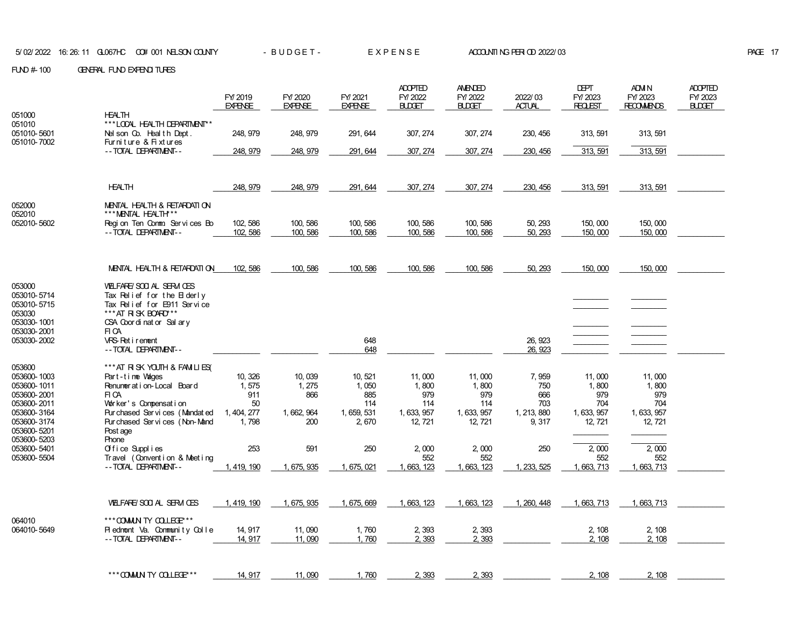|                            |                                                             | FY 2019<br><b>EXPENSE</b> | FY/2020<br><b>EXPENSE</b> | FY/2021<br><b>EXPENSE</b> | <b>ADOPTED</b><br>FY/2022<br><b>BLDGET</b> | <b>AMENDED</b><br>FY/2022<br><b>BLDGET</b> | 2022/03<br><b>ACTUAL</b> | <b>DEPT</b><br>FY/2023<br>REQUEST | ADM N<br>FY/2023<br><b>RECOMMENDS</b> | <b>ADOPTED</b><br>FY/2023<br><b>BUDGET</b> |
|----------------------------|-------------------------------------------------------------|---------------------------|---------------------------|---------------------------|--------------------------------------------|--------------------------------------------|--------------------------|-----------------------------------|---------------------------------------|--------------------------------------------|
| 051000                     | <b>HEALTH</b>                                               |                           |                           |                           |                                            |                                            |                          |                                   |                                       |                                            |
| 051010<br>051010-5601      | ***LOOAL HEALTH DEPARTMENT**<br>Nel son Co. Health Dept.    | 248, 979                  | 248, 979                  | 291, 644                  | 307, 274                                   | 307, 274                                   | 230, 456                 | 313, 591                          | 313, 591                              |                                            |
| 051010-7002                | Furniture & Fixtures<br>-- TOTAL DEPARTMENT--               | 248, 979                  | 248, 979                  | 291, 644                  | 307, 274                                   | 307, 274                                   | 230, 456                 | 313, 591                          | 313, 591                              |                                            |
|                            |                                                             |                           |                           |                           |                                            |                                            |                          |                                   |                                       |                                            |
|                            | <b>HEALTH</b>                                               | 248, 979                  | 248, 979                  | 291, 644                  | 307, 274                                   | 307, 274                                   | 230, 456                 | 313, 591                          | 313, 591                              |                                            |
| 052000<br>052010           | MENTAL HEALTH & RETARDATION<br>*** MENTAL HEALTH***         |                           |                           |                           |                                            |                                            |                          |                                   |                                       |                                            |
| 052010-5602                | Region Ten Comm Services Bo<br>-- TOTAL DEPARTMENT--        | 102, 586<br>102, 586      | 100, 586<br>100, 586      | 100, 586<br>100, 586      | 100, 586<br>100, 586                       | 100, 586<br>100, 586                       | 50, 293<br>50, 293       | 150,000<br>150,000                | 150,000<br>150,000                    |                                            |
|                            |                                                             |                           |                           |                           |                                            |                                            |                          |                                   |                                       |                                            |
|                            | MENTAL HEALTH & RETARDATION                                 | 102, 586                  | 100, 586                  | 100, 586                  | 100, 586                                   | 100, 586                                   | 50, 293                  | 150,000                           | 150,000                               |                                            |
| 053000                     | VELFARE/SOO AL SERVICES                                     |                           |                           |                           |                                            |                                            |                          |                                   |                                       |                                            |
| 053010-5714<br>053010-5715 | Tax Relief for the $B$ derly<br>Tax Relief for E911 Service |                           |                           |                           |                                            |                                            |                          |                                   |                                       |                                            |
| 053030<br>053030-1001      | ***AT RISK BOARD***<br>CSA Coordinator Sal arv              |                           |                           |                           |                                            |                                            |                          |                                   |                                       |                                            |
| 053030-2001                | FI CA                                                       |                           |                           |                           |                                            |                                            |                          |                                   |                                       |                                            |
| 053030-2002                | VRS-Retirement<br>-- TOTAL DEPARTMENT--                     |                           |                           | 648<br>648                |                                            |                                            | 26, 923<br>26, 923       |                                   |                                       |                                            |
| 053600                     | *** AT RISK YOUTH & FAMILIES(                               |                           |                           |                           |                                            |                                            |                          |                                   |                                       |                                            |
| 053600-1003<br>053600-1011 | Part-time Vages<br>Renumeration-Local Board                 | 10, 326<br>1,575          | 10,039<br>1, 275          | 10, 521<br>1,050          | 11,000<br>1,800                            | 11,000<br>1,800                            | 7,959<br>750             | 11,000<br>1,800                   | 11,000<br>1,800                       |                                            |
| 053600-2001                | FI CA                                                       | 911                       | 866                       | 885                       | 979                                        | 979                                        | 666                      | 979                               | 979                                   |                                            |
| 053600-2011<br>053600-3164 | Worker's Compensation<br>Pur chased Ser vi ces (Mandat ed   | 50<br>1, 404, 277         | 1, 662, 964               | 114<br>1, 659, 531        | 114<br>1, 633, 957                         | 114<br>1, 633, 957                         | 703<br>1, 213, 880       | 704<br>1, 633, 957                | 704<br>1, 633, 957                    |                                            |
| 053600-3174                | Pur chased Services (Non-Mand                               | 1.798                     | 200                       | 2,670                     | 12, 721                                    | 12.721                                     | 9, 317                   | 12, 721                           | 12, 721                               |                                            |
| 053600-5201<br>053600-5203 | Post age<br>Phone                                           |                           |                           |                           |                                            |                                            |                          |                                   |                                       |                                            |
| 053600-5401                | Office Supplies                                             | 253                       | 591                       | 250                       | 2,000                                      | 2,000                                      | 250                      | 2,000                             | 2,000                                 |                                            |
| 053600-5504                | Travel (Convention & Meeting<br>-- TOTAL DEPARTMENT--       | 1, 419, 190               | 1, 675, 935               | 1, 675, 021               | 552<br>1, 663, 123                         | 552<br>1, 663, 123                         | 1, 233, 525              | 552<br>1, 663, 713                | 552<br>1, 663, 713                    |                                            |
|                            |                                                             |                           |                           |                           |                                            |                                            |                          |                                   |                                       |                                            |
|                            | VELFARE/SOO AL SERM OES                                     | 1, 419, 190               | 1, 675, 935               | 1, 675, 669               | 1, 663, 123                                | 1, 663, 123                                | 1, 260, 448              | 1, 663, 713                       | 1, 663, 713                           |                                            |
| 064010                     | *** COMMUN TY COLLECE***                                    |                           |                           |                           |                                            |                                            |                          |                                   |                                       |                                            |
| 064010-5649                | Piednont Va. Community Colle<br>-- TOTAL DEPARTMENT--       | 14, 917<br>14.917         | 11,090<br>11.090          | 1,760<br>1.760            | 2,393<br>2.393                             | 2,393<br>2,393                             |                          | 2, 108<br>2.108                   | 2, 108<br>2, 108                      |                                            |
|                            |                                                             |                           |                           |                           |                                            |                                            |                          |                                   |                                       |                                            |
|                            | *** COMUN TY COLLEGE***                                     | 14, 917                   | 11,090                    | 1,760                     | 2, 393                                     | 2,393                                      |                          | 2, 108                            | 2, 108                                |                                            |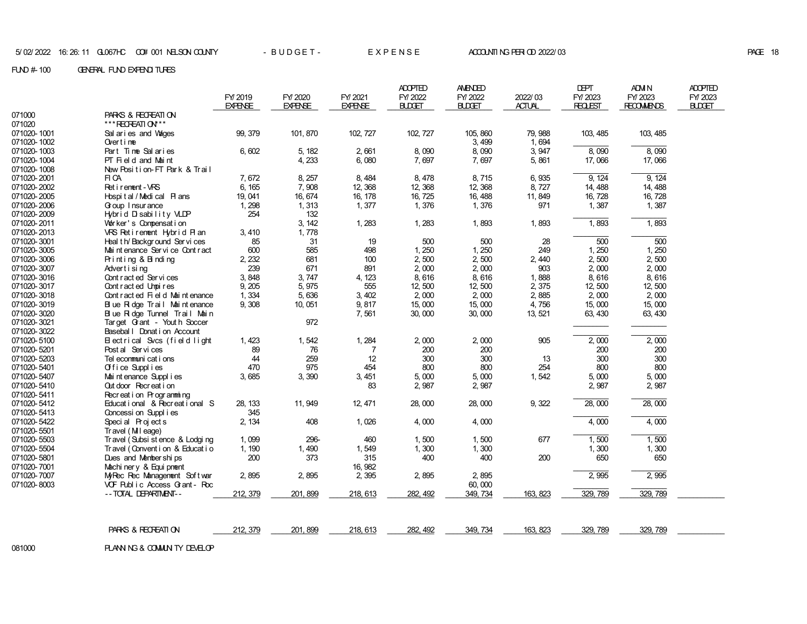FUND # 100 GENERAL FUND EXPENDITURES

|             |                                    |                           |                           |                           | <b>ADOPTED</b>           | <b>AMENDED</b>           |                          | <b>DEPT</b>               | ADM N                        | <b>ADOPTED</b>           |
|-------------|------------------------------------|---------------------------|---------------------------|---------------------------|--------------------------|--------------------------|--------------------------|---------------------------|------------------------------|--------------------------|
|             |                                    | FY 2019<br><b>EXPENSE</b> | FY/2020<br><b>EXPENSE</b> | FY/2021<br><b>EXPENSE</b> | FY/2022<br><b>BLDGET</b> | FY 2022<br><b>BLDGET</b> | 2022/03<br><b>ACTUAL</b> | FY/2023<br><b>REQLEST</b> | FY/2023<br><b>RECOMMENDS</b> | FY/2023<br><b>BLDGET</b> |
| 071000      | PARKS & RECREATION                 |                           |                           |                           |                          |                          |                          |                           |                              |                          |
| 071020      | *** RECREATION**                   |                           |                           |                           |                          |                          |                          |                           |                              |                          |
| 071020-1001 | Sal aries and Vages                | 99, 379                   | 101, 870                  | 102, 727                  | 102, 727                 | 105, 860                 | 79, 988                  | 103, 485                  | 103, 485                     |                          |
| 071020-1002 | Over $t$ ime                       |                           |                           |                           |                          | 3,499                    | 1,694                    |                           |                              |                          |
| 071020-1003 | Part Time Salaries                 | 6,602                     | 5, 182                    | 2,661                     | 8,090                    | 8,090                    | 3, 947                   | 8,090                     | 8,090                        |                          |
| 071020-1004 | PT Field and Maint                 |                           | 4,233                     | 6,080                     | 7,697                    | 7,697                    | 5,861                    | 17,066                    | 17,066                       |                          |
| 071020-1008 | New Position-FT Park & Trail       |                           |                           |                           |                          |                          |                          |                           |                              |                          |
| 071020-2001 | FI CA                              | 7,672                     | 8, 257                    | 8,484                     | 8,478                    | 8,715                    | 6,935                    | 9.124                     | 9, 124                       |                          |
| 071020-2002 | Ret i rement - VRS                 | 6, 165                    | 7,908                     | 12, 368                   | 12, 368                  | 12, 368                  | 8,727                    | 14, 488                   | 14, 488                      |                          |
| 071020-2005 | Hospital/Medical Plans             | 19, 041                   | 16, 674                   | 16, 178                   | 16, 725                  | 16, 488                  | 11,849                   | 16, 728                   | 16, 728                      |                          |
| 071020-2006 | Goup I nsur ance                   | 1, 298                    | 1,313                     | 1,377                     | 1,376                    | 1,376                    | 971                      | 1,387                     | 1,387                        |                          |
| 071020-2009 | Hybrid Disability VLDP             | 254                       | 132                       |                           |                          |                          |                          |                           |                              |                          |
| 071020-2011 | Vor ker's Compensation             |                           | 3, 142                    | 1,283                     | 1,283                    | 1,893                    | 1,893                    | 1,893                     | 1,893                        |                          |
| 071020-2013 | VRS Retirement Hybrid Plan         | 3,410                     | 1,778                     |                           |                          |                          |                          |                           |                              |                          |
| 071020-3001 | Heal th/Background Services        | 85                        | 31                        | 19                        | 500                      | 500                      | 28                       | 500                       | 500                          |                          |
| 071020-3005 | Mai nt enance Ser vi ce Cont r act | 600                       | 585                       | 498                       | 1,250                    | 1,250                    | 249                      | 1,250                     | 1,250                        |                          |
| 071020-3006 | Printing & Binding                 | 2, 232                    | 681                       | 100                       | 2,500                    | 2,500                    | 2,440                    | 2,500                     | 2,500                        |                          |
| 071020-3007 | Advertising                        | 239                       | 671                       | 891                       | 2,000                    | 2,000                    | 903                      | 2,000                     | 2,000                        |                          |
| 071020-3016 | Cont ract ed Services              | 3,848                     | 3,747                     | 4, 123                    | 8,616                    | 8,616                    | 1,888                    | 8,616                     | 8,616                        |                          |
| 071020-3017 | Contracted Unpires                 | 9,205                     | 5,975                     | 555                       | 12,500                   | 12,500                   | 2,375                    | 12,500                    | 12,500                       |                          |
| 071020-3018 | Cont ract ed Fi el d Mai nt enance | 1,334                     | 5,636                     | 3, 402                    | 2,000                    | 2,000                    | 2,885                    | 2,000                     | 2,000                        |                          |
| 071020-3019 | Blue R dge Trail Maintenance       | 9,308                     | 10,051                    | 9,817                     | 15,000                   | 15,000                   | 4,756                    | 15,000                    | 15,000                       |                          |
| 071020-3020 | Blue Ridge Tunnel Trail Main       |                           |                           | 7,561                     | 30,000                   | 30,000                   | 13, 521                  | 63, 430                   | 63, 430                      |                          |
| 071020-3021 | Target Grant - Youth Soccer        |                           | 972                       |                           |                          |                          |                          |                           |                              |                          |
| 071020-3022 | Basebal   Donat i on Account       |                           |                           |                           |                          |                          |                          |                           |                              |                          |
| 071020-5100 | Electrical Svcs (field light       | 1, 423                    | 1,542                     | 1, 284                    | 2,000                    | 2,000                    | 905                      | 2,000                     | 2,000                        |                          |
| 071020-5201 | Post al Services                   | 89                        | 76                        | 7                         | 200                      | 200                      |                          | 200                       | 200                          |                          |
| 071020-5203 | Tel econmuni cat i ons             | 44                        | 259                       | 12                        | 300                      | 300                      | 13                       | 300                       | 300                          |                          |
| 071020-5401 | Office Supplies                    | 470                       | 975                       | 454                       | 800                      | 800                      | 254                      | 800                       | 800                          |                          |
| 071020-5407 | Mai nt enance Suppl i es           | 3,685                     | 3,390                     | 3, 451                    | 5,000                    | 5,000                    | 1,542                    | 5,000                     | 5,000                        |                          |
| 071020-5410 | Out door Recreat i on              |                           |                           | 83                        | 2,987                    | 2,987                    |                          | 2,987                     | 2,987                        |                          |
| 071020-5411 | Recreation Programming             |                           |                           |                           |                          |                          |                          |                           |                              |                          |
| 071020-5412 | Educational & Recreational S       | 28, 133                   | 11, 949                   | 12, 471                   | 28,000                   | 28,000                   | 9,322                    | 28,000                    | 28,000                       |                          |
| 071020-5413 | Concessi on Suppl i es             | 345                       |                           |                           |                          |                          |                          |                           |                              |                          |
| 071020-5422 | Special Projects                   | 2, 134                    | 408                       | 1,026                     | 4,000                    | 4,000                    |                          | 4,000                     | 4,000                        |                          |
| 071020-5501 | Tr avel (MII eage)                 |                           |                           |                           |                          |                          |                          |                           |                              |                          |
| 071020-5503 | Tr avel (Subsi st ence & Lodgi ng  | 1,099                     | 296-                      | 460                       | 1,500                    | 1,500                    | 677                      | 1,500                     | 1,500                        |                          |
| 071020-5504 | Travel (Convent i on & Educat i o  | 1, 190                    | 1,490                     | 1,549                     | 1,300                    | 1,300                    |                          | 1,300                     | 1,300                        |                          |
| 071020-5801 | Dues and Memberships               | 200                       | 373                       | 315                       | 400                      | 400                      | 200                      | 650                       | 650                          |                          |
| 071020-7001 | Machi ner y & Equi pnent           |                           |                           | 16, 982                   |                          |                          |                          |                           |                              |                          |
| 071020-7007 | MyRec Rec Management Soft war      | 2,895                     | 2,895                     | 2,395                     | 2,895                    | 2,895                    |                          | 2,995                     | 2,995                        |                          |
| 071020-8003 | VCF Public Access Grant - Roc      |                           |                           |                           |                          | 60,000                   |                          |                           |                              |                          |
|             | -- TOTAL DEPARTMENT--              | 212, 379                  | 201, 899                  | 218, 613                  | 282, 492                 | 349, 734                 | 163, 823                 | 329, 789                  | 329, 789                     |                          |
|             |                                    |                           |                           |                           |                          |                          |                          |                           |                              |                          |
|             | PARKS & RECREATION                 | 212, 379                  | 201, 899                  | 218, 613                  | 282, 492                 | 349.734                  | 163, 823                 | 329.789                   | 329, 789                     |                          |
|             |                                    |                           |                           |                           |                          |                          |                          |                           |                              |                          |

081000 PLANNING & COMMUNITY DEVELOP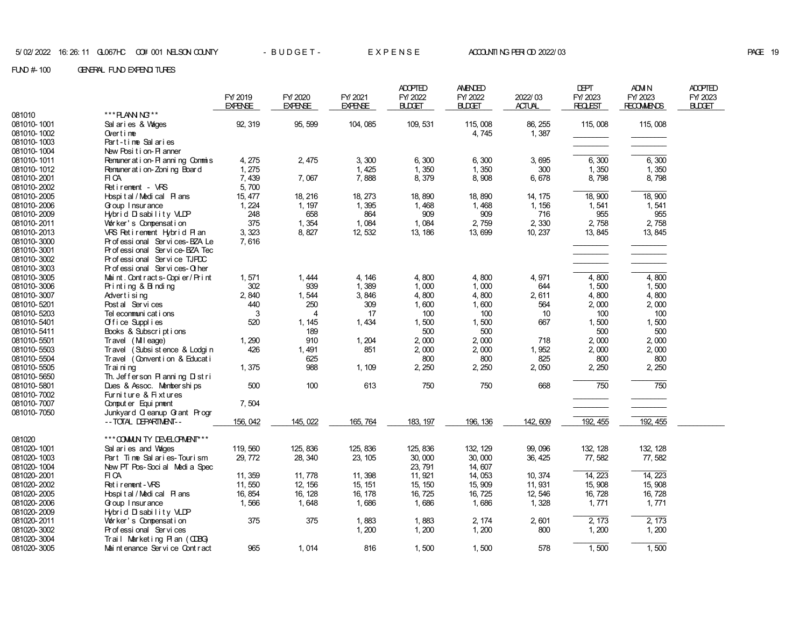|             |                                    | FY 2019<br><b>EXPENSE</b> | FY/2020<br><b>EXPENSE</b> | FY/2021<br><b>EXPENSE</b> | <b>ADOPTED</b><br>FY/2022<br><b>BLDGET</b> | <b>AMENDED</b><br>FY/2022<br><b>BUDGET</b> | 2022/03<br><b>ACTUAL</b> | DEPT<br>FY/2023<br><b>REQLEST</b> | ADM N<br>FY/2023<br><b>RECOMMENDS</b> | <b>ADOPTED</b><br>FY/2023<br><b>BLDGET</b> |
|-------------|------------------------------------|---------------------------|---------------------------|---------------------------|--------------------------------------------|--------------------------------------------|--------------------------|-----------------------------------|---------------------------------------|--------------------------------------------|
| 081010      | *** PLANN NG**                     |                           |                           |                           |                                            |                                            |                          |                                   |                                       |                                            |
| 081010-1001 | Sal aries & Vages                  | 92, 319                   | 95.599                    | 104, 085                  | 109, 531                                   | 115,008                                    | 86, 255                  | 115,008                           | 115,008                               |                                            |
| 081010-1002 | Over $t$ ime                       |                           |                           |                           |                                            | 4,745                                      | 1,387                    |                                   |                                       |                                            |
| 081010-1003 | Part-time Salaries                 |                           |                           |                           |                                            |                                            |                          |                                   |                                       |                                            |
| 081010-1004 | New Position-Planner               |                           |                           |                           |                                            |                                            |                          |                                   |                                       |                                            |
| 081010-1011 | Remuner at i on- PI anni ng Commis | 4, 275                    | 2, 475                    | 3,300                     | 6,300                                      | 6,300                                      | 3,695                    | 6,300                             | 6,300                                 |                                            |
| 081010-1012 | Remuner at i on-Zoni ng Board      | 1, 275                    |                           | 1, 425                    | 1,350                                      | 1,350                                      | 300                      | 1,350                             | 1,350                                 |                                            |
| 081010-2001 | FI CA                              | 7, 439                    | 7,067                     | 7,888                     | 8, 379                                     | 8,908                                      | 6,678                    | 8, 798                            | 8,798                                 |                                            |
| 081010-2002 | Retirement - VRS                   | 5,700                     |                           |                           |                                            |                                            |                          |                                   |                                       |                                            |
| 081010-2005 | Hospital / Medical Plans           | 15, 477                   | 18, 216                   | 18, 273                   | 18, 890                                    | 18,890                                     | 14, 175                  | 18,900                            | 18, 900                               |                                            |
| 081010-2006 | Goup I nsur ance                   | 1, 224                    | 1, 197                    | 1,395                     | 1,468                                      | 1,468                                      | 1, 156                   | 1,541                             | 1,541                                 |                                            |
| 081010-2009 | Hybrid Disability VLDP             | 248                       | 658                       | 864                       | 909                                        | 909                                        | 716                      | 955                               | 955                                   |                                            |
| 081010-2011 | Vor ker's Compensation             | 375                       | 1,354                     | 1,084                     | 1,084                                      | 2,759                                      | 2,330                    | 2,758                             | 2,758                                 |                                            |
| 081010-2013 | VRS Retirement Hybrid Plan         | 3, 323                    | 8, 827                    | 12, 532                   | 13, 186                                    | 13,699                                     | 10, 237                  | 13, 845                           | 13, 845                               |                                            |
| 081010-3000 | Pr of essi onal Ser vi ces-BZA Le  | 7,616                     |                           |                           |                                            |                                            |                          |                                   |                                       |                                            |
| 081010-3001 | Professional Service-BZA Tec       |                           |                           |                           |                                            |                                            |                          |                                   |                                       |                                            |
| 081010-3002 | Professional Service TJPDC         |                           |                           |                           |                                            |                                            |                          |                                   |                                       |                                            |
| 081010-3003 | Professional Services-Other        |                           |                           |                           |                                            |                                            |                          |                                   |                                       |                                            |
| 081010-3005 | Maint. Contracts-Copier/Print      | 1,571                     | 1,444                     | 4, 146                    | 4,800                                      | 4,800                                      | 4,971                    | 4,800                             | 4,800                                 |                                            |
| 081010-3006 | Printing & Binding                 | 302                       | 939                       | 1,389                     | 1,000                                      | 1,000                                      | 644                      | 1,500                             | 1,500                                 |                                            |
| 081010-3007 | Advertising                        | 2,840                     | 1,544                     | 3,846                     | 4,800                                      | 4,800                                      | 2,611                    | 4,800                             | 4,800                                 |                                            |
| 081010-5201 | Post al Services                   | 440                       | 250                       | 309                       | 1,600                                      | 1,600                                      | 564                      | 2,000                             | 2,000                                 |                                            |
| 081010-5203 | Tel ecommuni cat i ons             | 3                         | 4                         | 17                        | 100                                        | 100                                        | 10                       | 100                               | 100                                   |                                            |
| 081010-5401 |                                    | 520                       |                           | 1,434                     |                                            | 1,500                                      | 667                      | 1,500                             | 1,500                                 |                                            |
|             | Office Supplies                    |                           | 1, 145                    |                           | 1,500                                      |                                            |                          |                                   | 500                                   |                                            |
| 081010-5411 | Books & Subscriptions              |                           | 189<br>910                |                           | 500                                        | 500                                        | 718                      | 500                               |                                       |                                            |
| 081010-5501 | Travel (Mileage)                   | 1, 290                    |                           | 1, 204                    | 2,000                                      | 2,000                                      |                          | 2,000                             | 2,000                                 |                                            |
| 081010-5503 | Travel (Subsistence & Lodgin       | 426                       | 1,491                     | 851                       | 2,000                                      | 2,000                                      | 1,952                    | 2,000                             | 2,000                                 |                                            |
| 081010-5504 | Travel (Convention & Education     |                           | 625                       |                           | 800                                        | 800                                        | 825                      | 800                               | 800                                   |                                            |
| 081010-5505 | Trai ni ng                         | 1,375                     | 988                       | 1, 109                    | 2, 250                                     | 2, 250                                     | 2,050                    | 2, 250                            | 2, 250                                |                                            |
| 081010-5650 | Th. Jefferson Planning Distri      |                           |                           |                           |                                            |                                            |                          |                                   |                                       |                                            |
| 081010-5801 | Dues & Assoc. Memberships          | 500                       | 100                       | 613                       | 750                                        | 750                                        | 668                      | 750                               | 750                                   |                                            |
| 081010-7002 | Furniture & Fixtures               |                           |                           |                           |                                            |                                            |                          |                                   |                                       |                                            |
| 081010-7007 | Comput er Equi pment               | 7,504                     |                           |                           |                                            |                                            |                          |                                   |                                       |                                            |
| 081010-7050 | Junkyard C eanup G ant Progr       |                           |                           |                           |                                            |                                            |                          |                                   |                                       |                                            |
|             | --TOTAL DEPARTMENT--               | 156, 042                  | 145, 022                  | 165, 764                  | 183, 197                                   | 196, 136                                   | 142, 609                 | 192, 455                          | 192, 455                              |                                            |
|             |                                    |                           |                           |                           |                                            |                                            |                          |                                   |                                       |                                            |
| 081020      | *** COMMUN TY DEVELOPMENT***       |                           |                           |                           |                                            |                                            |                          |                                   |                                       |                                            |
| 081020-1001 | Sal aries and Vages                | 119, 560                  | 125, 836                  | 125, 836                  | 125, 836                                   | 132, 129                                   | 99,096                   | 132, 128                          | 132, 128                              |                                            |
| 081020-1003 | Part Time Salaries-Tourism         | 29, 772                   | 28, 340                   | 23, 105                   | 30,000                                     | 30,000                                     | 36, 425                  | 77,582                            | 77,582                                |                                            |
| 081020-1004 | New PT Pos-Soci al Medi a Spec     |                           |                           |                           | 23, 791                                    | 14,607                                     |                          |                                   |                                       |                                            |
| 081020-2001 | FI CA                              | 11, 359                   | 11, 778                   | 11, 398                   | 11, 921                                    | 14, 053                                    | 10, 374                  | 14, 223                           | 14, 223                               |                                            |
| 081020-2002 | Ret i rement - VRS                 | 11,550                    | 12, 156                   | 15, 151                   | 15, 150                                    | 15, 909                                    | 11, 931                  | 15, 908                           | 15, 908                               |                                            |
| 081020-2005 | Hospital/Medical Plans             | 16, 854                   | 16, 128                   | 16, 178                   | 16, 725                                    | 16, 725                                    | 12, 546                  | 16, 728                           | 16, 728                               |                                            |
| 081020-2006 | Goup I nsur ance                   | 1,566                     | 1.648                     | 1,686                     | 1,686                                      | 1,686                                      | 1,328                    | 1,771                             | 1,771                                 |                                            |
| 081020-2009 | Hybrid Disability VLDP             |                           |                           |                           |                                            |                                            |                          |                                   |                                       |                                            |
| 081020-2011 | Worker's Compensation              | 375                       | 375                       | 1,883                     | 1,883                                      | 2, 174                                     | 2,601                    | 2, 173                            | 2, 173                                |                                            |
| 081020-3002 | Professional Services              |                           |                           | 1,200                     | 1,200                                      | 1,200                                      | 800                      | 1, 200                            | 1, 200                                |                                            |
| 081020-3004 | Trail Marketing Plan (ODBG)        |                           |                           |                           |                                            |                                            |                          |                                   |                                       |                                            |
| 081020-3005 | Mai nt enance Servi ce Cont r act  | 965                       | 1,014                     | 816                       | 1,500                                      | 1,500                                      | 578                      | 1,500                             | 1,500                                 |                                            |
|             |                                    |                           |                           |                           |                                            |                                            |                          |                                   |                                       |                                            |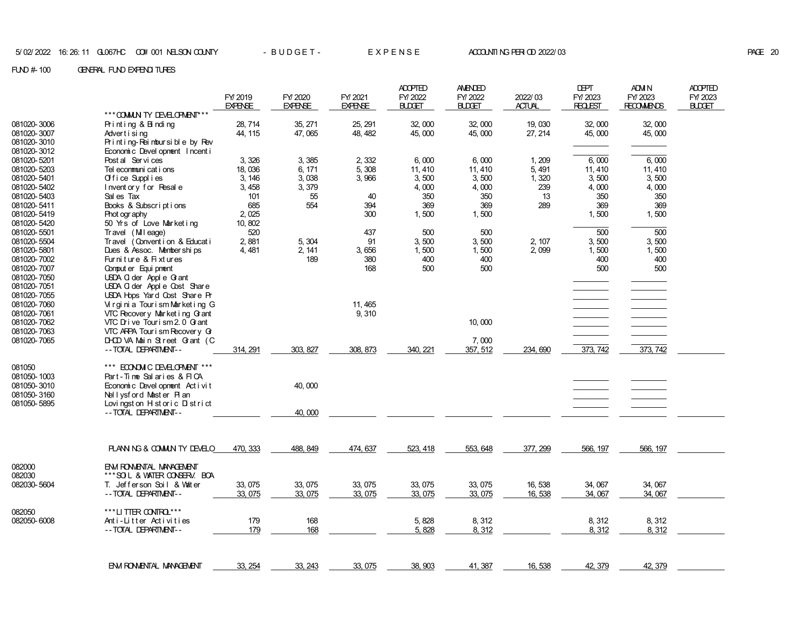|                                           |                                                                                           | FY/2019<br><b>EXPENSE</b> | FY/2020<br><b>EXPENSE</b> | FY/2021<br><b>EXPENSE</b> | <b>ADOPTED</b><br>FY/2022<br><b>BLDGET</b> | AMENDED<br>FY/2022<br><b>BLDGET</b> | 2022/03<br><b>ACTUAL</b> | DEPT<br>FY/2023<br><b>REQLEST</b> | <b>ADM N</b><br>FY/ 2023<br><b>RECOMMENDS</b> | <b>ADOPTED</b><br>FY/2023<br>BUDGET |
|-------------------------------------------|-------------------------------------------------------------------------------------------|---------------------------|---------------------------|---------------------------|--------------------------------------------|-------------------------------------|--------------------------|-----------------------------------|-----------------------------------------------|-------------------------------------|
|                                           | *** COMMUN TY DEVELOPMENT***                                                              |                           |                           |                           |                                            |                                     |                          |                                   |                                               |                                     |
| 081020-3006                               | Printing & Binding                                                                        | 28.714                    | 35, 271                   | 25, 291                   | 32.000                                     | 32,000                              | 19,030                   | 32.000                            | 32,000                                        |                                     |
| 081020-3007                               | Advertising                                                                               | 44, 115                   | 47,065                    | 48, 482                   | 45,000                                     | 45,000                              | 27, 214                  | 45,000                            | 45,000                                        |                                     |
| 081020-3010                               | Printing-Reimbursible by Rev                                                              |                           |                           |                           |                                            |                                     |                          |                                   |                                               |                                     |
| 081020-3012                               | Economic Devel opnent Incent i                                                            |                           |                           |                           |                                            |                                     |                          |                                   |                                               |                                     |
| 081020-5201                               | Post al Services                                                                          | 3, 326                    | 3,385                     | 2,332                     | 6,000                                      | 6,000                               | 1, 209                   | 6,000                             | 6,000                                         |                                     |
| 081020-5203                               | Tel econmuni cat i ons                                                                    | 18,036                    | 6, 171                    | 5,308                     | 11, 410                                    | 11, 410                             | 5, 491                   | 11, 410                           | 11, 410                                       |                                     |
| 081020-5401                               | Office Supplies                                                                           | 3, 146                    | 3,038                     | 3,966                     | 3,500                                      | 3,500                               | 1,320                    | 3,500                             | 3,500                                         |                                     |
| 081020-5402                               | Inventory for Resale                                                                      | 3,458                     | 3,379                     |                           | 4,000                                      | 4,000                               | 239                      | 4,000                             | 4,000                                         |                                     |
| 081020-5403                               | Sal es Tax                                                                                | 101                       | 55                        | 40                        | 350                                        | 350                                 | 13                       | 350                               | 350                                           |                                     |
| 081020-5411                               | Books & Subscriptions                                                                     | 685                       | 554                       | 394                       | 369                                        | 369                                 | 289                      | 369                               | 369                                           |                                     |
| 081020-5419                               | Phot ogr aphy                                                                             | 2,025                     |                           | 300                       | 1,500                                      | 1,500                               |                          | 1,500                             | 1,500                                         |                                     |
| 081020-5420                               | 50 Yrs of Love Marketing                                                                  | 10, 802                   |                           |                           |                                            |                                     |                          |                                   |                                               |                                     |
| 081020-5501                               | Travel (Mileage)                                                                          | 520                       |                           | 437                       | 500                                        | 500                                 |                          | $\overline{500}$                  | $\overline{500}$                              |                                     |
| 081020-5504                               | Travel (Convention & Education                                                            | 2,881                     | 5, 304                    | 91                        | 3,500                                      | 3,500                               | 2, 107                   | 3,500                             | 3,500                                         |                                     |
| 081020-5801                               | Dues & Assoc. Memberships                                                                 | 4,481                     | 2, 141                    | 3,656                     | 1,500                                      | 1,500                               | 2,099                    | 1,500                             | 1,500                                         |                                     |
| 081020-7002<br>081020-7007                | Furniture & Fixtures<br>Comput er Equi pment                                              |                           | 189                       | 380<br>168                | 400<br>500                                 | 400<br>500                          |                          | 400<br>500                        | 400<br>500                                    |                                     |
| 081020-7050                               | USDA G der Appl e G ant                                                                   |                           |                           |                           |                                            |                                     |                          |                                   |                                               |                                     |
| 081020-7051                               | USDA G der Appl e Cost Share                                                              |                           |                           |                           |                                            |                                     |                          |                                   |                                               |                                     |
| 081020-7055                               | USDA Hops Yard Cost Share Pr                                                              |                           |                           |                           |                                            |                                     |                          |                                   |                                               |                                     |
| 081020-7060                               | Virginia Tourism Marketing G                                                              |                           |                           | 11, 465                   |                                            |                                     |                          |                                   |                                               |                                     |
| 081020-7061                               | VTC Recovery Market ing G ant                                                             |                           |                           | 9,310                     |                                            |                                     |                          |                                   |                                               |                                     |
| 081020-7062                               | VTC Drive Tourism 2.0 G ant                                                               |                           |                           |                           |                                            | 10,000                              |                          |                                   |                                               |                                     |
| 081020-7063                               | VTC ARPA Tour i sm Recovery G                                                             |                           |                           |                           |                                            |                                     |                          |                                   |                                               |                                     |
| 081020-7065                               | DHOD VA Main Street Grant (C                                                              |                           |                           |                           |                                            | 7,000                               |                          |                                   |                                               |                                     |
|                                           | -- TOTAL DEPARTMENT--                                                                     | 314, 291                  | 303, 827                  | 308, 873                  | 340, 221                                   | 357, 512                            | 234, 690                 | 373, 742                          | 373, 742                                      |                                     |
| 081050<br>081050-1003                     | *** ECONOM C DEVELOPMENT ***<br>Part-Time Salaries & FICA                                 |                           |                           |                           |                                            |                                     |                          |                                   |                                               |                                     |
| 081050-3010<br>081050-3160<br>081050-5895 | Economic Devel opment Act i vit<br>Nellysford Master Plan<br>Lovingston H storic D strict |                           | 40.000                    |                           |                                            |                                     |                          |                                   |                                               |                                     |
|                                           | -- TOTAL DEPARTMENT--                                                                     |                           | 40,000                    |                           |                                            |                                     |                          |                                   |                                               |                                     |
|                                           |                                                                                           |                           |                           |                           |                                            |                                     |                          |                                   |                                               |                                     |
|                                           | PLANNING & COMMUNITY DEVELO                                                               | 470, 333                  | 488, 849                  | 474, 637                  | 523, 418                                   | 553, 648                            | 377, 299                 | 566, 197                          | 566, 197                                      |                                     |
| 082000<br>082030                          | EN RONANTAL MANAGEMENT<br>***SOL & WATER CONSERV. BOA                                     |                           |                           |                           |                                            |                                     |                          |                                   |                                               |                                     |
| 082030-5604                               | T. Jefferson Soil & Water                                                                 | 33, 075                   | 33, 075                   | 33, 075                   | 33, 075                                    | 33, 075                             | 16,538                   | 34,067                            | 34,067                                        |                                     |
|                                           | -- TOTAL DEPARTMENT--                                                                     | 33, 075                   | 33, 075                   | 33, 075                   | 33, 075                                    | 33, 075                             | 16, 538                  | 34,067                            | 34,067                                        |                                     |
| 082050                                    | ***LITTER CONTRO ***                                                                      |                           |                           |                           |                                            |                                     |                          |                                   |                                               |                                     |
| 082050-6008                               | Anti-Litter Activities                                                                    | 179                       | 168                       |                           | 5, 828                                     | 8, 312                              |                          | 8,312                             | 8,312                                         |                                     |
|                                           | -- TOTAL DEPARTMENT--                                                                     | 179                       | 168                       |                           | 5,828                                      | 8,312                               |                          | 8, 312                            | 8,312                                         |                                     |
|                                           |                                                                                           |                           |                           |                           |                                            |                                     |                          |                                   |                                               |                                     |
|                                           | <b>EN RONENTAL MANAGEMENT</b>                                                             | 33, 254                   | 33, 243                   | 33, 075                   | 38, 903                                    | 41, 387                             | 16, 538                  | 42, 379                           | 42, 379                                       |                                     |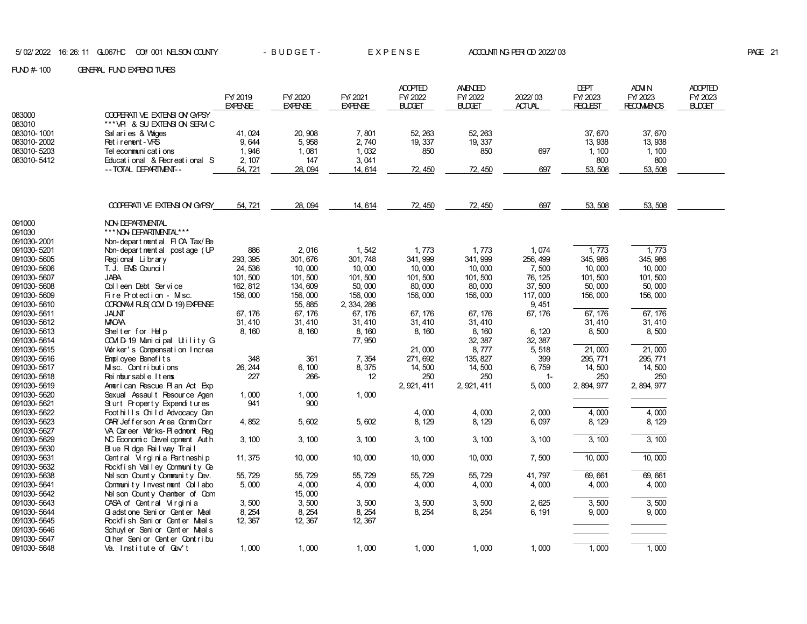| $F100 \# 100$ | GENERAL FUND EXPENDITURES |
|---------------|---------------------------|
|               |                           |

|             |                                     |                |                |                | <b>ADOPTED</b> | <b>AMENDED</b> |               | <b>DEPT</b>    | ADM N             | <b>ADOPTED</b> |
|-------------|-------------------------------------|----------------|----------------|----------------|----------------|----------------|---------------|----------------|-------------------|----------------|
|             |                                     | FY 2019        | FY/2020        | FY 2021        | FY/2022        | FY/2022        | 2022/03       | FY/ 2023       | FY 2023           | FY/2023        |
|             |                                     | <b>EXPENSE</b> | <b>EXPENSE</b> | <b>EXPENSE</b> | <b>BLDGET</b>  | <b>BLDGET</b>  | <b>ACTUAL</b> | <b>REQLEST</b> | <b>RECOMMENDS</b> | <b>BUDET</b>   |
| 083000      | <b>COPERATIVE EXTENSION GAPSY</b>   |                |                |                |                |                |               |                |                   |                |
| 083010      | *** VPI & SU EXTENSION SERVIC       |                |                |                |                |                |               |                |                   |                |
| 083010-1001 | Sal aries & Vages                   | 41, 024        | 20, 908        | 7,801          | 52, 263        | 52, 263        |               | 37,670         | 37,670            |                |
| 083010-2002 | Ret i rement - VRS                  | 9.644          | 5,958          | 2,740          | 19, 337        | 19, 337        |               | 13, 938        | 13, 938           |                |
| 083010-5203 | Tel ecommuni cat i ons              | 1.946          | 1,081          | 1.032          | 850            | 850            | 697           | 1, 100         | 1, 100            |                |
| 083010-5412 | Educational & Recreational S        | 2, 107         | 147            | 3,041          |                |                |               | 800            | 800               |                |
|             | -- TOTAL DEPARTMENT--               | 54, 721        | 28,094         | 14, 614        | 72, 450        | 72, 450        | 697           | 53, 508        | 53, 508           |                |
|             |                                     |                |                |                |                |                |               |                |                   |                |
|             |                                     |                |                |                |                |                |               |                |                   |                |
|             |                                     |                |                |                |                |                |               |                |                   |                |
|             | COOPERATIVE EXTENSION GAPSY         | 54, 721        | 28, 094        | 14, 614        | 72, 450        | 72, 450        | 697           | 53, 508        | 53, 508           |                |
|             |                                     |                |                |                |                |                |               |                |                   |                |
| 091000      | <b>NON DEPARTMENTAL</b>             |                |                |                |                |                |               |                |                   |                |
| 091030      | *** NON DEPARTMENTAL***             |                |                |                |                |                |               |                |                   |                |
| 091030-2001 | Non-departmental FICA Tax/Be        |                |                |                |                |                |               |                |                   |                |
| 091030-5201 | Non-department al post age (UP      | 886            | 2,016          | 1,542          | 1,773          | 1,773          | 1,074         | 1,773          | 1,773             |                |
| 091030-5605 | Regional Library                    | 293, 395       | 301, 676       | 301, 748       | 341, 999       | 341, 999       | 256, 499      | 345, 986       | 345, 986          |                |
| 091030-5606 | T. J. EMS Counci <sup>[</sup>       | 24, 536        | 10,000         | 10,000         | 10,000         | 10,000         | 7,500         | 10,000         | 10,000            |                |
| 091030-5607 | <b>JABA</b>                         | 101,500        | 101,500        | 101,500        | 101,500        | 101,500        | 76, 125       | 101, 500       | 101,500           |                |
| 091030-5608 | Colleen Debt Service                | 162.812        | 134, 609       | 50,000         | 80,000         | 80,000         | 37,500        | 50,000         | 50,000            |                |
| 091030-5609 | Fire Protection - Misc.             | 156,000        | 156,000        | 156,000        | 156,000        | 156,000        | 117,000       | 156,000        | 156,000           |                |
| 091030-5610 | CORONAM FUS COM D-19) EXPENSE       |                | 55, 885        | 2, 334, 286    |                |                | 9, 451        |                |                   |                |
| 091030-5611 | <b>JALNT</b>                        | 67, 176        | 67, 176        | 67, 176        | 67, 176        | 67, 176        | 67, 176       | 67, 176        | 67, 176           |                |
| 091030-5612 | <b>MACAA</b>                        | 31, 410        | 31, 410        | 31, 410        | 31, 410        | 31, 410        |               | 31, 410        | 31, 410           |                |
| 091030-5613 | Shelter for Help                    | 8, 160         | 8, 160         | 8, 160         | 8, 160         | 8, 160         | 6, 120        | 8,500          | 8,500             |                |
| 091030-5614 | COMD-19 Municipal Utility G         |                |                | 77,950         |                | 32, 387        | 32, 387       |                |                   |                |
| 091030-5615 | Worker's Compensation Increa        |                |                |                | 21,000         | 8,777          | 5,518         | 21,000         | 21,000            |                |
| 091030-5616 | Employee Benefits                   | 348            | 361            | 7,354          | 271, 692       | 135, 827       | 399           | 295, 771       | 295, 771          |                |
| 091030-5617 | Misc. Contributions                 | 26, 244        | 6, 100         | 8,375          | 14,500         | 14,500         | 6,759         | 14,500         | 14,500            |                |
| 091030-5618 | Reimbursable Items                  | 227            | 266-           | 12             | 250            | 250            | $1 -$         | 250            | 250               |                |
| 091030-5619 | American Rescue Plan Act Exp        |                |                |                | 2, 921, 411    | 2, 921, 411    | 5,000         | 2, 894, 977    | 2, 894, 977       |                |
| 091030-5620 | Sexual Assault Resource Agen        | 1,000          | 1,000          | 1,000          |                |                |               |                |                   |                |
| 091030-5621 | Sturt Property Expenditures         | 941            | 900            |                |                |                |               |                |                   |                |
| 091030-5622 | Foot hills Child Advocacy Cen       |                |                |                | 4,000          | 4,000          | 2,000         | 4,000          | 4,000             |                |
| 091030-5623 | OAR Jefferson Area Comm Corr        | 4,852          | 5,602          | 5,602          | 8, 129         | 8, 129         | 6,097         | 8, 129         | 8, 129            |                |
| 091030-5627 | VA Career Vorks-Piednont Reg        |                |                |                |                |                |               |                |                   |                |
| 091030-5629 | NC Economic Devel opment Auth       | 3, 100         | 3, 100         | 3, 100         | 3, 100         | 3, 100         | 3, 100        | 3, 100         | 3, 100            |                |
| 091030-5630 | Blue Ridge Railway Trail            |                |                |                |                |                |               |                |                   |                |
| 091030-5631 | Central Virginia Partneship         | 11, 375        | 10,000         | 10,000         | 10,000         | 10,000         | 7,500         | 10,000         | 10,000            |                |
| 091030-5632 | Rockfish Valley Community Ce        |                |                |                |                |                |               |                |                   |                |
| 091030-5638 | Nel son County Community Dev.       | 55, 729        | 55, 729        | 55, 729        | 55, 729        | 55, 729        | 41, 797       | 69, 661        | 69, 661           |                |
| 091030-5641 | Community Investment Collabo        | 5,000          | 4,000          | 4,000          | 4,000          | 4,000          | 4,000         | 4,000          | 4,000             |                |
| 091030-5642 | Nel son County Chanber of Com       |                | 15,000         |                |                |                |               |                |                   |                |
| 091030-5643 | CASA of Central Virginia            | 3,500          | 3,500          | 3,500          | 3,500          | 3,500          | 2,625         | 3,500          | 3,500             |                |
| 091030-5644 | G adst one Seni or Cent er Meal     | 8, 254         | 8, 254         | 8, 254         | 8, 254         | 8, 254         | 6, 191        | 9,000          | 9,000             |                |
| 091030-5645 | Rockfish Senior Center Meals        | 12, 367        | 12, 367        | 12, 367        |                |                |               |                |                   |                |
| 091030-5646 | Schuyl er Seni or Gent er Meal s    |                |                |                |                |                |               |                |                   |                |
| 091030-5647 | <b>Q</b> her Senior Center Contribu |                |                |                |                |                |               |                |                   |                |
| 091030-5648 | Va. Institute of Gov't              | 1,000          | 1,000          | 1,000          | 1,000          | 1,000          | 1,000         | 1,000          | 1,000             |                |
|             |                                     |                |                |                |                |                |               |                |                   |                |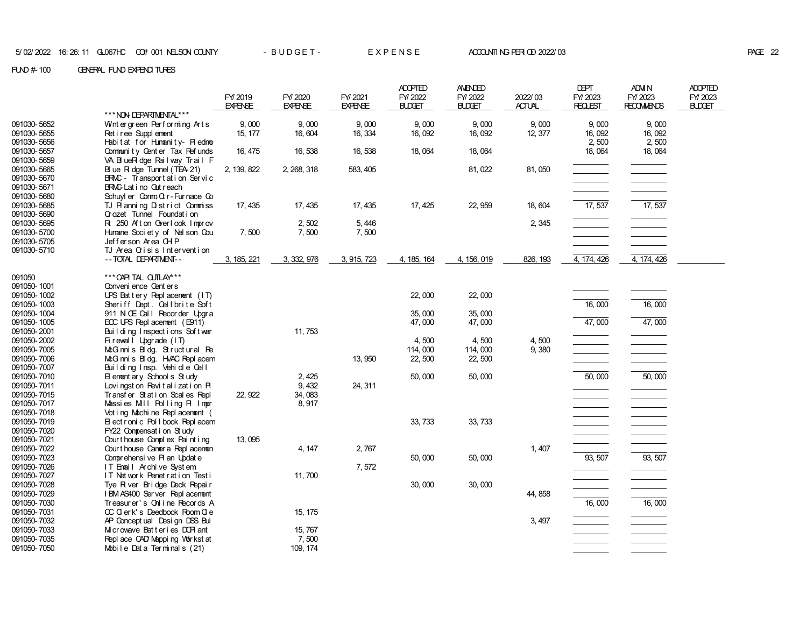|                            |                                                       |                |                |                | <b>ADOPTED</b> | <b>AMENDED</b> |               | <b>DEPT</b>    | ADM N             | <b>ADOPTED</b> |
|----------------------------|-------------------------------------------------------|----------------|----------------|----------------|----------------|----------------|---------------|----------------|-------------------|----------------|
|                            |                                                       | FY 2019        | FY/2020        | FY/2021        | FY/2022        | FY/2022        | 2022/03       | FY/2023        | FY/2023           | FY/2023        |
|                            | *** NON DEPARTMENTAL***                               | <b>EXPENSE</b> | <b>EXPENSE</b> | <b>EXPENSE</b> | <b>BLDGET</b>  | <b>BLDGET</b>  | <b>ACTUAL</b> | <b>REQLEST</b> | <b>RECOMMENDS</b> | <b>BLDGET</b>  |
| 091030-5652                | Wintergreen Performing Arts                           | 9,000          | 9.000          | 9,000          | 9,000          | 9,000          | 9,000         | 9,000          | 9,000             |                |
| 091030-5655                | Ret i ree Suppl enent                                 | 15, 177        | 16, 604        | 16, 334        | 16, 092        | 16, 092        | 12, 377       | 16, 092        | 16,092            |                |
| 091030-5656                | Habitat for Humanity- Piedmo                          |                |                |                |                |                |               | 2,500          | 2,500             |                |
| 091030-5657                | Community Center Tax Refunds                          | 16, 475        | 16, 538        | 16, 538        | 18,064         | 18,064         |               | 18,064         | 18,064            |                |
| 091030-5659                | VA BlueRidge Railway Trail F                          |                |                |                |                |                |               |                |                   |                |
| 091030-5665                | B ue R dge Tunnel (TEA 21)                            | 2, 139, 822    | 2, 268, 318    | 583, 405       |                | 81, 022        | 81,050        |                |                   |                |
| 091030-5670                | BRMC - Transport at i on Servic                       |                |                |                |                |                |               |                |                   |                |
| 091030-5671                | <b>BRAC</b> Lat i no Out reach                        |                |                |                |                |                |               |                |                   |                |
| 091030-5680                | Schuyl er $Comm G r$ - Furnace $Go$                   |                |                |                |                |                |               |                |                   |                |
| 091030-5685                | TJ Planning District Commiss                          | 17, 435        | 17, 435        | 17, 435        | 17, 425        | 22, 959        | 18, 604       | 17,537         | 17,537            |                |
| 091030-5690                | Crozet Tunnel Foundation                              |                |                |                |                |                |               |                |                   |                |
| 091030-5695                | Rt 250 Afton Overlook Improv                          |                | 2,502          | 5,446          |                |                | 2, 345        |                |                   |                |
| 091030-5700                | Hunane Soci et y of Nel son Cou                       | 7,500          | 7,500          | 7,500          |                |                |               |                |                   |                |
| 091030-5705                | Jefferson Area CHP                                    |                |                |                |                |                |               |                |                   |                |
| 091030-5710                | TJ Area Crisis Intervention                           |                |                |                |                |                |               |                |                   |                |
|                            | -- TOTAL DEPARTMENT--                                 | 3, 185, 221    | 3, 332, 976    | 3, 915, 723    | 4, 185, 164    | 4, 156, 019    | 826, 193      | 4, 174, 426    | 4, 174, 426       |                |
| 091050                     | *** CAPITAL CUTLAY***                                 |                |                |                |                |                |               |                |                   |                |
| 091050-1001                | Convenience Centers                                   |                |                |                |                |                |               |                |                   |                |
| 091050-1002                | UPS Battery Replacement (IT)                          |                |                |                | 22,000         | 22,000         |               |                |                   |                |
| 091050-1003                | Sheriff Dept. Cellbrite Soft                          |                |                |                |                |                |               | 16,000         | 16,000            |                |
| 091050-1004                | 911 N Œ Call Recorder Upgra                           |                |                |                | 35,000         | 35,000         |               |                |                   |                |
| 091050-1005                | ECC UPS Repl acement (E911)                           |                |                |                | 47,000         | 47,000         |               | 47,000         | 47,000            |                |
| 091050-2001                | Building Inspections Soft war                         |                | 11, 753        |                |                |                |               |                |                   |                |
| 091050-2002                | Firewall Upgrade (IT)                                 |                |                |                | 4,500          | 4,500          | 4,500         |                |                   |                |
| 091050-7005                | McG nnis Bidg. Structural Re                          |                |                |                | 114,000        | 114,000        | 9,380         |                |                   |                |
| 091050-7006                | McG nni s B dg. HVAC Repl acem                        |                |                | 13, 950        | 22, 500        | 22, 500        |               |                |                   |                |
| 091050-7007                | Building Insp. Vehicle Cell                           |                |                |                |                |                |               |                |                   |                |
| 091050-7010                | El enrent ary School s Study                          |                | 2, 425         |                | 50,000         | 50,000         |               | 50,000         | 50,000            |                |
| 091050-7011                | Lovingston Revitalization PI                          |                | 9, 432         | 24, 311        |                |                |               |                |                   |                |
| 091050-7015                | Transfer Station Scales Repl                          | 22, 922        | 34,083         |                |                |                |               |                | ___________       |                |
| 091050-7017                | Massies Mill Polling PI Impr                          |                | 8, 917         |                |                |                |               |                |                   |                |
| 091050-7018                | Vot i ng Machi ne Repl acenent (                      |                |                |                |                |                |               |                |                   |                |
| 091050-7019                | El ect r oni c Pol I book Repl acem                   |                |                |                | 33, 733        | 33, 733        |               |                |                   |                |
| 091050-7020                | FY22 Compensation Study                               |                |                |                |                |                |               |                |                   |                |
| 091050-7021                | Court house Complex Paint ing                         | 13, 095        |                |                |                |                |               |                |                   |                |
| 091050-7022                | Court house Caner a Repl acenen                       |                | 4, 147         | 2,767          |                |                | 1,407         |                |                   |                |
| 091050-7023<br>091050-7026 | Conprehensive Pl an Update<br>IT Email Archive System |                |                | 7,572          | 50,000         | 50,000         |               | 93, 507        | 93, 507           |                |
| 091050-7027                | IT Network Penetration Testi                          |                | 11, 700        |                |                |                |               |                |                   |                |
| 091050-7028                | Tye River Bridge Deck Repair                          |                |                |                | 30,000         | 30,000         |               |                |                   |                |
| 091050-7029                | I BM AS400 Server Repl acenent                        |                |                |                |                |                | 44, 858       |                |                   |                |
| 091050-7030                | Treasurer's Online Records A                          |                |                |                |                |                |               | 16,000         | 16,000            |                |
| 091050-7031                | CC C erk's Deedbook Room C e                          |                | 15, 175        |                |                |                |               |                |                   |                |
| 091050-7032                | AP Concept ual Design DSS Bui                         |                |                |                |                |                | 3, 497        |                |                   |                |
| 091050-7033                | M crowave Batteries DOR ant                           |                | 15, 767        |                |                |                |               |                |                   |                |
| 091050-7035                | Repl ace CAD Mapping Workst at                        |                | 7,500          |                |                |                |               |                |                   |                |
| 091050-7050                | Mobile Data Terminals (21)                            |                | 109, 174       |                |                |                |               |                |                   |                |
|                            |                                                       |                |                |                |                |                |               |                |                   |                |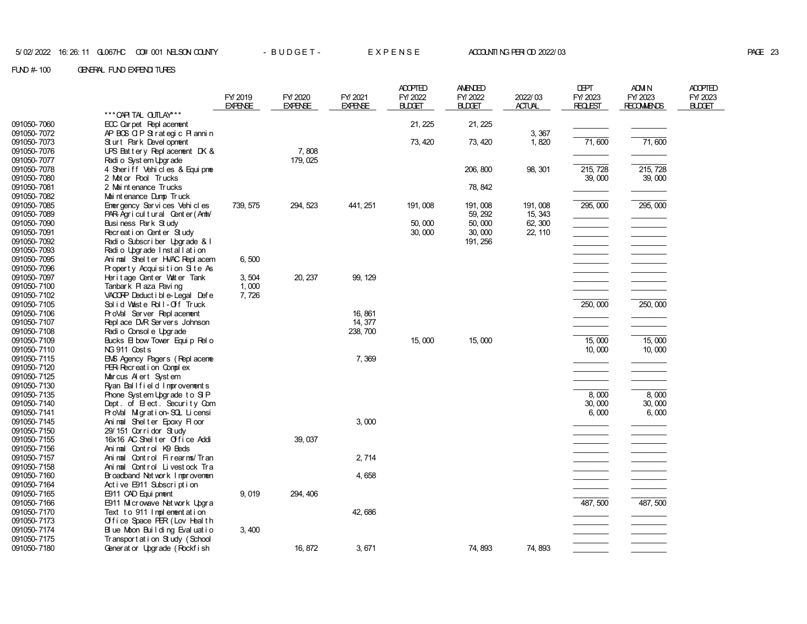#### FUND # 100 GENERAL FUND EXPENDITURES

|                            |                                                              | FY/2019<br><b>EXPENSE</b> | FY/2020<br><b>EXPENSE</b> | FY 2021<br><b>EXPENSE</b> | <b>ADOPTED</b><br>FY/2022<br><b>BLDGET</b> | AMENDED<br>FY/2022<br><b>BUDGET</b> | 2022/03<br><b>ACTUAL</b> | <b>DEPT</b><br>FY/2023<br><b>REQLEST</b> | <b>ADM N</b><br>FY/2023<br><b>RECOMMENDS</b> | <b>ADOPTED</b><br>FY/2023<br>BUDGET |
|----------------------------|--------------------------------------------------------------|---------------------------|---------------------------|---------------------------|--------------------------------------------|-------------------------------------|--------------------------|------------------------------------------|----------------------------------------------|-------------------------------------|
|                            | *** CAPITAL CUTLAY***                                        |                           |                           |                           |                                            |                                     |                          |                                          |                                              |                                     |
| 091050-7060                | ECC Car pet Repl acement                                     |                           |                           |                           | 21, 225                                    | 21, 225                             |                          |                                          |                                              |                                     |
| 091050-7072                | APBOSOIPStrategic Plannin                                    |                           |                           |                           |                                            |                                     | 3,367                    |                                          |                                              |                                     |
| 091050-7073                | Sturt Park Devel opment                                      |                           | 7,808                     |                           | 73, 420                                    | 73, 420                             | 1,820                    | 71,600                                   | 71,600                                       |                                     |
| 091050-7076<br>091050-7077 | UPS Battery Replacement DK $\&$<br>Radio System Upgrade      |                           | 179, 025                  |                           |                                            |                                     |                          |                                          |                                              |                                     |
| 091050-7078                | 4 Sheriff Vehicles & Equipme                                 |                           |                           |                           |                                            | 206, 800                            | 98, 301                  | 215, 728                                 | 215, 728                                     |                                     |
| 091050-7080                | 2 Motor Pool Trucks                                          |                           |                           |                           |                                            |                                     |                          | 39,000                                   | 39,000                                       |                                     |
| 091050-7081                | 2 Mai nt enance Trucks                                       |                           |                           |                           |                                            | 78, 842                             |                          |                                          |                                              |                                     |
| 091050-7082                | Mai nt enance Dump Truck                                     |                           |                           |                           |                                            |                                     |                          |                                          |                                              |                                     |
| 091050-7085                | Emergency Services Vehicles                                  | 739, 575                  | 294, 523                  | 441, 251                  | 191,008                                    | 191, 008                            | 191, 008                 | 295, 000                                 | 295,000                                      |                                     |
| 091050-7089                | PAR Agricultural Center (Anh/                                |                           |                           |                           |                                            | 59, 292                             | 15, 343                  |                                          |                                              |                                     |
| 091050-7090                | Business Park Study                                          |                           |                           |                           | 50,000                                     | 50,000                              | 62, 300                  |                                          |                                              |                                     |
| 091050-7091                | Recreation Center Study                                      |                           |                           |                           | 30,000                                     | 30,000                              | 22, 110                  |                                          |                                              |                                     |
| 091050-7092                | Radio Subscriber Upgrade & I                                 |                           |                           |                           |                                            | 191, 256                            |                          |                                          |                                              |                                     |
| 091050-7093                | Radio Upgrade Installation                                   |                           |                           |                           |                                            |                                     |                          |                                          |                                              |                                     |
| 091050-7095                | Animal Shelter HVAC Replacem                                 | 6,500                     |                           |                           |                                            |                                     |                          |                                          |                                              |                                     |
| 091050-7096                | Property Acquisition Site As                                 |                           |                           |                           |                                            |                                     |                          |                                          |                                              |                                     |
| 091050-7097                | Heritage Center Vater Tank                                   | 3,504                     | 20, 237                   | 99, 129                   |                                            |                                     |                          |                                          |                                              |                                     |
| 091050-7100                | Tanbark Plaza Paving                                         | 1,000                     |                           |                           |                                            |                                     |                          |                                          |                                              |                                     |
| 091050-7102                | VACORP Deduct i bl e-Legal Def e                             | 7,726                     |                           |                           |                                            |                                     |                          |                                          |                                              |                                     |
| 091050-7105<br>091050-7106 | Solid Waste Roll-Off Truck<br>ProVal Server Replacement      |                           |                           | 16, 861                   |                                            |                                     |                          | 250, 000                                 | 250,000                                      |                                     |
| 091050-7107                | Repl ace DVR Servers Johnson                                 |                           |                           | 14, 377                   |                                            |                                     |                          |                                          |                                              |                                     |
| 091050-7108                | Radi o Consol e Upgrade                                      |                           |                           | 238, 700                  |                                            |                                     |                          |                                          |                                              |                                     |
| 091050-7109                | Bucks El bow Tower Equip Rel o                               |                           |                           |                           | 15,000                                     | 15,000                              |                          | 15,000                                   | 15,000                                       |                                     |
| 091050-7110                | NG 911 Cost s                                                |                           |                           |                           |                                            |                                     |                          | 10,000                                   | 10,000                                       |                                     |
| 091050-7115                | ENS Agency Pagers (Repl acene                                |                           |                           | 7,369                     |                                            |                                     |                          |                                          |                                              |                                     |
| 091050-7120                | PER Recreation Complex                                       |                           |                           |                           |                                            |                                     |                          |                                          |                                              |                                     |
| 091050-7125                | Marcus Alert System                                          |                           |                           |                           |                                            |                                     |                          |                                          |                                              |                                     |
| 091050-7130                | Ryan Ballfield Improvements                                  |                           |                           |                           |                                            |                                     |                          |                                          |                                              |                                     |
| 091050-7135                | Phone System Upgrade to SIP                                  |                           |                           |                           |                                            |                                     |                          | 8,000                                    | 8,000                                        |                                     |
| 091050-7140                | Dept. of Elect. Security Com                                 |                           |                           |                           |                                            |                                     |                          | 30,000                                   | 30,000                                       |                                     |
| 091050-7141                | ProVal Migration-SQL Licensi                                 |                           |                           |                           |                                            |                                     |                          | 6,000                                    | 6,000                                        |                                     |
| 091050-7145                | Animal Shelter Epoxy Floor                                   |                           |                           | 3,000                     |                                            |                                     |                          |                                          |                                              |                                     |
| 091050-7150                | 29/151 Corridor Study                                        |                           |                           |                           |                                            |                                     |                          |                                          |                                              |                                     |
| 091050-7155                | 16x16 AC Shelter Office Addi                                 |                           | 39, 037                   |                           |                                            |                                     |                          |                                          |                                              |                                     |
| 091050-7156                | Animal Control K9 Beds                                       |                           |                           |                           |                                            |                                     |                          |                                          |                                              |                                     |
| 091050-7157                | Animal Control Firearms/Tran<br>Animal Control Livestock Tra |                           |                           | 2, 714                    |                                            |                                     |                          |                                          | __________                                   |                                     |
| 091050-7158<br>091050-7160 | Broadband Net work Improvement                               |                           |                           | 4,658                     |                                            |                                     |                          |                                          |                                              |                                     |
| 091050-7164                | Active E911 Subscription                                     |                           |                           |                           |                                            |                                     |                          |                                          |                                              |                                     |
| 091050-7165                | E911 CAD Equi pnent                                          | 9,019                     | 294, 406                  |                           |                                            |                                     |                          |                                          |                                              |                                     |
| 091050-7166                | E911 Microwave Network Upgra                                 |                           |                           |                           |                                            |                                     |                          | 487, 500                                 | 487, 500                                     |                                     |
| 091050-7170                | Text to 911 Implementation                                   |                           |                           | 42, 686                   |                                            |                                     |                          |                                          |                                              |                                     |
| 091050-7173                | Office Space PER (Lov Health                                 |                           |                           |                           |                                            |                                     |                          |                                          |                                              |                                     |
| 091050-7174                | Blue Moon Building Evaluatio                                 | 3,400                     |                           |                           |                                            |                                     |                          |                                          |                                              |                                     |
| 091050-7175                | Transport at i on Study (School                              |                           |                           |                           |                                            |                                     |                          |                                          |                                              |                                     |
| 091050-7180                | Generator Upgrade (Rockfish                                  |                           | 16, 872                   | 3,671                     |                                            | 74, 893                             | 74, 893                  |                                          |                                              |                                     |
|                            |                                                              |                           |                           |                           |                                            |                                     |                          |                                          |                                              |                                     |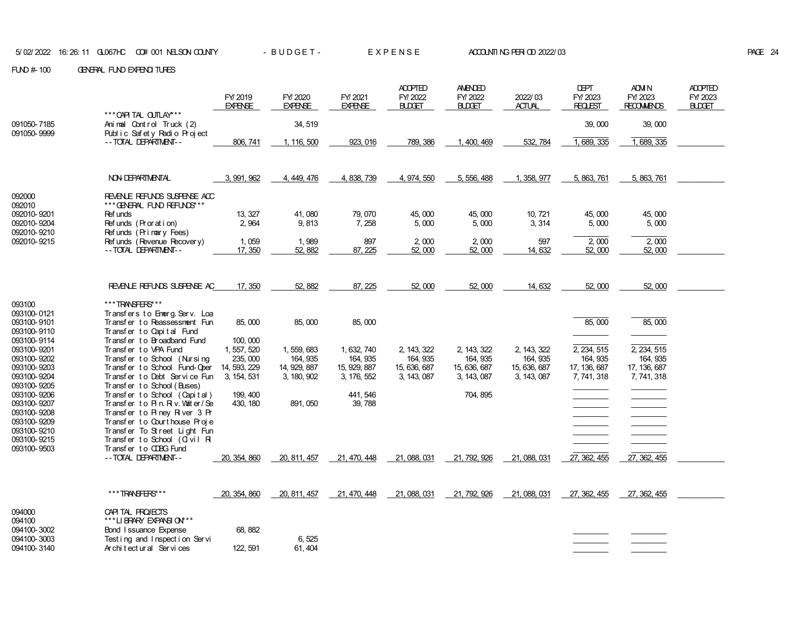|                                                                         |                                                                                                                                                      | FY 2019<br><b>EXPENSE</b>                              | FY/2020<br><b>EXPENSE</b>                              | FY/2021<br><b>EXPENSE</b>                              | <b>ADOPTED</b><br>FY/2022<br><b>BLDGET</b>             | <b>AMENDED</b><br>FY/2022<br><b>BLDGET</b>             | 2022/03<br><b>ACTUAL</b>                               | <b>DEPT</b><br>FY/2023<br><b>REQLEST</b>               | <b>ADM N</b><br>FY/2023<br><b>RECOMMENDS</b>           | <b>ADOPTED</b><br>FY/2023<br><b>BLDGET</b> |
|-------------------------------------------------------------------------|------------------------------------------------------------------------------------------------------------------------------------------------------|--------------------------------------------------------|--------------------------------------------------------|--------------------------------------------------------|--------------------------------------------------------|--------------------------------------------------------|--------------------------------------------------------|--------------------------------------------------------|--------------------------------------------------------|--------------------------------------------|
| 091050-7185<br>091050-9999                                              | *** CAPITAL CUTLAY***<br>Animal Control Truck (2)<br>Public Safety Radio Project                                                                     |                                                        | 34, 519                                                |                                                        |                                                        |                                                        |                                                        | 39,000                                                 | 39,000                                                 |                                            |
|                                                                         | -- TOTAL DEPARTMENT--                                                                                                                                | 806, 741                                               | 1, 116, 500                                            | 923, 016                                               | 789, 386                                               | 1, 400, 469                                            | 532, 784                                               | 1, 689, 335                                            | 1, 689, 335                                            |                                            |
|                                                                         | NON DEPARTMENTAL                                                                                                                                     | 3, 991, 962                                            | 4, 449, 476                                            | 4, 838, 739                                            | 4, 974, 550                                            | 5, 556, 488                                            | 1, 358, 977                                            | 5, 863, 761                                            | 5, 863, 761                                            |                                            |
| 092000<br>092010                                                        | REVENUE REFUNDS SUSPENSE ACC<br>*** GENERAL FUND REFUNDS***                                                                                          |                                                        |                                                        |                                                        |                                                        |                                                        |                                                        |                                                        |                                                        |                                            |
| 092010-9201<br>092010-9204<br>092010-9210<br>092010-9215                | <b>Ref unds</b><br>Refunds (Proration)<br>Refunds (Primary Fees)                                                                                     | 13, 327<br>2,964                                       | 41,080<br>9,813                                        | 79, 070<br>7,258                                       | 45,000<br>5,000                                        | 45,000<br>5,000                                        | 10, 721<br>3,314                                       | 45,000<br>5,000                                        | 45,000<br>5,000                                        |                                            |
|                                                                         | Ref unds (Revenue Recovery)<br>-- TOTAL DEPARTMENT--                                                                                                 | 1,059<br>17, 350                                       | 1,989<br>52, 882                                       | 897<br>87, 225                                         | 2,000<br>52,000                                        | 2,000<br>52,000                                        | 597<br>14, 632                                         | 2,000<br>52,000                                        | 2,000<br>52,000                                        |                                            |
|                                                                         |                                                                                                                                                      |                                                        |                                                        |                                                        |                                                        |                                                        |                                                        |                                                        |                                                        |                                            |
|                                                                         | REVENUE REFUNDS SUSPENSE AC                                                                                                                          | 17, 350                                                | 52, 882                                                | 87, 225                                                | 52,000                                                 | 52,000                                                 | 14, 632                                                | 52,000                                                 | 52,000                                                 |                                            |
| 093100<br>093100-0121<br>093100-9101                                    | ***TRANSFERS***<br>Transfers to Emerg Serv. Loa<br>Transfer to Reassessment Fun                                                                      | 85,000                                                 | 85,000                                                 | 85,000                                                 |                                                        |                                                        |                                                        | 85,000                                                 | 85,000                                                 |                                            |
| 093100-9110<br>093100-9114                                              | Transfer to Capital Fund<br>Transfer to Broadband Fund<br>Transfer to VPA Fund                                                                       | 100, 000                                               |                                                        |                                                        |                                                        |                                                        |                                                        |                                                        |                                                        |                                            |
| 093100-9201<br>093100-9202<br>093100-9203<br>093100-9204                | Transfer to School (Nursing<br>Transfer to School Fund-Ober<br>Transfer to Debt Service Fun                                                          | 1, 557, 520<br>235, 000<br>14, 593, 229<br>3, 154, 531 | 1, 559, 683<br>164, 935<br>14, 929, 887<br>3, 180, 902 | 1, 632, 740<br>164, 935<br>15, 929, 887<br>3, 176, 552 | 2, 143, 322<br>164, 935<br>15, 636, 687<br>3, 143, 087 | 2, 143, 322<br>164, 935<br>15, 636, 687<br>3, 143, 087 | 2, 143, 322<br>164, 935<br>15, 636, 687<br>3, 143, 087 | 2, 234, 515<br>164, 935<br>17, 136, 687<br>7, 741, 318 | 2, 234, 515<br>164, 935<br>17, 136, 687<br>7, 741, 318 |                                            |
| 093100-9205<br>093100-9206<br>093100-9207                               | Transfer to School (Buses)<br>Transfer to School (Capital)<br>Transfer to PIn. Rv. Volter/Se                                                         | 199, 400<br>430, 180                                   | 891, 050                                               | 441, 546<br>39,788                                     |                                                        | 704, 895                                               |                                                        |                                                        |                                                        |                                            |
| 093100-9208<br>093100-9209<br>093100-9210<br>093100-9215<br>093100-9503 | Transfer to Piney River 3 Pr<br>Transfer to Courthouse Proje<br>Transfer To Street Light Fun<br>Transfer to School (Olvil R<br>Transfer to CDBG Fund |                                                        |                                                        |                                                        |                                                        |                                                        |                                                        |                                                        |                                                        |                                            |
|                                                                         | -- TOTAL DEPARTMENT--                                                                                                                                | 20, 354, 860                                           | 20, 811, 457                                           | 21, 470, 448                                           | 21, 088, 031                                           | 21, 792, 926                                           | 21, 088, 031                                           | 27, 362, 455                                           | 27, 362, 455                                           |                                            |
|                                                                         | ***TRANSFERS***                                                                                                                                      | 20, 354, 860                                           | 20, 811, 457                                           | 21, 470, 448                                           | 21, 088, 031                                           | 21, 792, 926                                           | 21, 088, 031                                           | 27, 362, 455                                           | 27, 362, 455                                           |                                            |
| 094000<br>094100                                                        | CAPITAL PROJECTS<br>*** LIBRARY EXPANSION **                                                                                                         |                                                        |                                                        |                                                        |                                                        |                                                        |                                                        |                                                        |                                                        |                                            |
| 094100-3002<br>094100-3003<br>094100-3140                               | Bond I ssuance Expense<br>Test ing and Inspect i on Servi<br>Architectural Services                                                                  | 68, 882<br>122, 591                                    | 6,525<br>61, 404                                       |                                                        |                                                        |                                                        |                                                        |                                                        |                                                        |                                            |